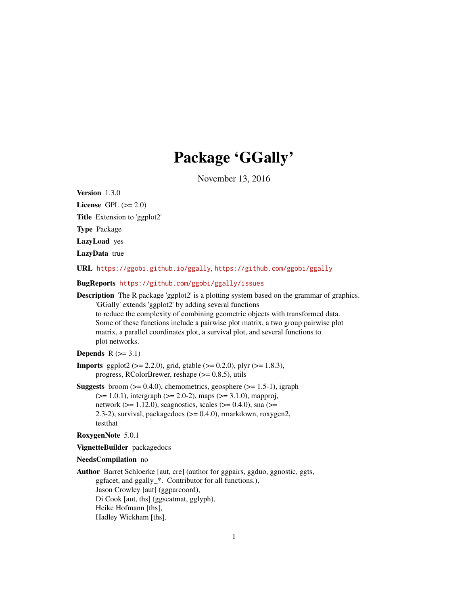# Package 'GGally'

November 13, 2016

<span id="page-0-0"></span>Version 1.3.0

License GPL  $(>= 2.0)$ Title Extension to 'ggplot2' Type Package LazyLoad yes LazyData true URL <https://ggobi.github.io/ggally>, <https://github.com/ggobi/ggally> BugReports <https://github.com/ggobi/ggally/issues> Description The R package 'ggplot2' is a plotting system based on the grammar of graphics. 'GGally' extends 'ggplot2' by adding several functions to reduce the complexity of combining geometric objects with transformed data. Some of these functions include a pairwise plot matrix, a two group pairwise plot matrix, a parallel coordinates plot, a survival plot, and several functions to plot networks.

# Depends  $R$  ( $>= 3.1$ )

- **Imports** ggplot2 ( $>= 2.2.0$ ), grid, gtable ( $>= 0.2.0$ ), plyr ( $>= 1.8.3$ ), progress, RColorBrewer, reshape  $(>= 0.8.5)$ , utils
- **Suggests** broom  $(>= 0.4.0)$ , chemometrics, geosphere  $(>= 1.5-1)$ , igraph  $(>= 1.0.1)$ , intergraph  $(>= 2.0-2)$ , maps  $(>= 3.1.0)$ , mapproj, network ( $>= 1.12.0$ ), scagnostics, scales ( $>= 0.4.0$ ), sna ( $>=$ 2.3-2), survival, packagedocs (>= 0.4.0), rmarkdown, roxygen2, testthat

#### RoxygenNote 5.0.1

VignetteBuilder packagedocs

#### NeedsCompilation no

Author Barret Schloerke [aut, cre] (author for ggpairs, ggduo, ggnostic, ggts, ggfacet, and ggally\_\*. Contributor for all functions.), Jason Crowley [aut] (ggparcoord), Di Cook [aut, ths] (ggscatmat, gglyph), Heike Hofmann [ths], Hadley Wickham [ths],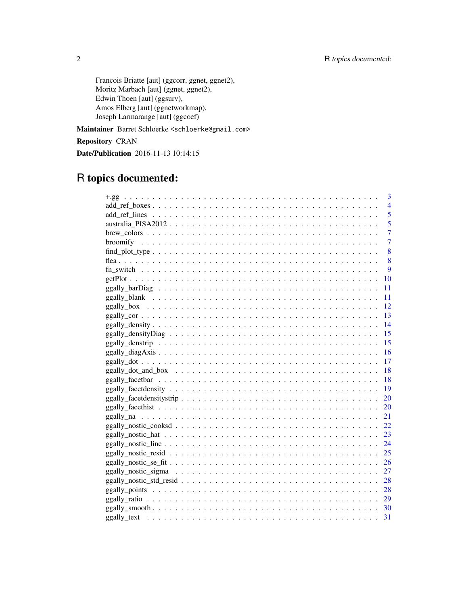Francois Briatte [aut] (ggcorr, ggnet, ggnet2), Moritz Marbach [aut] (ggnet, ggnet2), Edwin Thoen [aut] (ggsurv), Amos Elberg [aut] (ggnetworkmap), Joseph Larmarange [aut] (ggcoef)

Maintainer Barret Schloerke <schloerke@gmail.com>

Repository CRAN

Date/Publication 2016-11-13 10:14:15

# R topics documented:

| 3              |
|----------------|
| $\overline{4}$ |
| 5              |
| 5              |
| 7              |
| 7              |
| 8              |
| 8              |
| 9              |
| 10             |
| 11             |
| 11             |
| <sup>12</sup>  |
| 13             |
| 14             |
| 15             |
| 15             |
| 16             |
| 17             |
| 18             |
| 18             |
| 19             |
| 20             |
| 20             |
| 21             |
| 22             |
| 23             |
|                |
| 25             |
| 26             |
| 27             |
| 28             |
| 28             |
| 29             |
|                |
| 31             |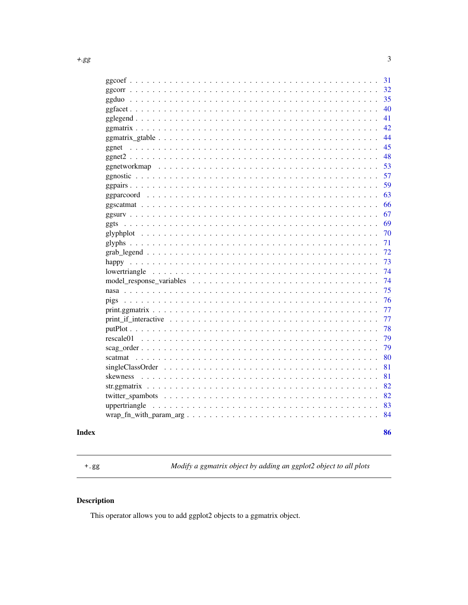<span id="page-2-0"></span>

|                                                                                                              | 31 |
|--------------------------------------------------------------------------------------------------------------|----|
|                                                                                                              | 32 |
|                                                                                                              | 35 |
|                                                                                                              | 40 |
|                                                                                                              | 41 |
|                                                                                                              | 42 |
|                                                                                                              | 44 |
|                                                                                                              | 45 |
|                                                                                                              | 48 |
|                                                                                                              | 53 |
|                                                                                                              | 57 |
|                                                                                                              | 59 |
|                                                                                                              | 63 |
|                                                                                                              | 66 |
|                                                                                                              | 67 |
|                                                                                                              | 69 |
|                                                                                                              | 70 |
|                                                                                                              | 71 |
|                                                                                                              | 72 |
|                                                                                                              | 73 |
|                                                                                                              | 74 |
|                                                                                                              | 74 |
|                                                                                                              | 75 |
|                                                                                                              | 76 |
|                                                                                                              | 77 |
| $print_if_interactive  \ldots \ldots \ldots \ldots \ldots \ldots \ldots \ldots \ldots \ldots$                | 77 |
|                                                                                                              | 78 |
|                                                                                                              | 79 |
|                                                                                                              | 79 |
|                                                                                                              | 80 |
| $singleClassOrder \dots \dots \dots \dots \dots \dots \dots \dots \dots \dots \dots \dots \dots \dots \dots$ | 81 |
|                                                                                                              | 81 |
|                                                                                                              | 82 |
|                                                                                                              | 82 |
|                                                                                                              | 83 |
|                                                                                                              | 84 |
|                                                                                                              |    |
|                                                                                                              | 86 |

# **Index**

<span id="page-2-1"></span> $^+.\,\mathrm{gg}$ 

Modify a ggmatrix object by adding an ggplot2 object to all plots

# **Description**

This operator allows you to add ggplot2 objects to a ggmatrix object.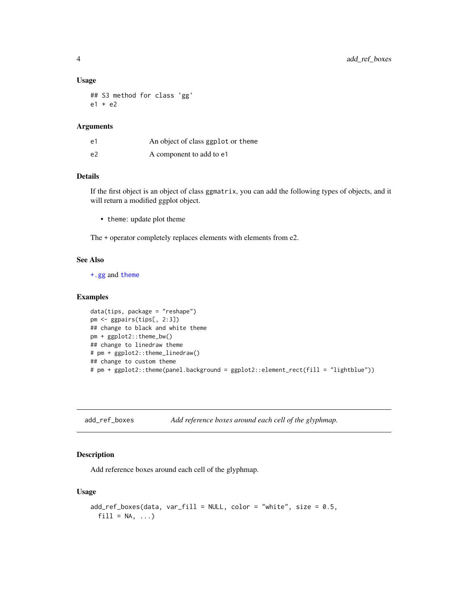#### Usage

## S3 method for class 'gg' e1 + e2

### Arguments

| e1             | An object of class ggplot or theme |
|----------------|------------------------------------|
| e <sub>2</sub> | A component to add to e1           |

# Details

If the first object is an object of class ggmatrix, you can add the following types of objects, and it will return a modified ggplot object.

• theme: update plot theme

The + operator completely replaces elements with elements from e2.

### See Also

[+.gg](#page-2-1) and [theme](#page-0-0)

#### Examples

```
data(tips, package = "reshape")
pm <- ggpairs(tips[, 2:3])
## change to black and white theme
pm + ggplot2::theme_bw()
## change to linedraw theme
# pm + ggplot2::theme_linedraw()
## change to custom theme
# pm + ggplot2::theme(panel.background = ggplot2::element_rect(fill = "lightblue"))
```
add\_ref\_boxes *Add reference boxes around each cell of the glyphmap.*

### Description

Add reference boxes around each cell of the glyphmap.

#### Usage

```
add\_ref\_boxes(data, var_fill = NULL, color = "white", size = 0.5,fill = NA, ...
```
<span id="page-3-0"></span>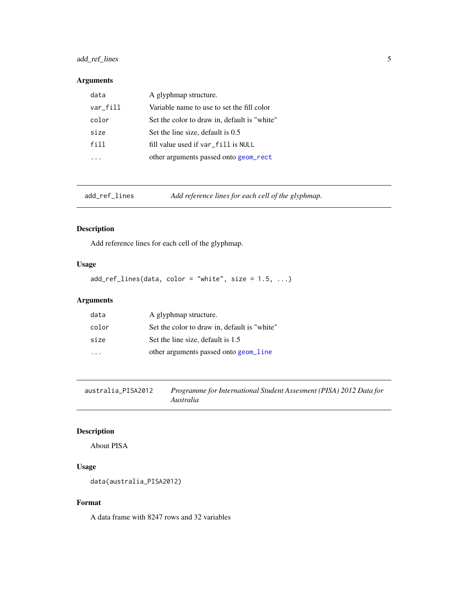# <span id="page-4-0"></span>add\_ref\_lines 5

### Arguments

| data     | A glyphmap structure.                        |
|----------|----------------------------------------------|
| var_fill | Variable name to use to set the fill color   |
| color    | Set the color to draw in, default is "white" |
| size     | Set the line size, default is 0.5            |
| fill     | fill value used if var_fill is NULL          |
|          | other arguments passed onto geom_rect        |

add\_ref\_lines *Add reference lines for each cell of the glyphmap.*

### Description

Add reference lines for each cell of the glyphmap.

# Usage

 $add\_ref\_lines(data, color = "white", size = 1.5, ...)$ 

# Arguments

| data                    | A glyphmap structure.                        |
|-------------------------|----------------------------------------------|
| color                   | Set the color to draw in, default is "white" |
| size                    | Set the line size, default is 1.5            |
| $\cdot$ $\cdot$ $\cdot$ | other arguments passed onto geom_line        |

australia\_PISA2012 *Programme for International Student Assesment (PISA) 2012 Data for Australia*

# Description

About PISA

# Usage

```
data(australia_PISA2012)
```
### Format

A data frame with 8247 rows and 32 variables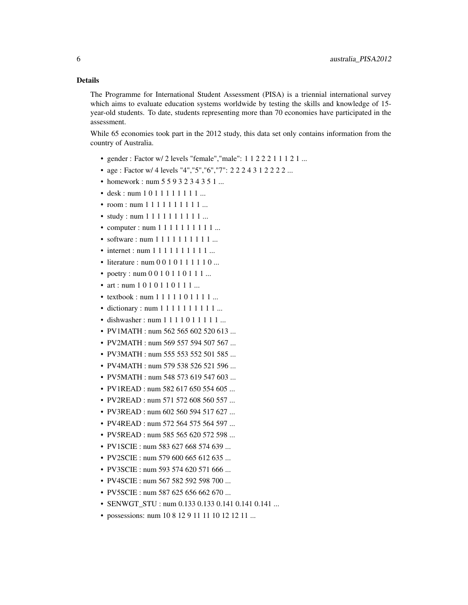#### Details

The Programme for International Student Assessment (PISA) is a triennial international survey which aims to evaluate education systems worldwide by testing the skills and knowledge of 15 year-old students. To date, students representing more than 70 economies have participated in the assessment.

While 65 economies took part in the 2012 study, this data set only contains information from the country of Australia.

- gender : Factor w/ 2 levels "female","male": 1 1 2 2 2 1 1 1 2 1 ...
- age : Factor w/ 4 levels "4", "5", "6", "7": 2 2 2 4 3 1 2 2 2 2 ...
- homework : num 5 5 9 3 2 3 4 3 5 1 ...
- desk : num 1 0 1 1 1 1 1 1 1 1 ...
- room : num 1 1 1 1 1 1 1 1 1 1 ...
- study : num 1 1 1 1 1 1 1 1 1 1 ...
- computer : num 1 1 1 1 1 1 1 1 1 1 ...
- software : num 1 1 1 1 1 1 1 1 1 1 ...
- internet : num  $1 1 1 1 1 1 1 1 1 1 ...$
- literature : num 0 0 1 0 1 1 1 1 1 0 ...
- poetry : num 0 0 1 0 1 1 0 1 1 1 ...
- art : num 1 0 1 0 1 1 0 1 1 1 ...
- textbook : num  $1 1 1 1 1 0 1 1 1 1 ...$
- dictionary : num 1 1 1 1 1 1 1 1 1 1 ...
- dishwasher : num 1 1 1 1 0 1 1 1 1 1 ...
- PV1MATH : num 562 565 602 520 613 ...
- PV2MATH : num 569 557 594 507 567 ...
- PV3MATH : num 555 553 552 501 585 ...
- PV4MATH : num 579 538 526 521 596 ...
- PV5MATH : num 548 573 619 547 603 ...
- PV1READ: num 582 617 650 554 605 ...
- PV2READ: num 571 572 608 560 557 ...
- PV3READ : num 602 560 594 517 627 ...
- PV4READ : num 572 564 575 564 597 ...
- PV5READ : num 585 565 620 572 598 ...
- PV1SCIE: num 583 627 668 574 639 ...
- PV2SCIE : num 579 600 665 612 635 ...
- PV3SCIE : num 593 574 620 571 666 ...
- PV4SCIE: num 567 582 592 598 700 ...
- PV5SCIE : num 587 625 656 662 670 ...
- SENWGT STU : num 0.133 0.133 0.141 0.141 0.141 ...
- possessions: num 10 8 12 9 11 11 10 12 12 11 ...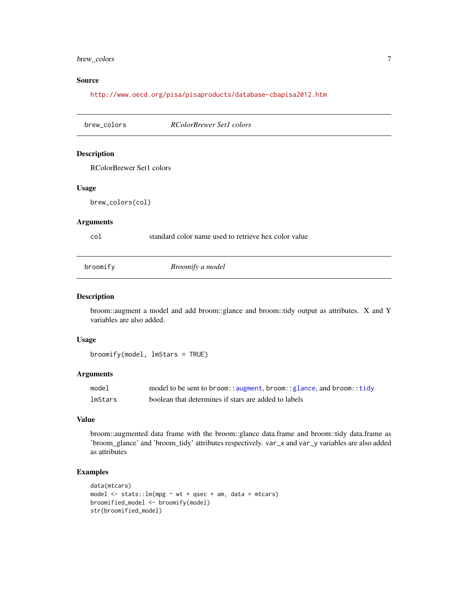### <span id="page-6-0"></span>brew\_colors 7

### Source

<http://www.oecd.org/pisa/pisaproducts/database-cbapisa2012.htm>

| brew_colors              | <b>RColorBrewer Set1 colors</b>                      |  |
|--------------------------|------------------------------------------------------|--|
| <b>Description</b>       |                                                      |  |
| RColorBrewer Set1 colors |                                                      |  |
| <b>Usage</b>             |                                                      |  |
| brew_colors(col)         |                                                      |  |
| <b>Arguments</b>         |                                                      |  |
| col                      | standard color name used to retrieve hex color value |  |
| broomify                 | Broomify a model                                     |  |
|                          |                                                      |  |

#### Description

broom::augment a model and add broom::glance and broom::tidy output as attributes. X and Y variables are also added.

### Usage

broomify(model, lmStars = TRUE)

### Arguments

| model   | model to be sent to broom:: augment, broom:: glance, and broom:: tidy |
|---------|-----------------------------------------------------------------------|
| lmStars | boolean that determines if stars are added to labels                  |

#### Value

broom::augmented data frame with the broom::glance data.frame and broom::tidy data.frame as 'broom\_glance' and 'broom\_tidy' attributes respectively. var\_x and var\_y variables are also added as attributes

```
data(mtcars)
model \le stats:: lm(mpg \sim wt + qsec + am, data = mtcars)broomified_model <- broomify(model)
str(broomified_model)
```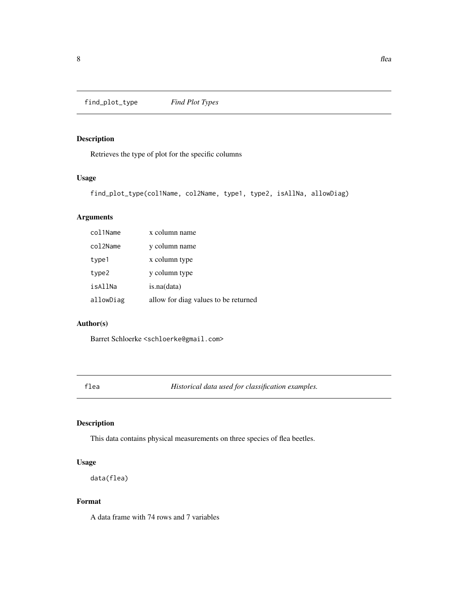<span id="page-7-0"></span>find\_plot\_type *Find Plot Types*

# Description

Retrieves the type of plot for the specific columns

### Usage

find\_plot\_type(col1Name, col2Name, type1, type2, isAllNa, allowDiag)

### Arguments

| col1Name  | x column name                        |
|-----------|--------------------------------------|
| col2Name  | y column name                        |
| type1     | x column type                        |
| type2     | y column type                        |
| isAllNa   | is.na(data)                          |
| allowDiag | allow for diag values to be returned |

# Author(s)

Barret Schloerke <schloerke@gmail.com>

flea *Historical data used for classification examples.*

# Description

This data contains physical measurements on three species of flea beetles.

### Usage

data(flea)

### Format

A data frame with 74 rows and 7 variables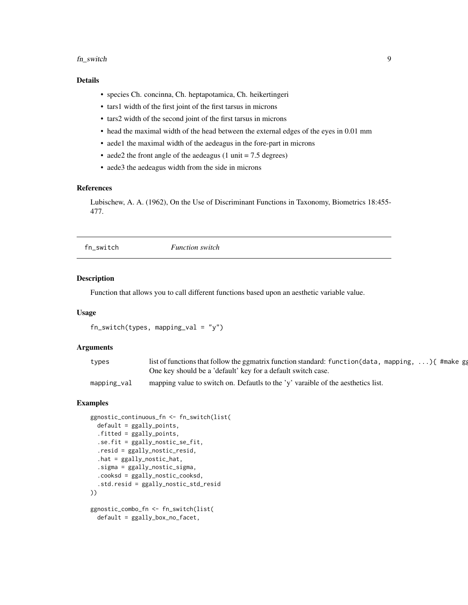#### <span id="page-8-0"></span>fn\_switch 9

### Details

- species Ch. concinna, Ch. heptapotamica, Ch. heikertingeri
- tars1 width of the first joint of the first tarsus in microns
- tars2 width of the second joint of the first tarsus in microns
- head the maximal width of the head between the external edges of the eyes in 0.01 mm
- aede1 the maximal width of the aedeagus in the fore-part in microns
- aede2 the front angle of the aedeagus  $(1 \text{ unit} = 7.5 \text{ degrees})$
- aede3 the aedeagus width from the side in microns

#### References

Lubischew, A. A. (1962), On the Use of Discriminant Functions in Taxonomy, Biometrics 18:455- 477.

fn\_switch *Function switch*

#### **Description**

Function that allows you to call different functions based upon an aesthetic variable value.

#### Usage

```
fn\_switch(types, mapping\_val = "y")
```
#### Arguments

| types       | list of functions that follow the ggmatrix function standard: function (data, mapping, ) { #make gg |  |  |
|-------------|-----------------------------------------------------------------------------------------------------|--|--|
|             | One key should be a 'default' key for a default switch case.                                        |  |  |
| mapping_val | mapping value to switch on. Defautls to the 'y' varaible of the aesthetics list.                    |  |  |

```
ggnostic_continuous_fn <- fn_switch(list(
 default = <math>ggally\_points</math>,.fitted = ggally_points,
 .se.fit = ggally_nostic_se_fit,
 .resid = ggally_nostic_resid,
 .hat = ggally_nostic_hat,
  .sigma = ggally_nostic_sigma,
  .cooksd = ggally_nostic_cooksd,
  .std.resid = ggally_nostic_std_resid
))
ggnostic_combo_fn <- fn_switch(list(
 default = ggally_box_no_facet,
```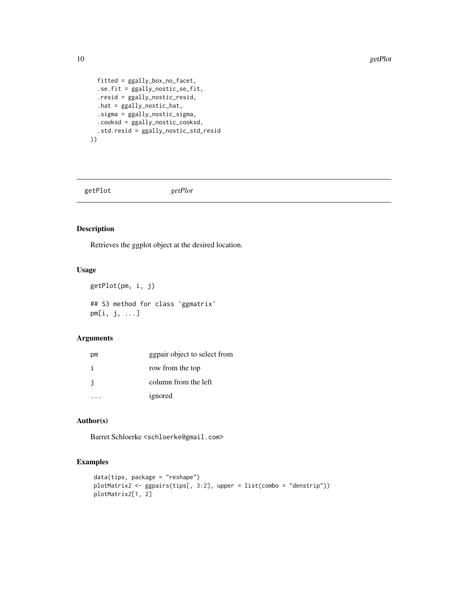```
fitted = ggally_box_no_facet,
  .se.fit = ggally_nostic_se_fit,
  .resid = ggally_nostic_resid,
  .hat = ggally_nostic_hat,
  .sigma = ggally_nostic_sigma,
  .cooksd = ggally_nostic_cooksd,
  .std.resid = ggally_nostic_std_resid
))
```
getPlot *getPlot*

#### Description

Retrieves the ggplot object at the desired location.

### Usage

```
getPlot(pm, i, j)
## S3 method for class 'ggmatrix'
pm[i, j, ...]
```
#### Arguments

| рm | ggpair object to select from |
|----|------------------------------|
|    | row from the top             |
| -i | column from the left         |
|    | ignored                      |

# Author(s)

Barret Schloerke <schloerke@gmail.com>

```
data(tips, package = "reshape")
plotMatrix2 <- ggpairs(tips[, 3:2], upper = list(combo = "denstrip"))
plotMatrix2[1, 2]
```
<span id="page-9-0"></span>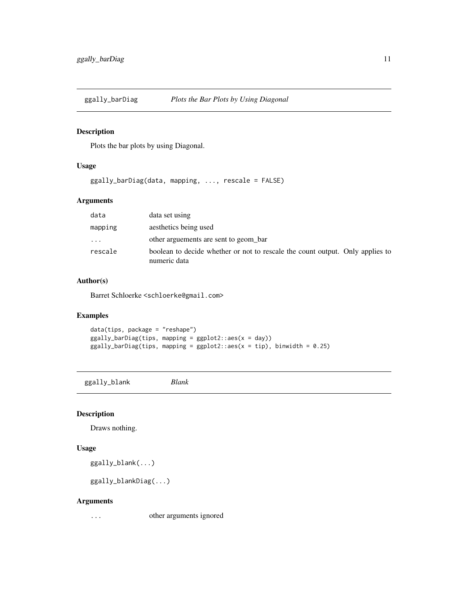<span id="page-10-0"></span>

Plots the bar plots by using Diagonal.

### Usage

ggally\_barDiag(data, mapping, ..., rescale = FALSE)

### Arguments

| data     | data set using                                                                                |
|----------|-----------------------------------------------------------------------------------------------|
| mapping  | aesthetics being used                                                                         |
| $\cdots$ | other arguements are sent to geom bar                                                         |
| rescale  | boolean to decide whether or not to rescale the count output. Only applies to<br>numeric data |

### Author(s)

Barret Schloerke <schloerke@gmail.com>

### Examples

data(tips, package = "reshape")  $ggally_barDiag(tips, mapping = ggplot2::aes(x = day))$ ggally\_barDiag(tips, mapping = ggplot2::aes(x = tip), binwidth =  $0.25$ )

ggally\_blank *Blank*

### Description

Draws nothing.

#### Usage

ggally\_blank(...)

ggally\_blankDiag(...)

#### Arguments

... other arguments ignored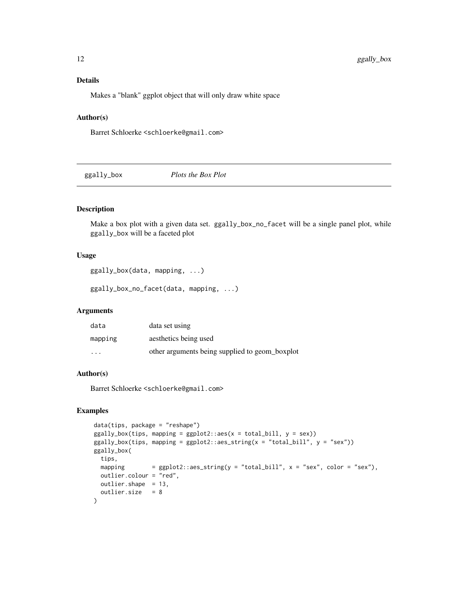### <span id="page-11-0"></span>Details

Makes a "blank" ggplot object that will only draw white space

### Author(s)

Barret Schloerke <schloerke@gmail.com>

ggally\_box *Plots the Box Plot*

### Description

Make a box plot with a given data set. ggally\_box\_no\_facet will be a single panel plot, while ggally\_box will be a faceted plot

#### Usage

ggally\_box(data, mapping, ...)

ggally\_box\_no\_facet(data, mapping, ...)

### Arguments

| data                    | data set using                                 |
|-------------------------|------------------------------------------------|
| mapping                 | aesthetics being used                          |
| $\cdot$ $\cdot$ $\cdot$ | other arguments being supplied to geom_boxplot |

### Author(s)

Barret Schloerke <schloerke@gmail.com>

```
data(tips, package = "reshape")
ggally_box(tips, mapping = ggplot2::aes(x = total_bill, y = sex))ggally_box(tips, mapping = ggplot2::aes_string(x = "total_bill", y = "sex"))ggally_box(
 tips,
 mapping = ggplot2::aes_string(y = "total_bill", x = "sex", color = "sex"),
 outlier.colour = "red",
 outlier.shape = 13,
 outlier.size = 8
)
```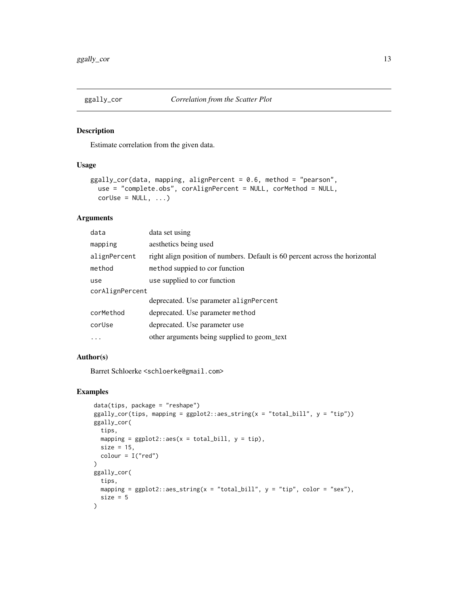<span id="page-12-0"></span>

Estimate correlation from the given data.

#### Usage

```
ggally_cor(data, mapping, alignPercent = 0.6, method = "pearson",
 use = "complete.obs", corAlignPercent = NULL, corMethod = NULL,
 corUse = NULL, ...)
```
# Arguments

| data            | data set using                                                               |  |
|-----------------|------------------------------------------------------------------------------|--|
| mapping         | aesthetics being used                                                        |  |
| alignPercent    | right align position of numbers. Default is 60 percent across the horizontal |  |
| method          | method suppied to cor function                                               |  |
| use             | use supplied to cor function                                                 |  |
| corAlignPercent |                                                                              |  |
|                 | deprecated. Use parameter alignPercent                                       |  |
| corMethod       | deprecated. Use parameter method                                             |  |
| corUse          | deprecated. Use parameter use                                                |  |
| $\cdots$        | other arguments being supplied to geom text                                  |  |

### Author(s)

Barret Schloerke <schloerke@gmail.com>

```
data(tips, package = "reshape")
ggally_cor(tips, mapping = ggplot2::aes_string(x = "total_bill", y = "tip"))
ggally_cor(
 tips,
 mapping = ggplot2::aes(x = total\_bill, y = tip),size = 15,
 color = I("red"))
ggally_cor(
 tips,
 mapping = ggplot2::aes\_string(x = "total\_bill", y = "tip", color = "sex"),size = 5)
```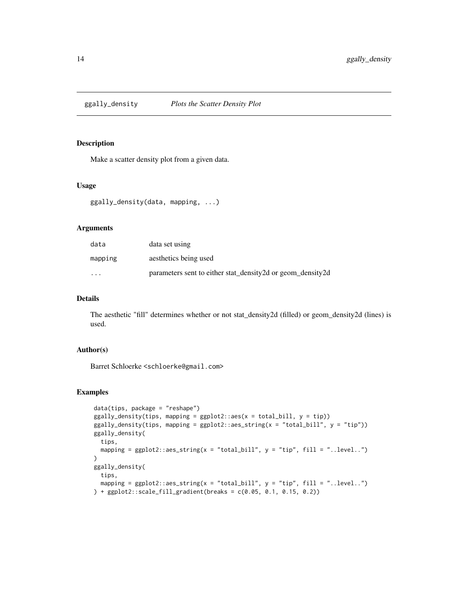<span id="page-13-0"></span>

Make a scatter density plot from a given data.

### Usage

```
ggally_density(data, mapping, ...)
```
#### Arguments

| data                    | data set using                                             |
|-------------------------|------------------------------------------------------------|
| mapping                 | aesthetics being used                                      |
| $\cdot$ $\cdot$ $\cdot$ | parameters sent to either stat_density2d or geom_density2d |

### Details

The aesthetic "fill" determines whether or not stat\_density2d (filled) or geom\_density2d (lines) is used.

### Author(s)

Barret Schloerke <schloerke@gmail.com>

```
data(tips, package = "reshape")
ggally\_density(tips, mapping = ggplot2::aes(x = total\_bill, y = tip))ggally_density(tips, mapping = ggplot2::aes_string(x = "total_bill", y = "tip"))
ggally_density(
 tips,
  mapping = ggplot2::aes\_string(x = "total_bill", y = "tip", fill = "..level.."))
ggally_density(
  tips,
  mapping = ggplot2::aes\_string(x = "total\_bill", y = "tip", fill = ".level..")) + ggplot2::scale_fill_gradient(breaks = c(0.05, 0.1, 0.15, 0.2))
```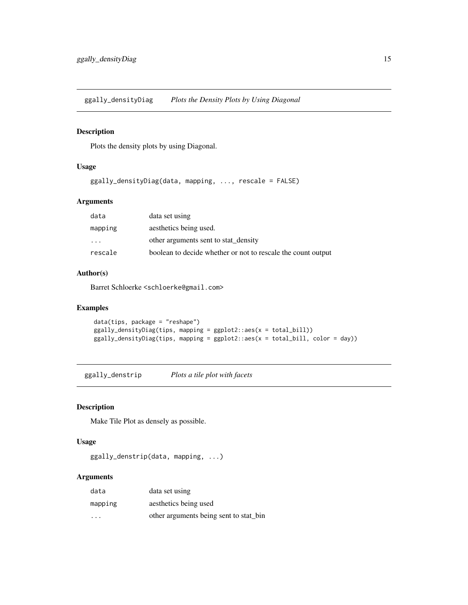<span id="page-14-0"></span>ggally\_densityDiag *Plots the Density Plots by Using Diagonal*

### Description

Plots the density plots by using Diagonal.

### Usage

ggally\_densityDiag(data, mapping, ..., rescale = FALSE)

### Arguments

| data                    | data set using                                               |
|-------------------------|--------------------------------------------------------------|
| mapping                 | aesthetics being used.                                       |
| $\cdot$ $\cdot$ $\cdot$ | other arguments sent to stat density                         |
| rescale                 | boolean to decide whether or not to rescale the count output |

### Author(s)

Barret Schloerke <schloerke@gmail.com>

#### Examples

```
data(tips, package = "reshape")
ggally_densityDiag(tips, mapping = ggplot2::aes(x = total_bill))
ggally_densityDiag(tips, mapping = ggplot2::aes(x = total_bill, color = day))
```
ggally\_denstrip *Plots a tile plot with facets*

### Description

Make Tile Plot as densely as possible.

### Usage

ggally\_denstrip(data, mapping, ...)

#### Arguments

| data                    | data set using                         |
|-------------------------|----------------------------------------|
| mapping                 | aesthetics being used                  |
| $\cdot$ $\cdot$ $\cdot$ | other arguments being sent to stat bin |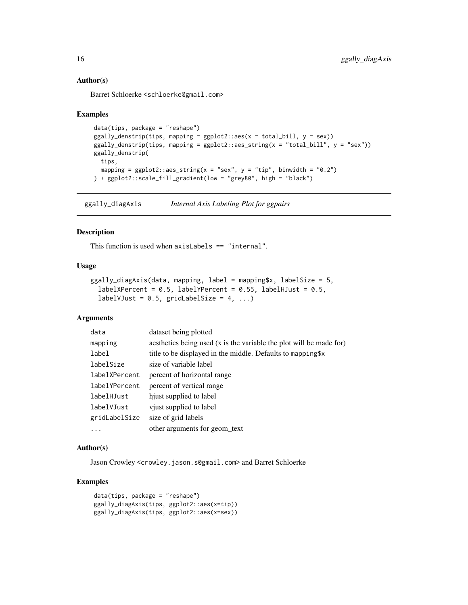#### Author(s)

Barret Schloerke <schloerke@gmail.com>

#### Examples

```
data(tips, package = "reshape")
ggally_density(tips, mapping = ggplot2::aes(x = total_bill, y = sex))ggally_denstrip(tips, mapping = ggplot2::aes_sstring(x = "total_bill", y = "sex"))ggally_denstrip(
 tips,
 mapping = ggplot2::aes\_string(x = "sex", y = "tip", binwidth = "0.2")) + ggplot2::scale_fill_gradient(low = "grey80", high = "black")
```
ggally\_diagAxis *Internal Axis Labeling Plot for ggpairs*

### Description

This function is used when axisLabels == "internal".

### Usage

```
ggally_diagAxis(data, mapping, label = mapping$x, labelSize = 5,
  labelXPercent = 0.5, labelYPercent = 0.55, labelHJust = 0.5,
  labelVJust = 0.5, gridLabelSize = 4, ...)
```
#### Arguments

| data          | dataset being plotted                                               |
|---------------|---------------------------------------------------------------------|
| mapping       | aesthetics being used (x is the variable the plot will be made for) |
| label         | title to be displayed in the middle. Defaults to mapping \$x        |
| labelSize     | size of variable label                                              |
| labelXPercent | percent of horizontal range                                         |
| labelYPercent | percent of vertical range                                           |
| labelHJust    | hjust supplied to label                                             |
| labelVJust    | vjust supplied to label                                             |
| gridLabelSize | size of grid labels                                                 |
| $\ddots$ .    | other arguments for geom_text                                       |

### Author(s)

Jason Crowley <crowley.jason.s@gmail.com> and Barret Schloerke

```
data(tips, package = "reshape")
ggally_diagAxis(tips, ggplot2::aes(x=tip))
ggally_diagAxis(tips, ggplot2::aes(x=sex))
```
<span id="page-15-0"></span>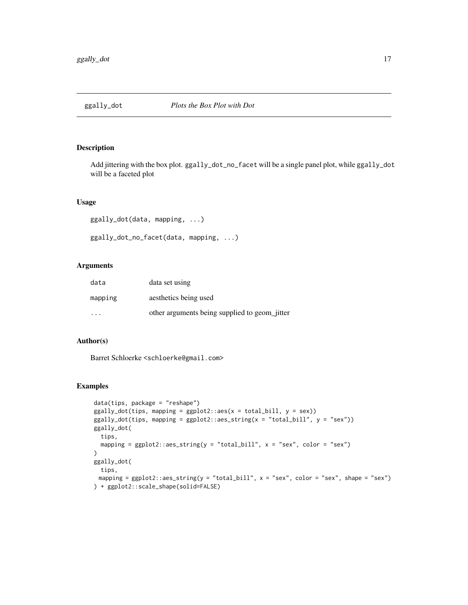<span id="page-16-0"></span>

Add jittering with the box plot. ggally\_dot\_no\_facet will be a single panel plot, while ggally\_dot will be a faceted plot

### Usage

ggally\_dot(data, mapping, ...)

```
ggally_dot_no_facet(data, mapping, ...)
```
#### Arguments

| data                    | data set using                                |
|-------------------------|-----------------------------------------------|
| mapping                 | aesthetics being used                         |
| $\cdot$ $\cdot$ $\cdot$ | other arguments being supplied to geom_jitter |

### Author(s)

Barret Schloerke <schloerke@gmail.com>

```
data(tips, package = "reshape")
ggally_dot(tips, mapping = ggplot2::aes(x = total_bill, y = sex))ggally\_dot(tips, mapping = ggplot2::aes\_string(x = "total\_bill", y = "sex"))ggally_dot(
 tips,
 mapping = ggplot2::aes\_string(y = "total\_bill", x = "sex", color = "sex")\mathcal{L}ggally_dot(
 tips,
 mapping = ggplot2::aes_string(y = "total_bill", x = "sex", color = "sex", shape = "sex")
) + ggplot2::scale_shape(solid=FALSE)
```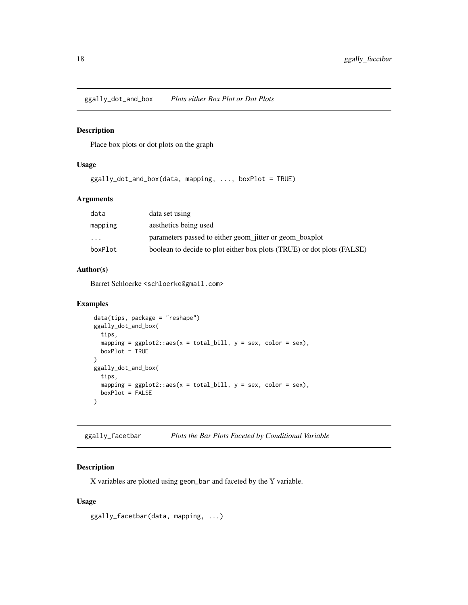<span id="page-17-0"></span>ggally\_dot\_and\_box *Plots either Box Plot or Dot Plots*

### Description

Place box plots or dot plots on the graph

#### Usage

ggally\_dot\_and\_box(data, mapping, ..., boxPlot = TRUE)

### Arguments

| data     | data set using                                                         |
|----------|------------------------------------------------------------------------|
| mapping  | aesthetics being used                                                  |
| $\cdots$ | parameters passed to either geom_jitter or geom_boxplot                |
| boxPlot  | boolean to decide to plot either box plots (TRUE) or dot plots (FALSE) |

#### Author(s)

Barret Schloerke <schloerke@gmail.com>

#### Examples

```
data(tips, package = "reshape")
ggally_dot_and_box(
  tips,
 mapping = ggplot2::aes(x = total\_bill, y = sex, color = sex),boxPlot = TRUE
\lambdaggally_dot_and_box(
 tips,
 mapping = ggplot2::aes(x = total\_bill, y = sex, color = sex),boxPlot = FALSE
)
```
ggally\_facetbar *Plots the Bar Plots Faceted by Conditional Variable*

#### Description

X variables are plotted using geom\_bar and faceted by the Y variable.

#### Usage

```
ggally_facetbar(data, mapping, ...)
```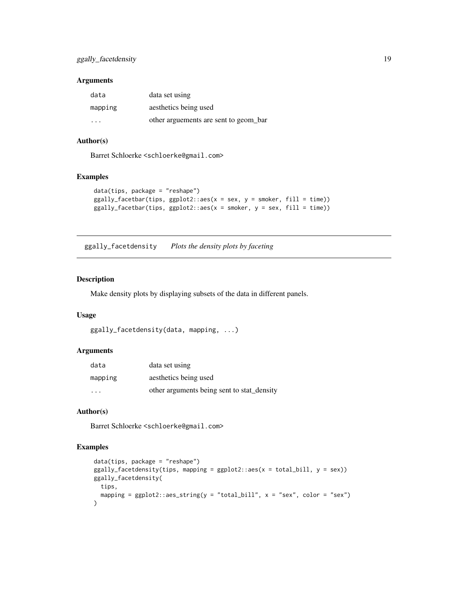### <span id="page-18-0"></span>Arguments

| data                    | data set using                        |
|-------------------------|---------------------------------------|
| mapping                 | aesthetics being used                 |
| $\cdot$ $\cdot$ $\cdot$ | other arguements are sent to geom bar |

#### Author(s)

Barret Schloerke <schloerke@gmail.com>

### Examples

```
data(tips, package = "reshape")
ggally_facethar(tips, ggplot2::aes(x = sex, y = smoker, fill = time))ggally_facetbar(tips, ggplot2::aes(x = smoker, y = sex, fill = time))
```
ggally\_facetdensity *Plots the density plots by faceting*

### Description

Make density plots by displaying subsets of the data in different panels.

### Usage

```
ggally_facetdensity(data, mapping, ...)
```
#### Arguments

| data    | data set using                             |
|---------|--------------------------------------------|
| mapping | aesthetics being used                      |
| .       | other arguments being sent to stat_density |

### Author(s)

Barret Schloerke <schloerke@gmail.com>

```
data(tips, package = "reshape")
ggally_facetdensity(tips, mapping = ggplot2::aes(x = total\_bill, y = sex))ggally_facetdensity(
 tips,
 mapping = ggplot2::aes\_string(y = "total\_bill", x = "sex", color = "sex")\mathcal{L}
```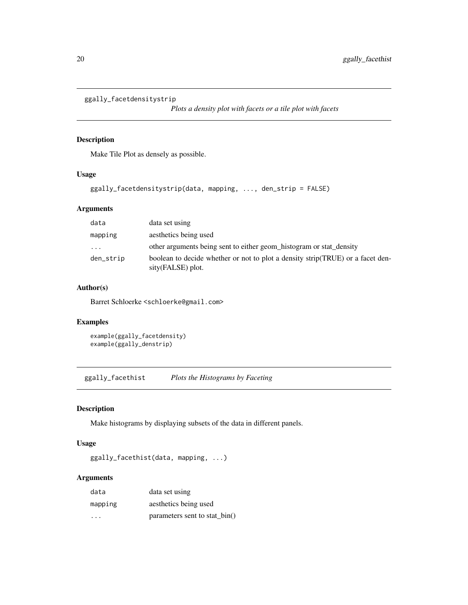```
ggally_facetdensitystrip
```
*Plots a density plot with facets or a tile plot with facets*

# Description

Make Tile Plot as densely as possible.

### Usage

```
ggally_facetdensitystrip(data, mapping, ..., den_strip = FALSE)
```
### Arguments

| data                    | data set using                                                                                      |
|-------------------------|-----------------------------------------------------------------------------------------------------|
| mapping                 | aesthetics being used                                                                               |
| $\cdot$ $\cdot$ $\cdot$ | other arguments being sent to either geom_histogram or stat_density                                 |
| den_strip               | boolean to decide whether or not to plot a density strip(TRUE) or a facet den-<br>sity(FALSE) plot. |

### Author(s)

Barret Schloerke <schloerke@gmail.com>

### Examples

```
example(ggally_facetdensity)
example(ggally_denstrip)
```
ggally\_facethist *Plots the Histograms by Faceting*

# Description

Make histograms by displaying subsets of the data in different panels.

### Usage

ggally\_facethist(data, mapping, ...)

#### Arguments

| data    | data set using                |
|---------|-------------------------------|
| mapping | aesthetics being used         |
| .       | parameters sent to stat_bin() |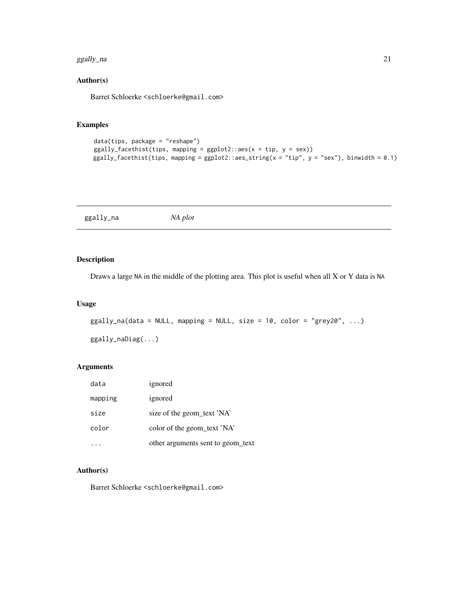#### <span id="page-20-0"></span>ggally\_na 21

### Author(s)

Barret Schloerke <schloerke@gmail.com>

#### Examples

```
data(tips, package = "reshape")
ggally_facethist(tips, mapping = ggplot2::aes(x = tip, y = sex))
ggally_facethist(tips, mapping = ggplot2::aes_string(x = "tip", y = "sex"), binwidth = 0.1)
```
ggally\_na *NA plot*

### Description

Draws a large NA in the middle of the plotting area. This plot is useful when all X or Y data is NA

#### Usage

```
ggally_na(data = NULL, mapping = NULL, size = 10, color = "grey20", ...)
```
ggally\_naDiag(...)

### Arguments

| data    | ignored                           |
|---------|-----------------------------------|
| mapping | ignored                           |
| size    | size of the geom_text 'NA'        |
| color   | color of the geom_text 'NA'       |
|         | other arguments sent to geom text |

# Author(s)

Barret Schloerke <schloerke@gmail.com>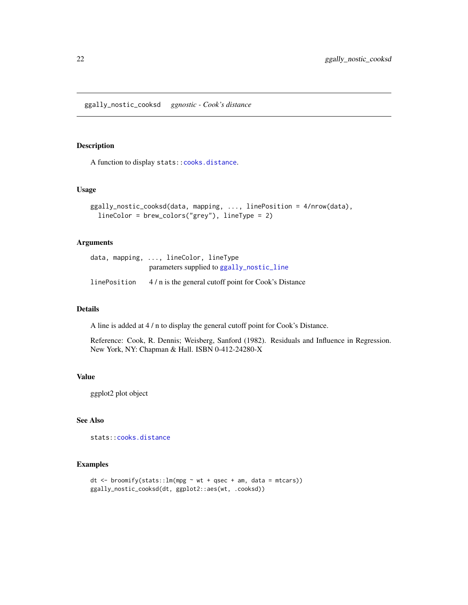<span id="page-21-0"></span>ggally\_nostic\_cooksd *ggnostic - Cook's distance*

#### Description

A function to display stats:[:cooks.distance](#page-0-0).

#### Usage

```
ggally_nostic_cooksd(data, mapping, ..., linePosition = 4/nrow(data),
  lineColor = brew_colors("grey"), lineType = 2)
```
#### Arguments

|              | data, mapping, , lineColor, lineType                |
|--------------|-----------------------------------------------------|
|              | parameters supplied to ggally_nostic_line           |
| linePosition | 4/n is the general cutoff point for Cook's Distance |

#### Details

A line is added at 4 / n to display the general cutoff point for Cook's Distance.

Reference: Cook, R. Dennis; Weisberg, Sanford (1982). Residuals and Influence in Regression. New York, NY: Chapman & Hall. ISBN 0-412-24280-X

#### Value

ggplot2 plot object

### See Also

stats:[:cooks.distance](#page-0-0)

```
dt <- broomify(stats::lm(mpg ~ wt + qsec + am, data = mtcars))
ggally_nostic_cooksd(dt, ggplot2::aes(wt, .cooksd))
```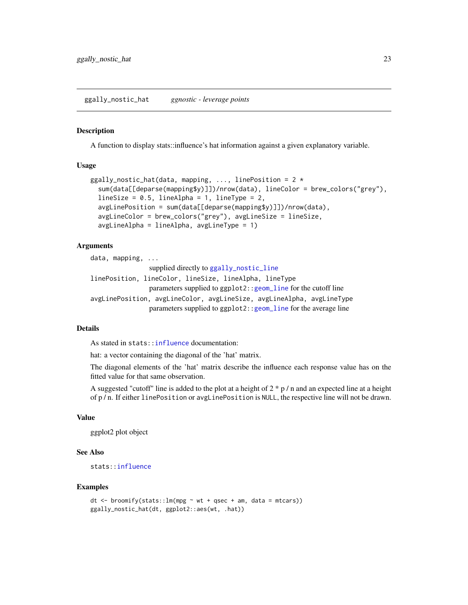```
ggally_nostic_hat ggnostic - leverage points
```
A function to display stats::influence's hat information against a given explanatory variable.

#### Usage

```
ggally_nostic_hat(data, mapping, ..., linePosition = 2 *sum(data[[deparse(mapping$y)]])/nrow(data), lineColor = brew_colors("grey"),
  lineSize = 0.5, lineAlpha = 1, lineType = 2,
  avgLinePosition = sum(data[[deparse(mapping$y)]])/nrow(data),
  avgLineColor = brew_colors("grey"), avgLineSize = lineSize,
  avgLineAlpha = lineAlpha, avgLineType = 1)
```
#### Arguments

```
data, mapping, ...
                 supplied directly to ggally_nostic_line
linePosition, lineColor, lineSize, lineAlpha, lineType
                parameters supplied to ggplot2::geom_line for the cutoff line
avgLinePosition, avgLineColor, avgLineSize, avgLineAlpha, avgLineType
                parameters supplied to ggplot2::geom_line for the average line
```
### Details

As stated in stats:[:influence](#page-0-0) documentation:

hat: a vector containing the diagonal of the 'hat' matrix.

The diagonal elements of the 'hat' matrix describe the influence each response value has on the fitted value for that same observation.

A suggested "cutoff" line is added to the plot at a height of  $2 * p / n$  and an expected line at a height of p / n. If either linePosition or avgLinePosition is NULL, the respective line will not be drawn.

#### Value

ggplot2 plot object

#### See Also

stats:[:influence](#page-0-0)

```
dt \le broomify(stats::lm(mpg \sim wt + qsec + am, data = mtcars))ggally_nostic_hat(dt, ggplot2::aes(wt, .hat))
```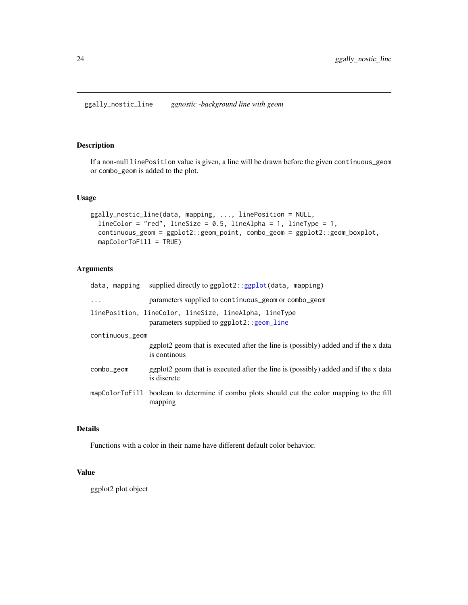<span id="page-23-1"></span><span id="page-23-0"></span>If a non-null linePosition value is given, a line will be drawn before the given continuous\_geom or combo\_geom is added to the plot.

### Usage

```
ggally_nostic_line(data, mapping, ..., linePosition = NULL,
  lineColor = "red", lineSize = 0.5, lineAlpha = 1, lineType = 1,
 continuous_geom = ggplot2::geom_point, combo_geom = ggplot2::geom_boxplot,
 mapColorToFill = TRUE)
```
### Arguments

|                 | data, mapping supplied directly to $ggplot2::ggplot(data, mapping)$                                        |
|-----------------|------------------------------------------------------------------------------------------------------------|
| $\ddots$        | parameters supplied to continuous geom or combo geom                                                       |
|                 | linePosition, lineColor, lineSize, lineAlpha, lineType<br>parameters supplied to $ggplot2$ : : $geom$ line |
| continuous_geom |                                                                                                            |
|                 | ggplot2 geom that is executed after the line is (possibly) added and if the x data<br>is continous         |
| combo_geom      | ggplot2 geom that is executed after the line is (possibly) added and if the x data<br>is discrete          |
|                 | mapColorToFill boolean to determine if combo plots should cut the color mapping to the fill<br>mapping     |

# Details

Functions with a color in their name have different default color behavior.

### Value

ggplot2 plot object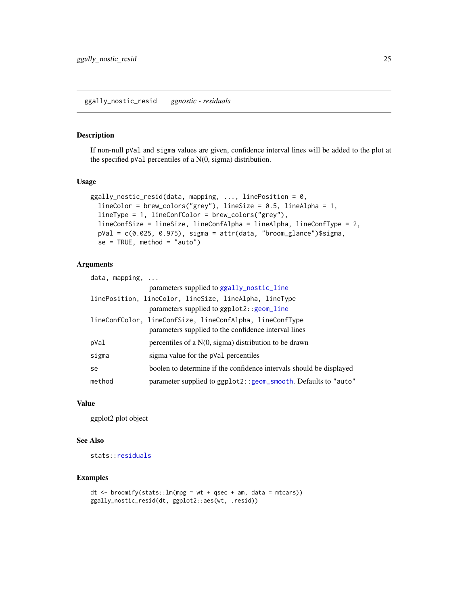<span id="page-24-1"></span><span id="page-24-0"></span>If non-null pVal and sigma values are given, confidence interval lines will be added to the plot at the specified pVal percentiles of a N(0, sigma) distribution.

#### Usage

```
ggally_nostic_resid(data, mapping, ..., linePosition = 0,
  lineColor = brew_colors("grey"), lineSize = 0.5, lineAlpha = 1,
 lineType = 1, lineConfColor = brew_colors("grey"),
 lineConfSize = lineSize, lineConfAlpha = lineAlpha, lineConfType = 2,
 pVal = c(0.025, 0.975), sigma = attr(data, "broom_glance")$sigma,
 se = TRUE, method = "auto")
```
# Arguments

| data, mapping, |                                                                                                                  |
|----------------|------------------------------------------------------------------------------------------------------------------|
|                | parameters supplied to ggally_nostic_line                                                                        |
|                | linePosition, lineColor, lineSize, lineAlpha, lineType<br>parameters supplied to $ggplot2::geom\_line$           |
|                | lineConfColor, lineConfSize, lineConfAlpha, lineConfType<br>parameters supplied to the confidence interval lines |
| pVal           | percentiles of a $N(0, \text{sigma})$ distribution to be drawn                                                   |
| sigma          | sigma value for the pVal percentiles                                                                             |
| se             | boolen to determine if the confidence intervals should be displayed                                              |
| method         | parameter supplied to ggplot2:: geom_smooth. Defaults to "auto"                                                  |

### Value

ggplot2 plot object

# See Also

stats:[:residuals](#page-0-0)

```
dt <- broomify(stats::lm(mpg \sim wt + qsec + am, data = mtcars))
ggally_nostic_resid(dt, ggplot2::aes(wt, .resid))
```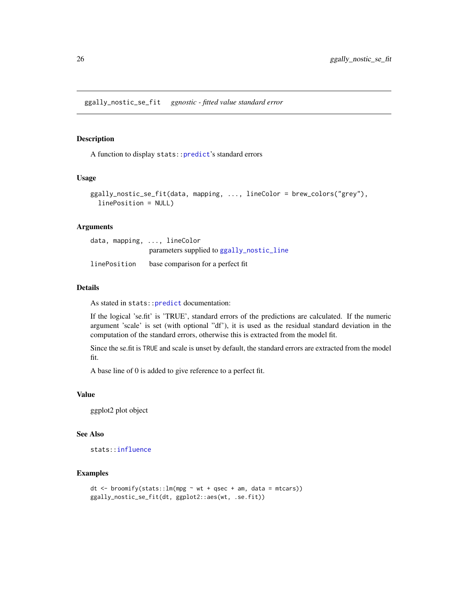<span id="page-25-0"></span>A function to display stats:[:predict](#page-0-0)'s standard errors

#### Usage

```
ggally_nostic_se_fit(data, mapping, ..., lineColor = brew_colors("grey"),
 linePosition = NULL)
```
### Arguments

|              | data, mapping, , lineColor                |
|--------------|-------------------------------------------|
|              | parameters supplied to ggally_nostic_line |
| linePosition | base comparison for a perfect fit         |

#### Details

As stated in stats:[:predict](#page-0-0) documentation:

If the logical 'se.fit' is 'TRUE', standard errors of the predictions are calculated. If the numeric argument 'scale' is set (with optional "df'), it is used as the residual standard deviation in the computation of the standard errors, otherwise this is extracted from the model fit.

Since the se.fit is TRUE and scale is unset by default, the standard errors are extracted from the model fit.

A base line of 0 is added to give reference to a perfect fit.

#### Value

ggplot2 plot object

#### See Also

stats:[:influence](#page-0-0)

```
dt \le broomify(stats::lm(mpg \sim wt + qsec + am, data = mtcars))
ggally_nostic_se_fit(dt, ggplot2::aes(wt, .se.fit))
```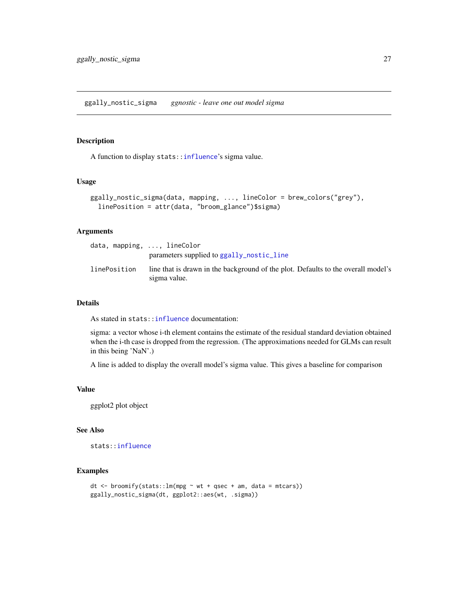<span id="page-26-0"></span>A function to display stats:[:influence](#page-0-0)'s sigma value.

#### Usage

```
ggally_nostic_sigma(data, mapping, ..., lineColor = brew_colors("grey"),
  linePosition = attr(data, "broom_glance")$sigma)
```
### Arguments

| $data$ , mapping, $\ldots$ , lineColor |                                                                                                   |
|----------------------------------------|---------------------------------------------------------------------------------------------------|
|                                        | parameters supplied to ggally_nostic_line                                                         |
| linePosition                           | line that is drawn in the background of the plot. Defaults to the overall model's<br>sigma value. |

#### Details

As stated in stats:[:influence](#page-0-0) documentation:

sigma: a vector whose i-th element contains the estimate of the residual standard deviation obtained when the i-th case is dropped from the regression. (The approximations needed for GLMs can result in this being 'NaN'.)

A line is added to display the overall model's sigma value. This gives a baseline for comparison

#### Value

ggplot2 plot object

#### See Also

stats:[:influence](#page-0-0)

```
dt \leq broomify(stats::lm(mpg \sim wt + qsec + am, data = mtcars))
ggally_nostic_sigma(dt, ggplot2::aes(wt, .sigma))
```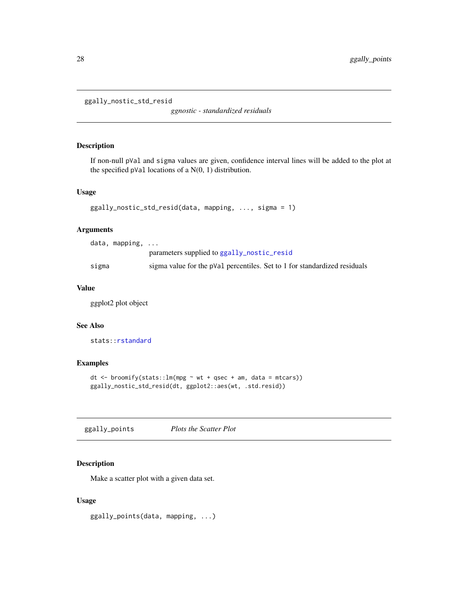```
ggally_nostic_std_resid
```
*ggnostic - standardized residuals*

### Description

If non-null pVal and sigma values are given, confidence interval lines will be added to the plot at the specified pVal locations of a  $N(0, 1)$  distribution.

### Usage

```
ggally_nostic_std_resid(data, mapping, ..., sigma = 1)
```
#### Arguments

|       | data, mapping, |                                                                           |
|-------|----------------|---------------------------------------------------------------------------|
|       |                | parameters supplied to ggally_nostic_resid                                |
| sigma |                | sigma value for the pVal percentiles. Set to 1 for standardized residuals |

#### Value

ggplot2 plot object

### See Also

stats:[:rstandard](#page-0-0)

### Examples

```
dt <- broomify(stats::lm(mpg ~ wt + qsec + am, data = mtcars))
ggally_nostic_std_resid(dt, ggplot2::aes(wt, .std.resid))
```
ggally\_points *Plots the Scatter Plot*

#### Description

Make a scatter plot with a given data set.

#### Usage

ggally\_points(data, mapping, ...)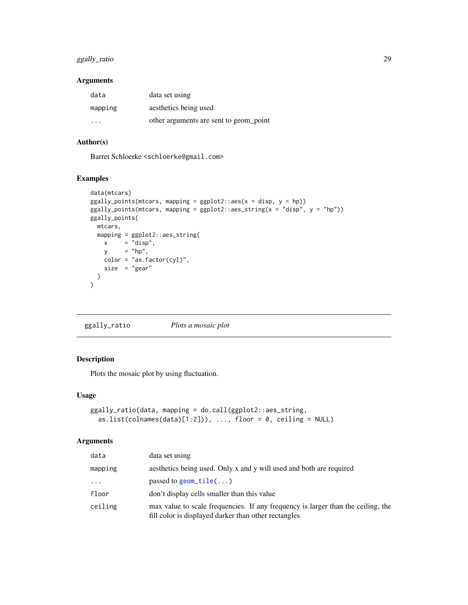### <span id="page-28-0"></span>ggally\_ratio 29

### Arguments

| data                    | data set using                         |
|-------------------------|----------------------------------------|
| mapping                 | aesthetics being used                  |
| $\cdot$ $\cdot$ $\cdot$ | other arguments are sent to geom point |

# Author(s)

Barret Schloerke <schloerke@gmail.com>

### Examples

```
data(mtcars)
ggally_points(mtcars, mapping = ggplot2::aes(x = disp, y = hp))ggally_points(mtcars, mapping = ggplot2::aes_string(x = "disp", y = "hp"))
ggally_points(
 mtcars,
 mapping = ggplot2::aes_string(
   x = "disp",y = "hp",color = "as.factor(cyl)",size = "gear"
 \lambda\mathcal{L}
```
ggally\_ratio *Plots a mosaic plot*

### Description

Plots the mosaic plot by using fluctuation.

#### Usage

```
ggally_ratio(data, mapping = do.call(ggplot2::aes_string,
  as.list(colnames(data)[1:2])), \ldots, floor = 0, ceiling = NULL)
```
# Arguments

| data    | data set using                                                                                                                           |
|---------|------------------------------------------------------------------------------------------------------------------------------------------|
| mapping | aesthetics being used. Only x and y will used and both are required                                                                      |
| .       | passed to geom_tile()                                                                                                                    |
| floor   | don't display cells smaller than this value                                                                                              |
| ceiling | max value to scale frequencies. If any frequency is larger than the ceiling, the<br>fill color is displayed darker than other rectangles |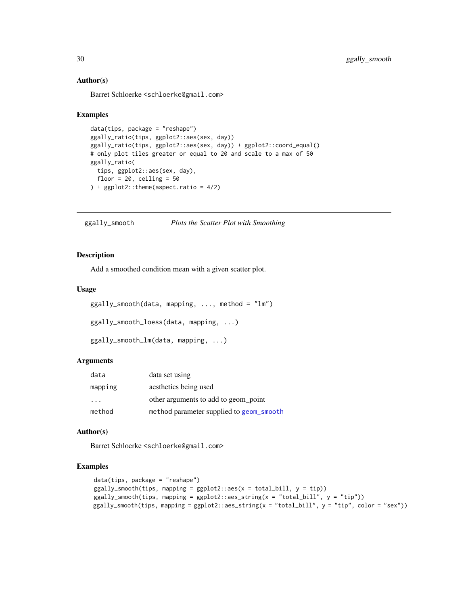#### Author(s)

Barret Schloerke <schloerke@gmail.com>

#### Examples

```
data(tips, package = "reshape")
ggally_ratio(tips, ggplot2::aes(sex, day))
ggally_ratio(tips, ggplot2::aes(sex, day)) + ggplot2::coord_equal()
# only plot tiles greater or equal to 20 and scale to a max of 50
ggally_ratio(
  tips, ggplot2::aes(sex, day),
  floor = 20, ceiling = 50) + ggplot2::theme(aspect.ratio = 4/2)
```
ggally\_smooth *Plots the Scatter Plot with Smoothing*

#### Description

Add a smoothed condition mean with a given scatter plot.

#### Usage

```
ggally_smooth(data, mapping, ..., method = "lm")
```

```
ggally_smooth_loess(data, mapping, ...)
```

```
ggally_smooth_lm(data, mapping, ...)
```
#### Arguments

| data    | data set using                           |
|---------|------------------------------------------|
| mapping | aesthetics being used                    |
| .       | other arguments to add to geom point     |
| method  | method parameter supplied to geom_smooth |

#### Author(s)

Barret Schloerke <schloerke@gmail.com>

```
data(tips, package = "reshape")
ggally_smooth(tips, mapping = ggplot2::aes(x = total_bill, y = tip))ggally_smooth(tips, mapping = ggplot2::aes_string(x = "total_bill", y = "tip"))
ggally_smooth(tips, mapping = ggplot2::aes_sstring(x = "total_bill", y = "tip", color = "sex"))
```
<span id="page-29-0"></span>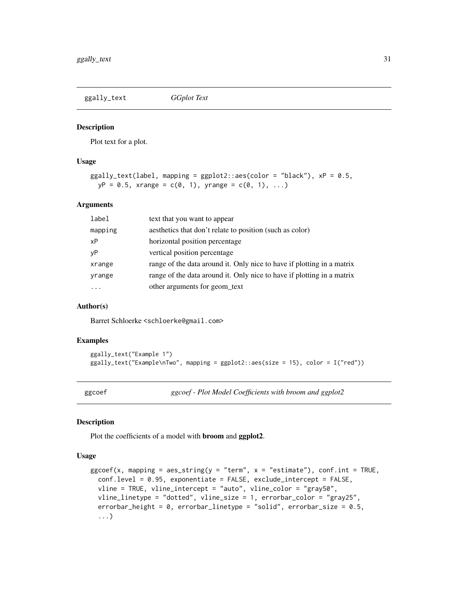<span id="page-30-0"></span>

Plot text for a plot.

#### Usage

```
ggally_text(label, maping = ggplot2::aes(color = "black"), xp = 0.5,yP = 0.5, xrange = c(0, 1), yrange = c(0, 1), ...)
```
### Arguments

| label   | text that you want to appear                                           |
|---------|------------------------------------------------------------------------|
| mapping | aesthetics that don't relate to position (such as color)               |
| хP      | horizontal position percentage                                         |
| νP      | vertical position percentage                                           |
| xrange  | range of the data around it. Only nice to have if plotting in a matrix |
| yrange  | range of the data around it. Only nice to have if plotting in a matrix |
| .       | other arguments for geom_text                                          |

#### Author(s)

Barret Schloerke <schloerke@gmail.com>

#### Examples

```
ggally_text("Example 1")
ggally_text("Example\nTwo", mapping = ggplot2::aes(size = 15), color = I("red"))
```
ggcoef *ggcoef - Plot Model Coefficients with broom and ggplot2*

#### Description

Plot the coefficients of a model with broom and ggplot2.

#### Usage

```
gg \text{coef}(x, map \text{ning} = \text{aes\_string}(y = "term", x = "estimate"), \text{conf.int} = \text{TRUE},conf.level = 0.95, exponentiate = FALSE, exclude_intercept = FALSE,
  vline = TRUE, vline_intercept = "auto", vline_color = "gray50",
  vline_linetype = "dotted", vline_size = 1, errorbar_color = "gray25",
  errorbar_height = 0, errorbar_linetype = "solid", errorbar_size = 0.5,
  ...)
```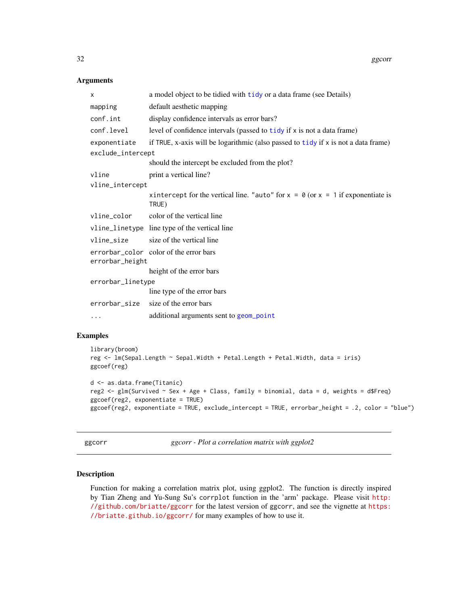#### Arguments

| X                                                         | a model object to be tidied with tidy or a data frame (see Details)                          |  |
|-----------------------------------------------------------|----------------------------------------------------------------------------------------------|--|
| mapping                                                   | default aesthetic mapping                                                                    |  |
| conf.int                                                  | display confidence intervals as error bars?                                                  |  |
| conf.level                                                | level of confidence intervals (passed to tidy if x is not a data frame)                      |  |
| exponentiate                                              | if TRUE, x-axis will be logarithmic (also passed to $tidy$ if $x$ is not a data frame)       |  |
| exclude_intercept                                         |                                                                                              |  |
|                                                           | should the intercept be excluded from the plot?                                              |  |
| vline                                                     | print a vertical line?                                                                       |  |
| vline_intercept                                           |                                                                                              |  |
|                                                           | xintercept for the vertical line. "auto" for $x = 0$ (or $x = 1$ if exponentiate is<br>TRUE) |  |
| vline_color                                               | color of the vertical line                                                                   |  |
|                                                           | vline_linetype line type of the vertical line                                                |  |
| vline_size                                                | size of the vertical line                                                                    |  |
| errorbar_color color of the error bars<br>errorbar_height |                                                                                              |  |
|                                                           | height of the error bars                                                                     |  |
| errorbar_linetype                                         |                                                                                              |  |
|                                                           | line type of the error bars                                                                  |  |
| errorbar_size                                             | size of the error bars                                                                       |  |
| $\cdots$                                                  | additional arguments sent to geom_point                                                      |  |
|                                                           |                                                                                              |  |

### Examples

```
library(broom)
reg <- lm(Sepal.Length ~ Sepal.Width + Petal.Length + Petal.Width, data = iris)
ggcoef(reg)
d <- as.data.frame(Titanic)
reg2 \le glm(Survived \sim Sex + Age + Class, family = binomial, data = d, weights = d$Freq)
ggcoef(reg2, exponentiate = TRUE)
ggcoef(reg2, exponentiate = TRUE, exclude_intercept = TRUE, errorbar_height = .2, color = "blue")
```
ggcorr *ggcorr - Plot a correlation matrix with ggplot2*

#### Description

Function for making a correlation matrix plot, using ggplot2. The function is directly inspired by Tian Zheng and Yu-Sung Su's corrplot function in the 'arm' package. Please visit [http:](http://github.com/briatte/ggcorr) [//github.com/briatte/ggcorr](http://github.com/briatte/ggcorr) for the latest version of ggcorr, and see the vignette at [https:](https://briatte.github.io/ggcorr/) [//briatte.github.io/ggcorr/](https://briatte.github.io/ggcorr/) for many examples of how to use it.

<span id="page-31-0"></span>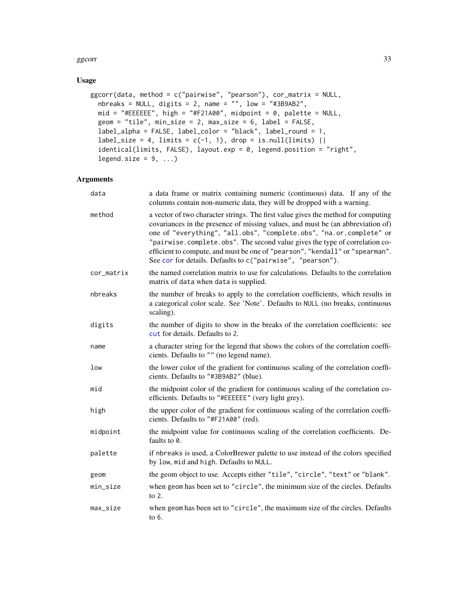#### ggcorr 33

### Usage

```
ggcorr(data, method = c("pairwise", "pearson"), cor_matrix = NULL,
  nbreaks = NULL, digits = 2, name = "", low = "#3B9AB2",
  mid = "#EEEEEE", high = "#F21A00", midpoint = 0, palette = NULL,
 geom = "tile", min_size = 2, max_size = 6, label = FALSE,label_alpha = FALSE, label_color = "black", label_round = 1,
  label_size = 4, limits = c(-1, 1), drop = is.null(limits) ||
  identical(limits, FALSE), layout.exp = 0, legend.position = "right",
  legend.size = 9, ...)
```
#### Arguments

| data       | a data frame or matrix containing numeric (continuous) data. If any of the<br>columns contain non-numeric data, they will be dropped with a warning.                                                                                                                                                                                                                                                                                                                     |
|------------|--------------------------------------------------------------------------------------------------------------------------------------------------------------------------------------------------------------------------------------------------------------------------------------------------------------------------------------------------------------------------------------------------------------------------------------------------------------------------|
| method     | a vector of two character strings. The first value gives the method for computing<br>covariances in the presence of missing values, and must be (an abbreviation of)<br>one of "everything", "all.obs", "complete.obs", "na.or.complete" or<br>"pairwise.complete.obs". The second value gives the type of correlation co-<br>efficient to compute, and must be one of "pearson", "kendall" or "spearman".<br>See cor for details. Defaults to c("pairwise", "pearson"). |
| cor_matrix | the named correlation matrix to use for calculations. Defaults to the correlation<br>matrix of data when data is supplied.                                                                                                                                                                                                                                                                                                                                               |
| nbreaks    | the number of breaks to apply to the correlation coefficients, which results in<br>a categorical color scale. See 'Note'. Defaults to NULL (no breaks, continuous<br>scaling).                                                                                                                                                                                                                                                                                           |
| digits     | the number of digits to show in the breaks of the correlation coefficients: see<br>cut for details. Defaults to 2.                                                                                                                                                                                                                                                                                                                                                       |
| name       | a character string for the legend that shows the colors of the correlation coeffi-<br>cients. Defaults to "" (no legend name).                                                                                                                                                                                                                                                                                                                                           |
| low        | the lower color of the gradient for continuous scaling of the correlation coeffi-<br>cients. Defaults to "#3B9AB2" (blue).                                                                                                                                                                                                                                                                                                                                               |
| mid        | the midpoint color of the gradient for continuous scaling of the correlation co-<br>efficients. Defaults to "#EEEEEE" (very light grey).                                                                                                                                                                                                                                                                                                                                 |
| high       | the upper color of the gradient for continuous scaling of the correlation coeffi-<br>cients. Defaults to "#F21A00" (red).                                                                                                                                                                                                                                                                                                                                                |
| midpoint   | the midpoint value for continuous scaling of the correlation coefficients. De-<br>faults to 0.                                                                                                                                                                                                                                                                                                                                                                           |
| palette    | if nbreaks is used, a ColorBrewer palette to use instead of the colors specified<br>by low, mid and high. Defaults to NULL.                                                                                                                                                                                                                                                                                                                                              |
| geom       | the geom object to use. Accepts either "tile", "circle", "text" or "blank".                                                                                                                                                                                                                                                                                                                                                                                              |
| min_size   | when geom has been set to "circle", the minimum size of the circles. Defaults<br>to $2$ .                                                                                                                                                                                                                                                                                                                                                                                |
| max_size   | when geom has been set to "circle", the maximum size of the circles. Defaults<br>to 6.                                                                                                                                                                                                                                                                                                                                                                                   |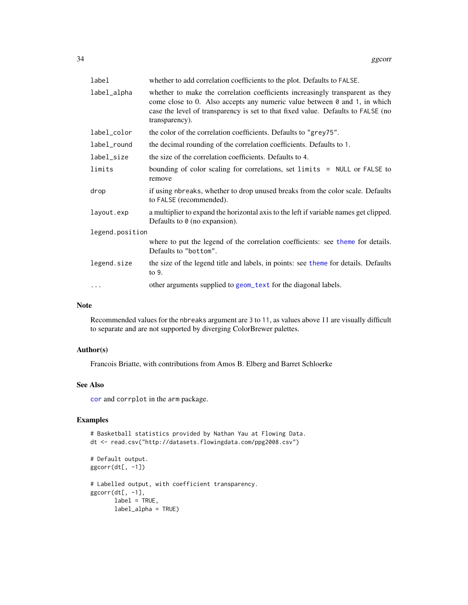| label           | whether to add correlation coefficients to the plot. Defaults to FALSE.                                                                                                                                                                                                 |  |
|-----------------|-------------------------------------------------------------------------------------------------------------------------------------------------------------------------------------------------------------------------------------------------------------------------|--|
| label_alpha     | whether to make the correlation coefficients increasingly transparent as they<br>come close to 0. Also accepts any numeric value between $\theta$ and 1, in which<br>case the level of transparency is set to that fixed value. Defaults to FALSE (no<br>transparency). |  |
| label_color     | the color of the correlation coefficients. Defaults to "grey75".                                                                                                                                                                                                        |  |
| label_round     | the decimal rounding of the correlation coefficients. Defaults to 1.                                                                                                                                                                                                    |  |
| label_size      | the size of the correlation coefficients. Defaults to 4.                                                                                                                                                                                                                |  |
| limits          | bounding of color scaling for correlations, set limits = NULL or FALSE to<br>remove                                                                                                                                                                                     |  |
| drop            | if using nbreaks, whether to drop unused breaks from the color scale. Defaults<br>to FALSE (recommended).                                                                                                                                                               |  |
| layout.exp      | a multiplier to expand the horizontal axis to the left if variable names get clipped.<br>Defaults to $\theta$ (no expansion).                                                                                                                                           |  |
| legend.position |                                                                                                                                                                                                                                                                         |  |
|                 | where to put the legend of the correlation coefficients: see theme for details.<br>Defaults to "bottom".                                                                                                                                                                |  |
| legend.size     | the size of the legend title and labels, in points: see theme for details. Defaults<br>to 9.                                                                                                                                                                            |  |
| $\cdots$        | other arguments supplied to geom_text for the diagonal labels.                                                                                                                                                                                                          |  |

### Note

Recommended values for the nbreaks argument are 3 to 11, as values above 11 are visually difficult to separate and are not supported by diverging ColorBrewer palettes.

### Author(s)

Francois Briatte, with contributions from Amos B. Elberg and Barret Schloerke

### See Also

[cor](#page-0-0) and corrplot in the arm package.

# Examples

# Basketball statistics provided by Nathan Yau at Flowing Data. dt <- read.csv("http://datasets.flowingdata.com/ppg2008.csv")

```
# Default output.
ggorr(dt[, -1])# Labelled output, with coefficient transparency.
ggcorr(dt[, -1],
      label = TRUE,label_alpha = TRUE)
```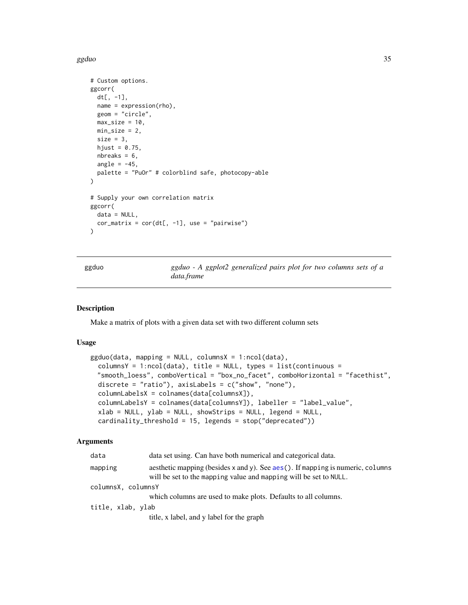<span id="page-34-0"></span>ggduo 35

```
# Custom options.
ggcorr(
  dt[, -1],
 name = expression(rho),
  geom = "circle",
  max_size = 10,
 min\_size = 2,
  size = 3,
  hjust = 0.75,
  nbreaks = 6,
  angle = -45,
  palette = "PuOr" # colorblind safe, photocopy-able
)
# Supply your own correlation matrix
ggcorr(
  data = NULL,
  cor_matrix = cor(dt[, -1], use = "pairwise"))
```
ggduo *ggduo - A ggplot2 generalized pairs plot for two columns sets of a data.frame*

#### Description

Make a matrix of plots with a given data set with two different column sets

#### Usage

```
ggduo(data, mapping = NULL, columnsX = 1:ncol(data),columnsY = 1:ncol(data), title = NULL, types = list(continuous =
 "smooth_loess", comboVertical = "box_no_facet", comboHorizontal = "facethist",
 discrete = "ratio"), axisLabels = c("show", "none"),columnLabelsX = colnames(data[columnsX]),
  columnLabelsY = colnames(data[columnsY]), labeller = "label_value",
 xlab = NULL, ylab = NULL, showStrips = NULL, legend = NULL,
 cardinality_threshold = 15, legends = stop("deprecated"))
```
### Arguments

| data               | data set using. Can have both numerical and categorical data.                                                                                             |  |
|--------------------|-----------------------------------------------------------------------------------------------------------------------------------------------------------|--|
| mapping            | aesthetic mapping (besides $x$ and $y$ ). See aes (). If mapping is numeric, columns<br>will be set to the mapping value and mapping will be set to NULL. |  |
| columnsX, columnsY |                                                                                                                                                           |  |
|                    | which columns are used to make plots. Defaults to all columns.                                                                                            |  |
| title, xlab, ylab  |                                                                                                                                                           |  |
|                    | title, x label, and y label for the graph                                                                                                                 |  |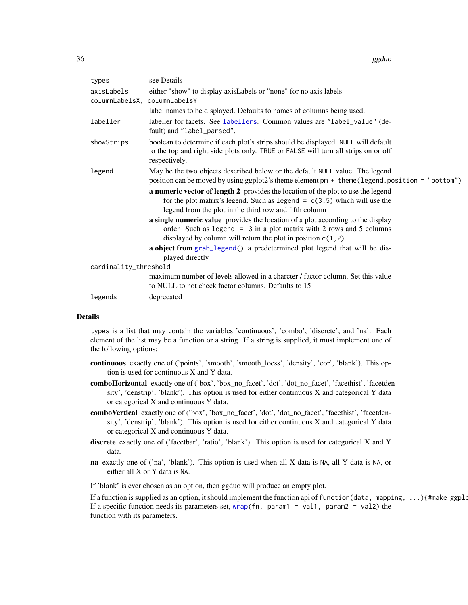| types                                      | see Details                                                                                                                                                                                                                 |
|--------------------------------------------|-----------------------------------------------------------------------------------------------------------------------------------------------------------------------------------------------------------------------------|
| axisLabels<br>columnLabelsX, columnLabelsY | either "show" to display axisLabels or "none" for no axis labels                                                                                                                                                            |
|                                            | label names to be displayed. Defaults to names of columns being used.                                                                                                                                                       |
| labeller                                   | labeller for facets. See labellers. Common values are "label_value" (de-<br>fault) and "label_parsed".                                                                                                                      |
| showStrips                                 | boolean to determine if each plot's strips should be displayed. NULL will default<br>to the top and right side plots only. TRUE or FALSE will turn all strips on or off<br>respectively.                                    |
| legend                                     | May be the two objects described below or the default NULL value. The legend<br>position can be moved by using ggplot2's theme element pm + theme (legend.position = "bottom")                                              |
|                                            | a numeric vector of length 2 provides the location of the plot to use the legend<br>for the plot matrix's legend. Such as legend = $c(3,5)$ which will use the<br>legend from the plot in the third row and fifth column    |
|                                            | a single numeric value provides the location of a plot according to the display<br>order. Such as legend $= 3$ in a plot matrix with 2 rows and 5 columns<br>displayed by column will return the plot in position $c(1, 2)$ |
|                                            | a object from grab_legend() a predetermined plot legend that will be dis-<br>played directly                                                                                                                                |
| cardinality_threshold                      |                                                                                                                                                                                                                             |
|                                            | maximum number of levels allowed in a charcter / factor column. Set this value<br>to NULL to not check factor columns. Defaults to 15                                                                                       |
| legends                                    | deprecated                                                                                                                                                                                                                  |

#### Details

types is a list that may contain the variables 'continuous', 'combo', 'discrete', and 'na'. Each element of the list may be a function or a string. If a string is supplied, it must implement one of the following options:

- continuous exactly one of ('points', 'smooth', 'smooth\_loess', 'density', 'cor', 'blank'). This option is used for continuous X and Y data.
- comboHorizontal exactly one of ('box', 'box\_no\_facet', 'dot', 'dot\_no\_facet', 'facethist', 'facetdensity', 'denstrip', 'blank'). This option is used for either continuous X and categorical Y data or categorical X and continuous Y data.
- comboVertical exactly one of ('box', 'box no facet', 'dot', 'dot no facet', 'facethist', 'facetdensity', 'denstrip', 'blank'). This option is used for either continuous X and categorical Y data or categorical X and continuous Y data.
- discrete exactly one of ('facetbar', 'ratio', 'blank'). This option is used for categorical X and Y data.
- na exactly one of ('na', 'blank'). This option is used when all X data is NA, all Y data is NA, or either all X or Y data is NA.

If 'blank' is ever chosen as an option, then ggduo will produce an empty plot.

If a function is supplied as an option, it should implement the function api of function(data, mapping, ...){#make ggplot If a specific function needs its parameters set,  $wrap(fn)$  $wrap(fn)$ , param1 = val1, param2 = val2) the function with its parameters.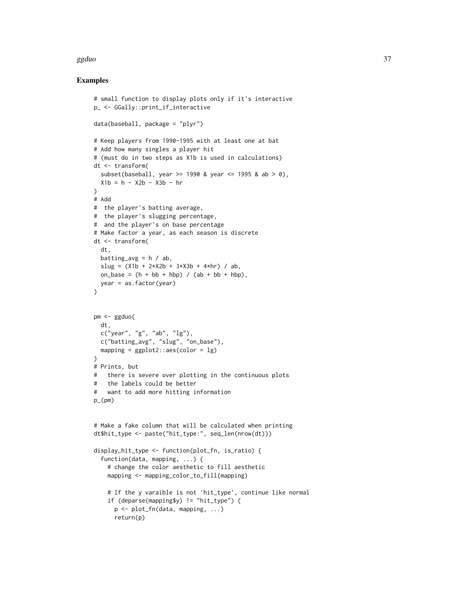#### ggduo 37 a.C. 2006 a.C. 2007 a.C. 2008 a.C. 2008 a.C. 2008 a.C. 2008 a.C. 2008 a.C. 2008 a.C. 2008 a.C. 2008 a

```
# small function to display plots only if it's interactive
p_ <- GGally::print_if_interactive
data(baseball, package = "plyr")
# Keep players from 1990-1995 with at least one at bat
# Add how many singles a player hit
# (must do in two steps as X1b is used in calculations)
dt <- transform(
  subset(baseball, year >= 1990 & year <= 1995 & ab > 0),
 X1b = h - X2b - X3b - hr)
# Add
# the player's batting average,
# the player's slugging percentage,
# and the player's on base percentage
# Make factor a year, as each season is discrete
dt <- transform(
  dt,
  batting_avg = h / ab,
  slug = (X1b + 2*X2b + 3*X3b + 4*hr) / ab,on_base = (h + bb + hbp) / (ab + bb + hbp),
 year = as.factor(year)
)
pm <- ggduo(
 dt,
  c("year", "g", "ab", "lg"),
  c("batting_avg", "slug", "on_base"),
  mapping = ggplot2::aes(color = lg)\lambda# Prints, but
# there is severe over plotting in the continuous plots
# the labels could be better
# want to add more hitting information
p_{(pm)}# Make a fake column that will be calculated when printing
dt$hit_type <- paste("hit_type:", seq_len(nrow(dt)))
display_hit_type <- function(plot_fn, is_ratio) {
  function(data, mapping, ...) {
    # change the color aesthetic to fill aesthetic
    mapping <- mapping_color_to_fill(mapping)
    # If the y varaible is not 'hit_type', continue like normal
    if (deparse(mapping$y) != "hit_type") {
      p <- plot_fn(data, mapping, ...)
      return(p)
```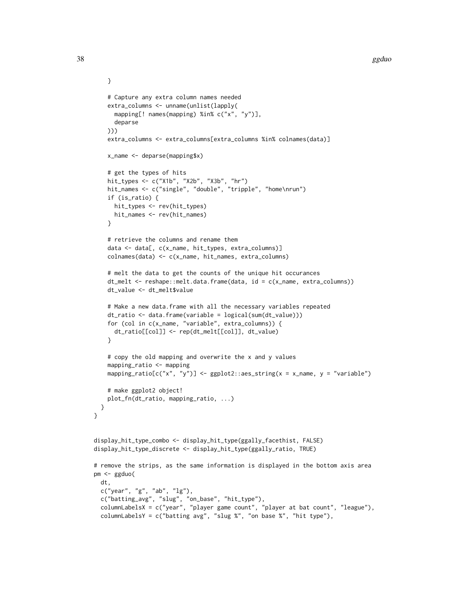```
# Capture any extra column names needed
    extra_columns <- unname(unlist(lapply(
     mapping[! names(mapping) %in% c("x", "y")],
     deparse
   )))
    extra_columns <- extra_columns[extra_columns %in% colnames(data)]
   x_name <- deparse(mapping$x)
    # get the types of hits
    hit_types <- c("X1b", "X2b", "X3b", "hr")
   hit_names <- c("single", "double", "tripple", "home\nrun")
    if (is_ratio) {
     hit_types <- rev(hit_types)
     hit_names <- rev(hit_names)
    }
    # retrieve the columns and rename them
    data <- data[, c(x_name, hit_types, extra_columns)]
    colnames(data) <- c(x_name, hit_names, extra_columns)
    # melt the data to get the counts of the unique hit occurances
    dt_melt <- reshape::melt.data.frame(data, id = c(x_name, extra_columns))
    dt_value <- dt_melt$value
    # Make a new data.frame with all the necessary variables repeated
    dt_ratio <- data.frame(variable = logical(sum(dt_value)))
    for (col in c(x_name, "variable", extra_columns)) {
     dt_ratio[[col]] <- rep(dt_melt[[col]], dt_value)
    }
    # copy the old mapping and overwrite the x and y values
    mapping_ratio <- mapping
    mapping_ratio[c("x", "y")] <- ggplot2::aes_string(x = x_name, y = "variable")
    # make ggplot2 object!
    plot_fn(dt_ratio, mapping_ratio, ...)
  }
}
display_hit_type_combo <- display_hit_type(ggally_facethist, FALSE)
display_hit_type_discrete <- display_hit_type(ggally_ratio, TRUE)
# remove the strips, as the same information is displayed in the bottom axis area
pm <- ggduo(
 dt,
 c("year", "g", "ab", "lg"),
 c("batting_avg", "slug", "on_base", "hit_type"),
  columnLabelsX = c("year", "player game count", "player at bat count", "league"),
 columnLabelsY = c("batting avg", "slug %", "on base %", "hit type"),
```
}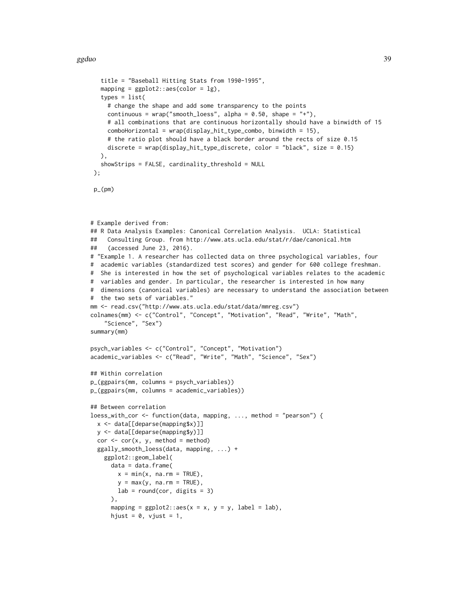```
title = "Baseball Hitting Stats from 1990-1995",
   mapping = ggplot2::aes(color = lg),
   types = list(
     # change the shape and add some transparency to the points
     continuous = wrap("smooth_loess", alpha = 0.50, shape = "+"),
     # all combinations that are continuous horizontally should have a binwidth of 15
     comboHorizontal = wrap(display_hit_type_combo, binwidth = 15),
     # the ratio plot should have a black border around the rects of size 0.15
     discrete = wrap(display_hit_type_discrete, color = "black", size = 0.15)
   ),
   showStrips = FALSE, cardinality_threshold = NULL
 );
 p_-(pm)# Example derived from:
## R Data Analysis Examples: Canonical Correlation Analysis. UCLA: Statistical
## Consulting Group. from http://www.ats.ucla.edu/stat/r/dae/canonical.htm
## (accessed June 23, 2016).
# "Example 1. A researcher has collected data on three psychological variables, four
# academic variables (standardized test scores) and gender for 600 college freshman.
# She is interested in how the set of psychological variables relates to the academic
# variables and gender. In particular, the researcher is interested in how many
# dimensions (canonical variables) are necessary to understand the association between
# the two sets of variables."
mm <- read.csv("http://www.ats.ucla.edu/stat/data/mmreg.csv")
colnames(mm) <- c("Control", "Concept", "Motivation", "Read", "Write", "Math",
    "Science", "Sex")
summary(mm)
psych_variables <- c("Control", "Concept", "Motivation")
academic_variables <- c("Read", "Write", "Math", "Science", "Sex")
## Within correlation
p_(ggpairs(mm, columns = psych_variables))
p_(ggpairs(mm, columns = academic_variables))
## Between correlation
loess_with_cor <- function(data, mapping, ..., method = "pearson") {
  x <- data[[deparse(mapping$x)]]
  y <- data[[deparse(mapping$y)]]
  cor < - cor(x, y, method = method)ggally_smooth_loess(data, mapping, ...) +
    ggplot2::geom_label(
      data = data.frame(x = min(x, na.rm = TRUE),y = max(y, na.rm = TRUE),lab = round(cor, digits = 3)),
      mapping = ggplot2::aes(x = x, y = y, label = lab),
      hjust = 0, vjust = 1,
```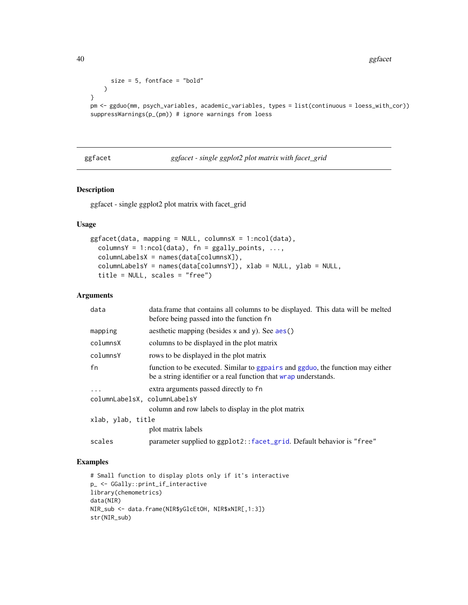```
size = 5, fontface = "bold"
   )
}
```

```
pm <- ggduo(mm, psych_variables, academic_variables, types = list(continuous = loess_with_cor))
suppressWarnings(p_(pm)) # ignore warnings from loess
```
ggfacet *ggfacet - single ggplot2 plot matrix with facet\_grid*

# Description

ggfacet - single ggplot2 plot matrix with facet\_grid

# Usage

```
ggfacet(data, mapping = NULL, columnsX = 1:ncol(data),
  columnsY = 1:ncol(data), fn = ggally_points, ...,
  columnLabelsX = names(data[columnsX]),
  columnLabelsY = names(data[columnsY]), xlab = NULL, ylab = NULL,
  title = NULL, scales = "free")
```
# Arguments

| data                         | data frame that contains all columns to be displayed. This data will be melted<br>before being passed into the function fn                         |
|------------------------------|----------------------------------------------------------------------------------------------------------------------------------------------------|
| mapping                      | aesthetic mapping (besides x and y). See aes()                                                                                                     |
| columnsX                     | columns to be displayed in the plot matrix                                                                                                         |
| columnsY                     | rows to be displayed in the plot matrix                                                                                                            |
| fn                           | function to be executed. Similar to ggpairs and ggduo, the function may either<br>be a string identifier or a real function that wrap understands. |
| $\ddots$ .                   | extra arguments passed directly to fn                                                                                                              |
| columnLabelsX, columnLabelsY |                                                                                                                                                    |
|                              | column and row labels to display in the plot matrix                                                                                                |
| xlab, ylab, title            |                                                                                                                                                    |
|                              | plot matrix labels                                                                                                                                 |
| scales                       | parameter supplied to ggplot2:: facet_grid. Default behavior is "free"                                                                             |

```
# Small function to display plots only if it's interactive
p_ <- GGally::print_if_interactive
library(chemometrics)
data(NIR)
NIR_sub <- data.frame(NIR$yGlcEtOH, NIR$xNIR[,1:3])
str(NIR_sub)
```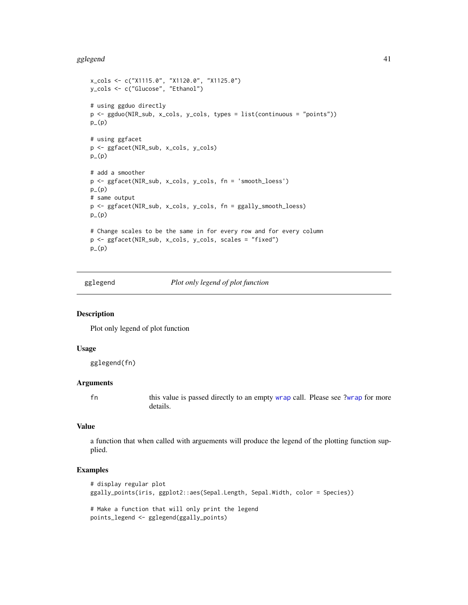#### gglegend **41**

```
x_cols <- c("X1115.0", "X1120.0", "X1125.0")
y_cols <- c("Glucose", "Ethanol")
# using ggduo directly
p <- ggduo(NIR_sub, x_cols, y_cols, types = list(continuous = "points"))
p_-(p)# using ggfacet
p <- ggfacet(NIR_sub, x_cols, y_cols)
p_{-}(p)# add a smoother
p <- ggfacet(NIR_sub, x_cols, y_cols, fn = 'smooth_loess')
p_-(p)# same output
p <- ggfacet(NIR_sub, x_cols, y_cols, fn = ggally_smooth_loess)
p_{-}(p)# Change scales to be the same in for every row and for every column
p <- ggfacet(NIR_sub, x_cols, y_cols, scales = "fixed")
p_-(p)
```
gglegend *Plot only legend of plot function*

# Description

Plot only legend of plot function

#### Usage

gglegend(fn)

## Arguments

fn this value is passed directly to an empty [wrap](#page-83-0) call. Please see [?wrap](#page-83-0) for more details.

# Value

a function that when called with arguements will produce the legend of the plotting function supplied.

```
# display regular plot
ggally_points(iris, ggplot2::aes(Sepal.Length, Sepal.Width, color = Species))
# Make a function that will only print the legend
points_legend <- gglegend(ggally_points)
```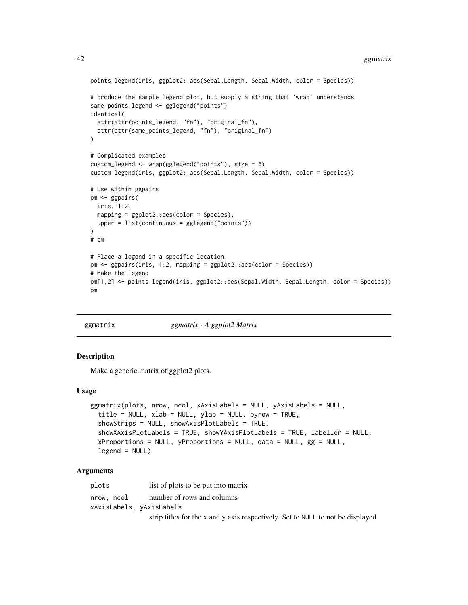#### 42 ggmatrix and the set of the set of the set of the set of the set of the set of the set of the set of the set of the set of the set of the set of the set of the set of the set of the set of the set of the set of the set

```
points_legend(iris, ggplot2::aes(Sepal.Length, Sepal.Width, color = Species))
# produce the sample legend plot, but supply a string that 'wrap' understands
same_points_legend <- gglegend("points")
identical(
  attr(attr(points_legend, "fn"), "original_fn"),
  attr(attr(same_points_legend, "fn"), "original_fn")
\mathcal{L}# Complicated examples
custom_legend <- wrap(gglegend("points"), size = 6)
custom_legend(iris, ggplot2::aes(Sepal.Length, Sepal.Width, color = Species))
# Use within ggpairs
pm <- ggpairs(
  iris, 1:2,
  mapping = ggplot2::aes(color = Species),
  upper = list(continuous = gglegend("points"))
)
# pm
# Place a legend in a specific location
pm <- ggpairs(iris, 1:2, mapping = ggplot2::aes(color = Species))
# Make the legend
pm[1,2] <- points_legend(iris, ggplot2::aes(Sepal.Width, Sepal.Length, color = Species))
pm
```
<span id="page-41-0"></span>

ggmatrix *ggmatrix - A ggplot2 Matrix*

## Description

Make a generic matrix of ggplot2 plots.

#### Usage

```
ggmatrix(plots, nrow, ncol, xAxisLabels = NULL, yAxisLabels = NULL,
  title = NULL, xlab = NULL, ylab = NULL, byrow = TRUE,
  showStrips = NULL, showAxisPlotLabels = TRUE,
  showXAxisPlotLabels = TRUE, showYAxisPlotLabels = TRUE, labeller = NULL,
  xProportions = NULL, yProportions = NULL, data = NULL, gg = NULL,
  legend = NULL)
```

| plots                    | list of plots to be put into matrix                                             |
|--------------------------|---------------------------------------------------------------------------------|
| nrow. ncol               | number of rows and columns                                                      |
| xAxisLabels, yAxisLabels |                                                                                 |
|                          | strip titles for the x and y axis respectively. Set to NULL to not be displayed |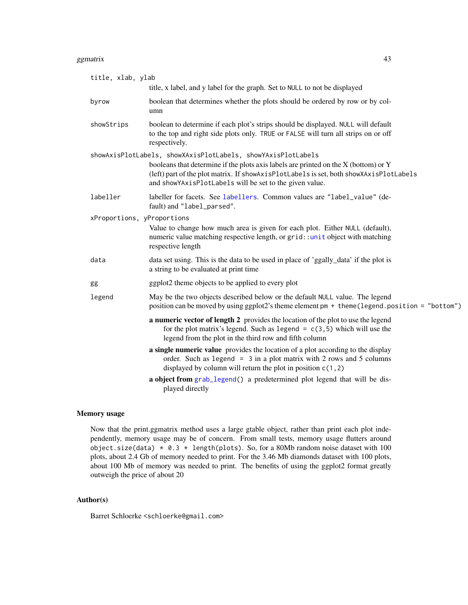#### ggmatrix **43**

| title, xlab, ylab          | title, x label, and y label for the graph. Set to NULL to not be displayed                                                                                                                                                                                                                                   |
|----------------------------|--------------------------------------------------------------------------------------------------------------------------------------------------------------------------------------------------------------------------------------------------------------------------------------------------------------|
| byrow                      | boolean that determines whether the plots should be ordered by row or by col-<br>umn                                                                                                                                                                                                                         |
| showStrips                 | boolean to determine if each plot's strips should be displayed. NULL will default<br>to the top and right side plots only. TRUE or FALSE will turn all strips on or off<br>respectively.                                                                                                                     |
|                            | showAxisPlotLabels, showXAxisPlotLabels, showYAxisPlotLabels<br>booleans that determine if the plots axis labels are printed on the $X$ (bottom) or $Y$<br>(left) part of the plot matrix. If showAxisPlotLabels is set, both showXAxisPlotLabels<br>and showYAxisPlotLabels will be set to the given value. |
| labeller                   | labeller for facets. See labellers. Common values are "label_value" (de-<br>fault) and "label_parsed".                                                                                                                                                                                                       |
| xProportions, yProportions | Value to change how much area is given for each plot. Either NULL (default),<br>numeric value matching respective length, or grid::unit object with matching<br>respective length                                                                                                                            |
| data                       | data set using. This is the data to be used in place of 'ggally_data' if the plot is<br>a string to be evaluated at print time                                                                                                                                                                               |
| gg                         | ggplot2 theme objects to be applied to every plot                                                                                                                                                                                                                                                            |
| legend                     | May be the two objects described below or the default NULL value. The legend<br>position can be moved by using ggplot2's theme element pm + theme (legend.position = "bottom")                                                                                                                               |
|                            | a numeric vector of length 2 provides the location of the plot to use the legend<br>for the plot matrix's legend. Such as legend = $c(3,5)$ which will use the<br>legend from the plot in the third row and fifth column                                                                                     |
|                            | a single numeric value provides the location of a plot according to the display<br>order. Such as legend = $3$ in a plot matrix with 2 rows and 5 columns<br>displayed by column will return the plot in position $c(1, 2)$                                                                                  |
|                            | a object from grab_legend() a predetermined plot legend that will be dis-<br>played directly                                                                                                                                                                                                                 |

# Memory usage

Now that the print.ggmatrix method uses a large gtable object, rather than print each plot independently, memory usage may be of concern. From small tests, memory usage flutters around object.size(data)  $* 0.3 * length(plots)$ . So, for a 80Mb random noise dataset with 100 plots, about 2.4 Gb of memory needed to print. For the 3.46 Mb diamonds dataset with 100 plots, about 100 Mb of memory was needed to print. The benefits of using the ggplot2 format greatly outweigh the price of about 20

# Author(s)

Barret Schloerke <schloerke@gmail.com>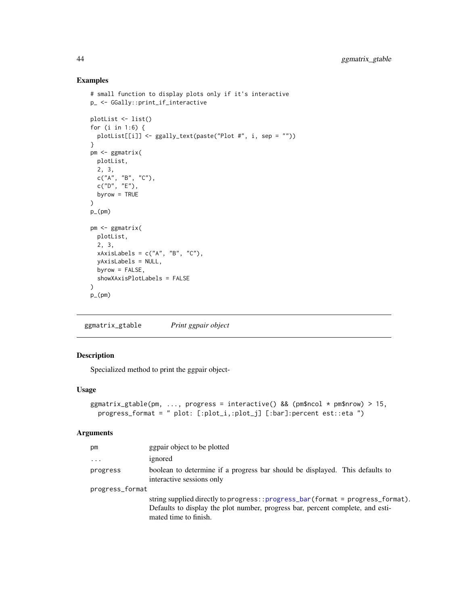# Examples

```
# small function to display plots only if it's interactive
p_ <- GGally::print_if_interactive
plotList <- list()
for (i in 1:6) {
  plotList[[i]] <- ggally_text(paste("Plot #", i, sep = ""))
}
pm <- ggmatrix(
 plotList,
  2, 3,
  c("A", "B", "C"),
  c("D", "E"),
 byrow = TRUE
\lambdap_(pm)
pm <- ggmatrix(
 plotList,
  2, 3,
  xAxisLabels = c("A", "B", "C"),
  yAxisLabels = NULL,
  byrow = FALSE,
  showXAxisPlotLabels = FALSE
)
p_{-}(pm)
```
ggmatrix\_gtable *Print ggpair object*

# Description

Specialized method to print the ggpair object-

## Usage

```
ggmatrix_gtable(pm, ..., progress = interactive() && (pm$ncol * pm$nrow) > 15,
 progress_format = " plot: [:plot_i,:plot_j] [:bar]:percent est::eta ")
```

| pm              | ggpair object to be plotted                                                                                                                                                                    |
|-----------------|------------------------------------------------------------------------------------------------------------------------------------------------------------------------------------------------|
| $\cdot$         | ignored                                                                                                                                                                                        |
| progress        | boolean to determine if a progress bar should be displayed. This defaults to<br>interactive sessions only                                                                                      |
| progress_format |                                                                                                                                                                                                |
|                 | string supplied directly to progress:: $progress\_bar(format = progress\_format)$ .<br>Defaults to display the plot number, progress bar, percent complete, and esti-<br>mated time to finish. |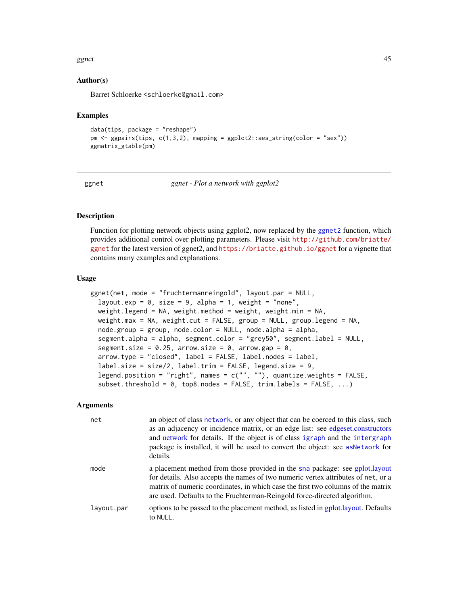#### ggnet 45

## Author(s)

Barret Schloerke <schloerke@gmail.com>

#### Examples

```
data(tips, package = "reshape")
pm <- ggpairs(tips, c(1,3,2), mapping = ggplot2::aes_string(color = "sex"))
ggmatrix_gtable(pm)
```

```
ggnet ggnet - Plot a network with ggplot2
```
### **Description**

Function for plotting network objects using ggplot2, now replaced by the [ggnet2](#page-47-0) function, which provides additional control over plotting parameters. Please visit [http://github.com/briatte/](http://github.com/briatte/ggnet) [ggnet](http://github.com/briatte/ggnet) for the latest version of ggnet2, and <https://briatte.github.io/ggnet> for a vignette that contains many examples and explanations.

#### Usage

```
ggnet(net, mode = "fruchtermanreingold", layout.par = NULL,
  layout.exp = 0, size = 9, alpha = 1, weight = "none",
 weight.legend = NA, weight.method = weight, weight.min = NA,
 weight.max = NA, weight.cut = FALSE, group = NULL, group.legend = NA,
  node.group = group, node.color = NULL, node.alpha = alpha,
  segment.alpha = alpha, segment.color = "grey50", segment.label = NULL,
  segment.size = 0.25, arrow.size = 0, arrow.gap = 0,
  arrow.type = "closed", label = FALSE, label.nodes = label,
  label.size = size/2, label.trim = FALSE, legend.size = 9,
 legend.position = "right", names = c("", ""), quantize.weights = FALSE,
  subset.threshold = 0, top8.nodes = FALSE, trim.labels = FALSE, ...)
```

| net        | an object of class network, or any object that can be coerced to this class, such<br>as an adjacency or incidence matrix, or an edge list: see edgeset.constructors<br>and network for details. If the object is of class igraph and the intergraph<br>package is installed, it will be used to convert the object: see as Network for<br>details. |
|------------|----------------------------------------------------------------------------------------------------------------------------------------------------------------------------------------------------------------------------------------------------------------------------------------------------------------------------------------------------|
| mode       | a placement method from those provided in the sna package: see gplot.layout<br>for details. Also accepts the names of two numeric vertex attributes of net, or a<br>matrix of numeric coordinates, in which case the first two columns of the matrix<br>are used. Defaults to the Fruchterman-Reingold force-directed algorithm.                   |
| layout.par | options to be passed to the placement method, as listed in gplot.layout. Defaults<br>to NULL.                                                                                                                                                                                                                                                      |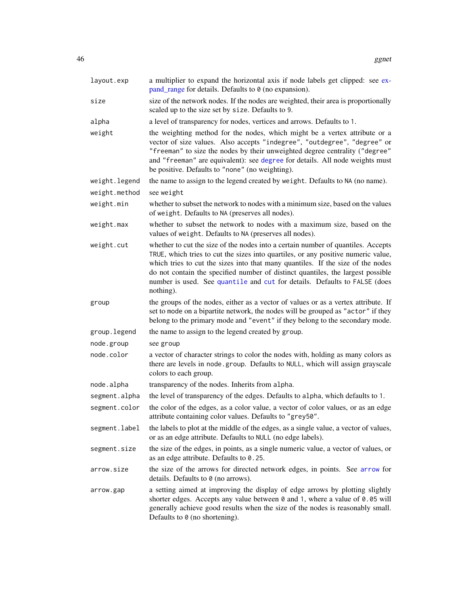| layout.exp    | a multiplier to expand the horizontal axis if node labels get clipped: see ex-<br>pand_range for details. Defaults to 0 (no expansion).                                                                                                                                                                                                                                                                                               |
|---------------|---------------------------------------------------------------------------------------------------------------------------------------------------------------------------------------------------------------------------------------------------------------------------------------------------------------------------------------------------------------------------------------------------------------------------------------|
| size          | size of the network nodes. If the nodes are weighted, their area is proportionally<br>scaled up to the size set by size. Defaults to 9.                                                                                                                                                                                                                                                                                               |
| alpha         | a level of transparency for nodes, vertices and arrows. Defaults to 1.                                                                                                                                                                                                                                                                                                                                                                |
| weight        | the weighting method for the nodes, which might be a vertex attribute or a<br>vector of size values. Also accepts "indegree", "outdegree", "degree" or<br>"freeman" to size the nodes by their unweighted degree centrality ("degree"<br>and "freeman" are equivalent): see degree for details. All node weights must<br>be positive. Defaults to "none" (no weighting).                                                              |
| weight.legend | the name to assign to the legend created by weight. Defaults to NA (no name).                                                                                                                                                                                                                                                                                                                                                         |
| weight.method | see weight                                                                                                                                                                                                                                                                                                                                                                                                                            |
| weight.min    | whether to subset the network to nodes with a minimum size, based on the values<br>of weight. Defaults to NA (preserves all nodes).                                                                                                                                                                                                                                                                                                   |
| weight.max    | whether to subset the network to nodes with a maximum size, based on the<br>values of weight. Defaults to NA (preserves all nodes).                                                                                                                                                                                                                                                                                                   |
| weight.cut    | whether to cut the size of the nodes into a certain number of quantiles. Accepts<br>TRUE, which tries to cut the sizes into quartiles, or any positive numeric value,<br>which tries to cut the sizes into that many quantiles. If the size of the nodes<br>do not contain the specified number of distinct quantiles, the largest possible<br>number is used. See quantile and cut for details. Defaults to FALSE (does<br>nothing). |
| group         | the groups of the nodes, either as a vector of values or as a vertex attribute. If<br>set to mode on a bipartite network, the nodes will be grouped as "actor" if they<br>belong to the primary mode and "event" if they belong to the secondary mode.                                                                                                                                                                                |
| group.legend  | the name to assign to the legend created by group.                                                                                                                                                                                                                                                                                                                                                                                    |
| node.group    | see group                                                                                                                                                                                                                                                                                                                                                                                                                             |
| node.color    | a vector of character strings to color the nodes with, holding as many colors as<br>there are levels in node.group. Defaults to NULL, which will assign grayscale<br>colors to each group.                                                                                                                                                                                                                                            |
| node.alpha    | transparency of the nodes. Inherits from alpha.                                                                                                                                                                                                                                                                                                                                                                                       |
| segment.alpha | the level of transparency of the edges. Defaults to alpha, which defaults to 1.                                                                                                                                                                                                                                                                                                                                                       |
| segment.color | the color of the edges, as a color value, a vector of color values, or as an edge<br>attribute containing color values. Defaults to "grey50".                                                                                                                                                                                                                                                                                         |
| segment.label | the labels to plot at the middle of the edges, as a single value, a vector of values,<br>or as an edge attribute. Defaults to NULL (no edge labels).                                                                                                                                                                                                                                                                                  |
| segment.size  | the size of the edges, in points, as a single numeric value, a vector of values, or<br>as an edge attribute. Defaults to 0.25.                                                                                                                                                                                                                                                                                                        |
| arrow.size    | the size of the arrows for directed network edges, in points. See arrow for<br>details. Defaults to 0 (no arrows).                                                                                                                                                                                                                                                                                                                    |
| arrow.gap     | a setting aimed at improving the display of edge arrows by plotting slightly<br>shorter edges. Accepts any value between 0 and 1, where a value of 0.05 will<br>generally achieve good results when the size of the nodes is reasonably small.<br>Defaults to 0 (no shortening).                                                                                                                                                      |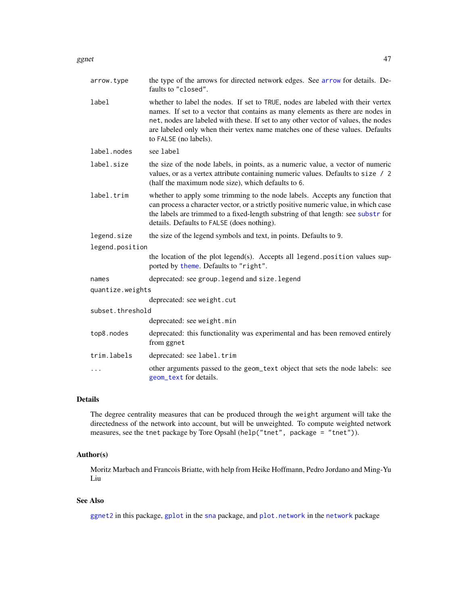| arrow.type       | the type of the arrows for directed network edges. See arrow for details. De-<br>faults to "closed".                                                                                                                                                                                                                                                              |
|------------------|-------------------------------------------------------------------------------------------------------------------------------------------------------------------------------------------------------------------------------------------------------------------------------------------------------------------------------------------------------------------|
| label            | whether to label the nodes. If set to TRUE, nodes are labeled with their vertex<br>names. If set to a vector that contains as many elements as there are nodes in<br>net, nodes are labeled with these. If set to any other vector of values, the nodes<br>are labeled only when their vertex name matches one of these values. Defaults<br>to FALSE (no labels). |
| label.nodes      | see label                                                                                                                                                                                                                                                                                                                                                         |
| label.size       | the size of the node labels, in points, as a numeric value, a vector of numeric<br>values, or as a vertex attribute containing numeric values. Defaults to size / 2<br>(half the maximum node size), which defaults to 6.                                                                                                                                         |
| label.trim       | whether to apply some trimming to the node labels. Accepts any function that<br>can process a character vector, or a strictly positive numeric value, in which case<br>the labels are trimmed to a fixed-length substring of that length: see substr for<br>details. Defaults to FALSE (does nothing).                                                            |
| legend.size      | the size of the legend symbols and text, in points. Defaults to 9.                                                                                                                                                                                                                                                                                                |
| legend.position  |                                                                                                                                                                                                                                                                                                                                                                   |
|                  | the location of the plot legend(s). Accepts all legend. position values sup-<br>ported by theme. Defaults to "right".                                                                                                                                                                                                                                             |
| names            | deprecated: see group. legend and size. legend                                                                                                                                                                                                                                                                                                                    |
| quantize.weights |                                                                                                                                                                                                                                                                                                                                                                   |
|                  | deprecated: see weight.cut                                                                                                                                                                                                                                                                                                                                        |
| subset.threshold |                                                                                                                                                                                                                                                                                                                                                                   |
|                  | deprecated: see weight.min                                                                                                                                                                                                                                                                                                                                        |
| top8.nodes       | deprecated: this functionality was experimental and has been removed entirely<br>from ggnet                                                                                                                                                                                                                                                                       |
| trim.labels      | deprecated: see label.trim                                                                                                                                                                                                                                                                                                                                        |
| .                | other arguments passed to the geom_text object that sets the node labels: see<br>geom_text for details.                                                                                                                                                                                                                                                           |

# Details

The degree centrality measures that can be produced through the weight argument will take the directedness of the network into account, but will be unweighted. To compute weighted network measures, see the tnet package by Tore Opsahl (help("tnet", package = "tnet")).

# Author(s)

Moritz Marbach and Francois Briatte, with help from Heike Hoffmann, Pedro Jordano and Ming-Yu Liu

# See Also

[ggnet2](#page-47-0) in this package, [gplot](#page-0-0) in the [sna](#page-0-0) package, and [plot.network](#page-0-0) in the [network](#page-0-0) package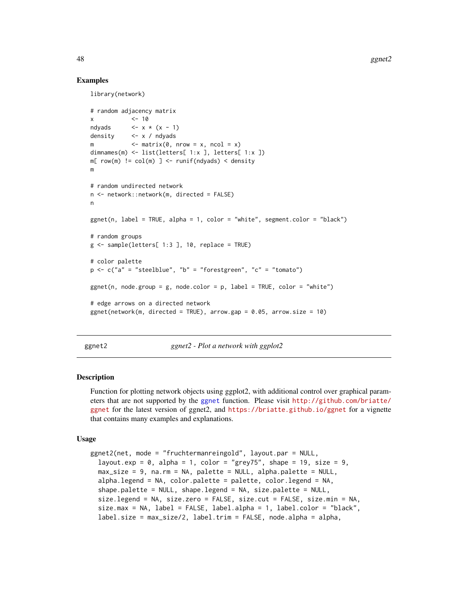#### Examples

library(network)

```
# random adjacency matrix
x \leq -10ndyads \leftarrow x \cdot (x - 1)density <- x / ndyads
            \le matrix(0, nrow = x, ncol = x)
dimnames(m) <- list(letters[ 1:x ], letters[ 1:x ])
m[ row(m) != col(m) ] <- runif(ndyads) < density
m
# random undirected network
n <- network::network(m, directed = FALSE)
n
ggnet(n, label = TRUE, alpha = 1, color = "white", segment.color = "black")
# random groups
g \leq - sample(letters[ 1:3 ], 10, replace = TRUE)
# color palette
p \leq -c ("a" = "steelblue", "b" = "forestgreen", "c" = "tomato")
ggnet(n, node.group = g, nodecolor = p, label = TRUE, color = "white")# edge arrows on a directed network
ggnet(network(m, directed = TRUE), arrow.gap = 0.05, arrow.size = 10)
```
<span id="page-47-0"></span>ggnet2 *ggnet2 - Plot a network with ggplot2*

## Description

Function for plotting network objects using ggplot2, with additional control over graphical parameters that are not supported by the [ggnet](#page-44-0) function. Please visit [http://github.com/briatte/](http://github.com/briatte/ggnet) [ggnet](http://github.com/briatte/ggnet) for the latest version of ggnet2, and <https://briatte.github.io/ggnet> for a vignette that contains many examples and explanations.

#### Usage

```
ggnet2(net, mode = "fruchtermanreingold", layout.par = NULL,
  layout.exp = 0, alpha = 1, color = "grey75", shape = 19, size = 9,
 max_size = 9, na.rm = NA, palette = NULL, alpha.palette = NULL,
  alpha.legend = NA, color.palette = palette, color.legend = NA,
  shape.palette = NULL, shape.legend = NA, size.palette = NULL,
  size.legend = NA, size.zero = FALSE, size.cut = FALSE, size.min = NA,
  size.max = NA, label = FALSE, label.alpha = 1, label.color = "black",
  label.size = max_size/2, label.trim = FALSE, node.alpha = alpha,
```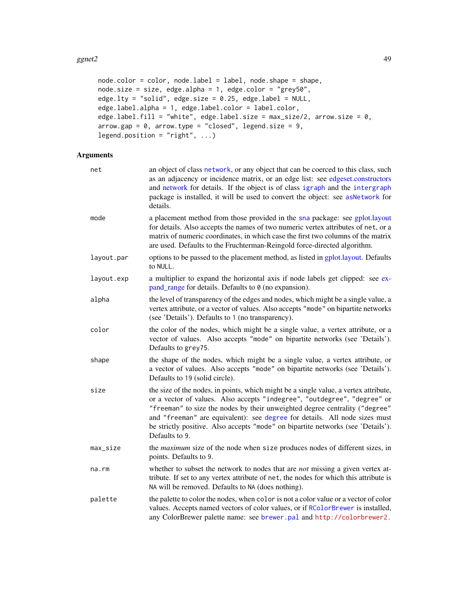#### $g$ gnet2 49

```
node.color = color, node.label = label, node.shape = shape,
node.size = size, edge.alpha = 1, edge.color = "grey50",
edge.lty = "solid", edge.size = 0.25, edge.label = NULL,
edge.label.alpha = 1, edge.label.color = label.color,
edge.label.fill = "white", edge.label.size = max\_size/2, arrow.size = 0,
arrow.gap = 0, arrow.type = "closed", legend.size = 9,
legend.position = "right", ...)
```

| net        | an object of class network, or any object that can be coerced to this class, such<br>as an adjacency or incidence matrix, or an edge list: see edgeset.constructors<br>and network for details. If the object is of class igraph and the intergraph<br>package is installed, it will be used to convert the object: see asNetwork for<br>details.                                                                                   |
|------------|-------------------------------------------------------------------------------------------------------------------------------------------------------------------------------------------------------------------------------------------------------------------------------------------------------------------------------------------------------------------------------------------------------------------------------------|
| mode       | a placement method from those provided in the sna package: see gplot.layout<br>for details. Also accepts the names of two numeric vertex attributes of net, or a<br>matrix of numeric coordinates, in which case the first two columns of the matrix<br>are used. Defaults to the Fruchterman-Reingold force-directed algorithm.                                                                                                    |
| layout.par | options to be passed to the placement method, as listed in gplot.layout. Defaults<br>to NULL.                                                                                                                                                                                                                                                                                                                                       |
| layout.exp | a multiplier to expand the horizontal axis if node labels get clipped: see ex-<br>pand_range for details. Defaults to $\theta$ (no expansion).                                                                                                                                                                                                                                                                                      |
| alpha      | the level of transparency of the edges and nodes, which might be a single value, a<br>vertex attribute, or a vector of values. Also accepts "mode" on bipartite networks<br>(see 'Details'). Defaults to 1 (no transparency).                                                                                                                                                                                                       |
| color      | the color of the nodes, which might be a single value, a vertex attribute, or a<br>vector of values. Also accepts "mode" on bipartite networks (see 'Details').<br>Defaults to grey75.                                                                                                                                                                                                                                              |
| shape      | the shape of the nodes, which might be a single value, a vertex attribute, or<br>a vector of values. Also accepts "mode" on bipartite networks (see 'Details').<br>Defaults to 19 (solid circle).                                                                                                                                                                                                                                   |
| size       | the size of the nodes, in points, which might be a single value, a vertex attribute,<br>or a vector of values. Also accepts "indegree", "outdegree", "degree" or<br>"freeman" to size the nodes by their unweighted degree centrality ("degree"<br>and "freeman" are equivalent): see degree for details. All node sizes must<br>be strictly positive. Also accepts "mode" on bipartite networks (see 'Details').<br>Defaults to 9. |
| max_size   | the maximum size of the node when size produces nodes of different sizes, in<br>points. Defaults to 9.                                                                                                                                                                                                                                                                                                                              |
| na.rm      | whether to subset the network to nodes that are <i>not</i> missing a given vertex at-<br>tribute. If set to any vertex attribute of net, the nodes for which this attribute is<br>NA will be removed. Defaults to NA (does nothing).                                                                                                                                                                                                |
| palette    | the palette to color the nodes, when color is not a color value or a vector of color<br>values. Accepts named vectors of color values, or if RColorBrewer is installed,<br>any ColorBrewer palette name: see brewer.pal and http://colorbrewer2.                                                                                                                                                                                    |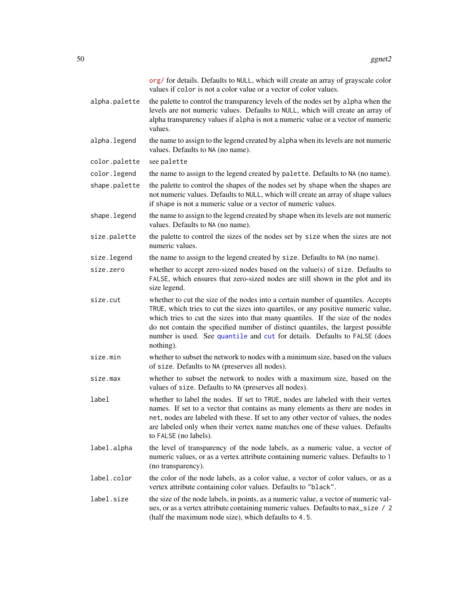|               | org/ for details. Defaults to NULL, which will create an array of grayscale color<br>values if color is not a color value or a vector of color values.                                                                                                                                                                                                                                                                                |
|---------------|---------------------------------------------------------------------------------------------------------------------------------------------------------------------------------------------------------------------------------------------------------------------------------------------------------------------------------------------------------------------------------------------------------------------------------------|
| alpha.palette | the palette to control the transparency levels of the nodes set by alpha when the<br>levels are not numeric values. Defaults to NULL, which will create an array of<br>alpha transparency values if alpha is not a numeric value or a vector of numeric<br>values.                                                                                                                                                                    |
| alpha.legend  | the name to assign to the legend created by alpha when its levels are not numeric<br>values. Defaults to NA (no name).                                                                                                                                                                                                                                                                                                                |
| color.palette | see palette                                                                                                                                                                                                                                                                                                                                                                                                                           |
| color.legend  | the name to assign to the legend created by palette. Defaults to NA (no name).                                                                                                                                                                                                                                                                                                                                                        |
| shape.palette | the palette to control the shapes of the nodes set by shape when the shapes are<br>not numeric values. Defaults to NULL, which will create an array of shape values<br>if shape is not a numeric value or a vector of numeric values.                                                                                                                                                                                                 |
| shape.legend  | the name to assign to the legend created by shape when its levels are not numeric<br>values. Defaults to NA (no name).                                                                                                                                                                                                                                                                                                                |
| size.palette  | the palette to control the sizes of the nodes set by size when the sizes are not<br>numeric values.                                                                                                                                                                                                                                                                                                                                   |
| size.legend   | the name to assign to the legend created by size. Defaults to NA (no name).                                                                                                                                                                                                                                                                                                                                                           |
| size.zero     | whether to accept zero-sized nodes based on the value(s) of size. Defaults to<br>FALSE, which ensures that zero-sized nodes are still shown in the plot and its<br>size legend.                                                                                                                                                                                                                                                       |
| size.cut      | whether to cut the size of the nodes into a certain number of quantiles. Accepts<br>TRUE, which tries to cut the sizes into quartiles, or any positive numeric value,<br>which tries to cut the sizes into that many quantiles. If the size of the nodes<br>do not contain the specified number of distinct quantiles, the largest possible<br>number is used. See quantile and cut for details. Defaults to FALSE (does<br>nothing). |
| size.min      | whether to subset the network to nodes with a minimum size, based on the values<br>of size. Defaults to NA (preserves all nodes).                                                                                                                                                                                                                                                                                                     |
| size.max      | whether to subset the network to nodes with a maximum size, based on the<br>values of size. Defaults to NA (preserves all nodes).                                                                                                                                                                                                                                                                                                     |
| label         | whether to label the nodes. If set to TRUE, nodes are labeled with their vertex<br>names. If set to a vector that contains as many elements as there are nodes in<br>net, nodes are labeled with these. If set to any other vector of values, the nodes<br>are labeled only when their vertex name matches one of these values. Defaults<br>to FALSE (no labels).                                                                     |
| label.alpha   | the level of transparency of the node labels, as a numeric value, a vector of<br>numeric values, or as a vertex attribute containing numeric values. Defaults to 1<br>(no transparency).                                                                                                                                                                                                                                              |
| label.color   | the color of the node labels, as a color value, a vector of color values, or as a<br>vertex attribute containing color values. Defaults to "black".                                                                                                                                                                                                                                                                                   |
| label.size    | the size of the node labels, in points, as a numeric value, a vector of numeric val-<br>ues, or as a vertex attribute containing numeric values. Defaults to max_size / 2<br>(half the maximum node size), which defaults to 4.5.                                                                                                                                                                                                     |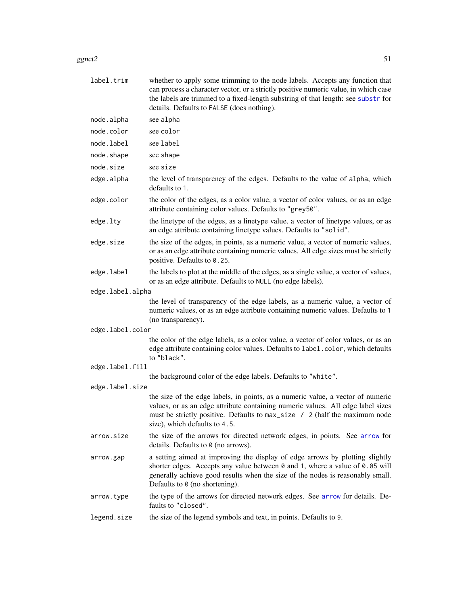#### ggnet2  $51$

| label.trim       | whether to apply some trimming to the node labels. Accepts any function that<br>can process a character vector, or a strictly positive numeric value, in which case<br>the labels are trimmed to a fixed-length substring of that length: see substr for<br>details. Defaults to FALSE (does nothing). |
|------------------|--------------------------------------------------------------------------------------------------------------------------------------------------------------------------------------------------------------------------------------------------------------------------------------------------------|
| node.alpha       | see alpha                                                                                                                                                                                                                                                                                              |
| node.color       | see color                                                                                                                                                                                                                                                                                              |
| node.label       | see label                                                                                                                                                                                                                                                                                              |
| node.shape       | see shape                                                                                                                                                                                                                                                                                              |
| node.size        | see size                                                                                                                                                                                                                                                                                               |
| edge.alpha       | the level of transparency of the edges. Defaults to the value of alpha, which<br>defaults to 1.                                                                                                                                                                                                        |
| edge.color       | the color of the edges, as a color value, a vector of color values, or as an edge<br>attribute containing color values. Defaults to "grey50".                                                                                                                                                          |
| edge.lty         | the linetype of the edges, as a linetype value, a vector of linetype values, or as<br>an edge attribute containing linetype values. Defaults to "solid".                                                                                                                                               |
| edge.size        | the size of the edges, in points, as a numeric value, a vector of numeric values,<br>or as an edge attribute containing numeric values. All edge sizes must be strictly<br>positive. Defaults to 0.25.                                                                                                 |
| edge.label       | the labels to plot at the middle of the edges, as a single value, a vector of values,<br>or as an edge attribute. Defaults to NULL (no edge labels).                                                                                                                                                   |
| edge.label.alpha |                                                                                                                                                                                                                                                                                                        |
|                  | the level of transparency of the edge labels, as a numeric value, a vector of<br>numeric values, or as an edge attribute containing numeric values. Defaults to 1<br>(no transparency).                                                                                                                |
| edge.label.color |                                                                                                                                                                                                                                                                                                        |
|                  | the color of the edge labels, as a color value, a vector of color values, or as an<br>edge attribute containing color values. Defaults to label.color, which defaults<br>to "black".                                                                                                                   |
| edge.label.fill  |                                                                                                                                                                                                                                                                                                        |
|                  | the background color of the edge labels. Defaults to "white".                                                                                                                                                                                                                                          |
| edge.label.size  |                                                                                                                                                                                                                                                                                                        |
|                  | the size of the edge labels, in points, as a numeric value, a vector of numeric<br>values, or as an edge attribute containing numeric values. All edge label sizes<br>must be strictly positive. Defaults to max_size / 2 (half the maximum node<br>size), which defaults to 4.5.                      |
| arrow.size       | the size of the arrows for directed network edges, in points. See arrow for<br>details. Defaults to $\theta$ (no arrows).                                                                                                                                                                              |
| arrow.gap        | a setting aimed at improving the display of edge arrows by plotting slightly<br>shorter edges. Accepts any value between 0 and 1, where a value of 0.05 will<br>generally achieve good results when the size of the nodes is reasonably small.<br>Defaults to $\theta$ (no shortening).                |
| arrow.type       | the type of the arrows for directed network edges. See arrow for details. De-<br>faults to "closed".                                                                                                                                                                                                   |
| legend.size      | the size of the legend symbols and text, in points. Defaults to 9.                                                                                                                                                                                                                                     |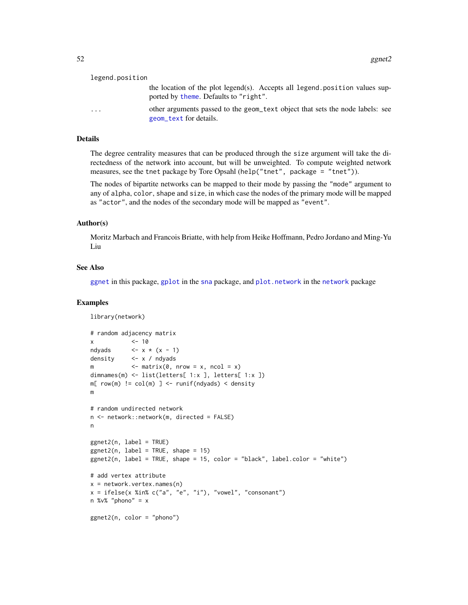| legend.position |                                                                                                                      |
|-----------------|----------------------------------------------------------------------------------------------------------------------|
|                 | the location of the plot legend(s). Accepts all legend position values sup-<br>ported by theme. Defaults to "right". |
| $\cdot$         | other arguments passed to the geom_text object that sets the node labels: see<br>geom_text for details.              |

#### Details

The degree centrality measures that can be produced through the size argument will take the directedness of the network into account, but will be unweighted. To compute weighted network measures, see the tnet package by Tore Opsahl (help("tnet", package = "tnet")).

The nodes of bipartite networks can be mapped to their mode by passing the "mode" argument to any of alpha, color, shape and size, in which case the nodes of the primary mode will be mapped as "actor", and the nodes of the secondary mode will be mapped as "event".

## Author(s)

Moritz Marbach and Francois Briatte, with help from Heike Hoffmann, Pedro Jordano and Ming-Yu Liu

## See Also

[ggnet](#page-44-0) in this package, [gplot](#page-0-0) in the [sna](#page-0-0) package, and [plot.network](#page-0-0) in the [network](#page-0-0) package

```
library(network)
# random adjacency matrix
x \sim 10ndyads \leftarrow x \times (x - 1)density <- x / ndyads
m \leq matrix(0, nrow = x, ncol = x)
dimnames(m) <- list(letters[ 1:x ], letters[ 1:x ])
m[row(m) != col(m) ] \leftarrow runif(ndyads) \leftarrow densitym
# random undirected network
n <- network::network(m, directed = FALSE)
n
ggnet2(n, label = TRUE)
ggnet2(n, label = TRUE, shape = 15)ggnet2(n, label = TRUE, shape = 15, color = "black", label.color = "white")
# add vertex attribute
x = network<u>vertex.names(n)</u>x = ifelse(x %in% c("a", "e", "i"), "vowel", "consonant")n %v% "phono" = xggnet2(n, color = "phono")
```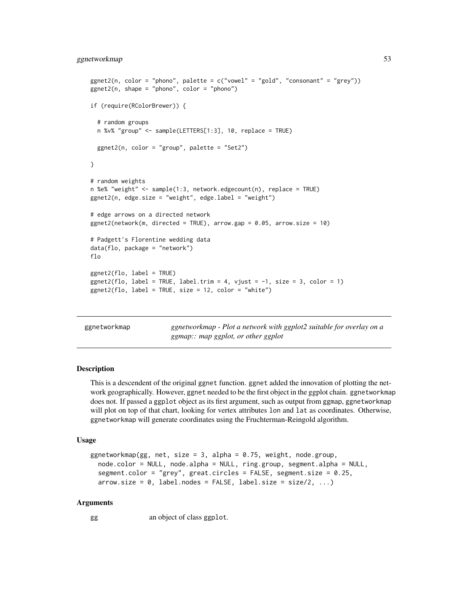## ggnetworkmap 53

```
ggnet2(n, color = "phono", palette = c("vowel" = "gold", " consonant" = "grey"))ggnet2(n, shape = "phono", color = "phono")if (require(RColorBrewer)) {
 # random groups
 n %v% "group" <- sample(LETTERS[1:3], 10, replace = TRUE)
 ggnet2(n, color = "group", platete = "Set2")}
# random weights
n %e% "weight" <- sample(1:3, network.edgecount(n), replace = TRUE)
ggnet2(n, edge.size = "weight", edge.label = "weight")
# edge arrows on a directed network
ggnet2(network(m, directed = TRUE), arrow.gap = 0.05, arrow.size = 10)# Padgett's Florentine wedding data
data(flo, package = "network")
flo
ggnet2(flo, label = TRUE)
ggnet2(flo, label = TRUE, label.trim = 4, vjust = -1, size = 3, color = 1)
ggnet2(flo, label = TRUE, size = 12, color = "white")
```
ggnetworkmap *ggnetworkmap - Plot a network with ggplot2 suitable for overlay on a ggmap:: map ggplot, or other ggplot*

## Description

This is a descendent of the original ggnet function. ggnet added the innovation of plotting the network geographically. However, ggnet needed to be the first object in the ggplot chain. ggnetworkmap does not. If passed a ggplot object as its first argument, such as output from ggmap, ggnetworkmap will plot on top of that chart, looking for vertex attributes lon and lat as coordinates. Otherwise, ggnetworkmap will generate coordinates using the Fruchterman-Reingold algorithm.

#### Usage

```
ggnetworkmap(gg, net, size = 3, alpha = 0.75, weight, node.group,
  node.color = NULL, node.alpha = NULL, ring.group, segment.alpha = NULL,
  segment.color = "grey", great.circles = FALSE, segment.size = 0.25,
  arrow.size = 0, label.nodes = FALSE, label.size = size/2, ...)
```
#### Arguments

gg an object of class ggplot.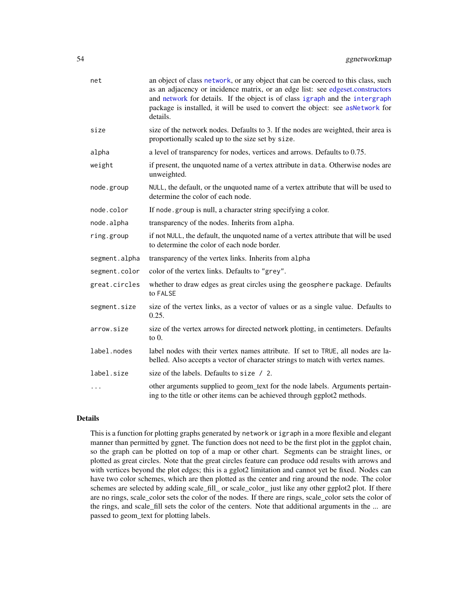| net           | an object of class network, or any object that can be coerced to this class, such<br>as an adjacency or incidence matrix, or an edge list: see edgeset.constructors<br>and network for details. If the object is of class igraph and the intergraph<br>package is installed, it will be used to convert the object: see asNetwork for<br>details. |
|---------------|---------------------------------------------------------------------------------------------------------------------------------------------------------------------------------------------------------------------------------------------------------------------------------------------------------------------------------------------------|
| size          | size of the network nodes. Defaults to 3. If the nodes are weighted, their area is<br>proportionally scaled up to the size set by size.                                                                                                                                                                                                           |
| alpha         | a level of transparency for nodes, vertices and arrows. Defaults to 0.75.                                                                                                                                                                                                                                                                         |
| weight        | if present, the unquoted name of a vertex attribute in data. Otherwise nodes are<br>unweighted.                                                                                                                                                                                                                                                   |
| node.group    | NULL, the default, or the unquoted name of a vertex attribute that will be used to<br>determine the color of each node.                                                                                                                                                                                                                           |
| node.color    | If node group is null, a character string specifying a color.                                                                                                                                                                                                                                                                                     |
| node.alpha    | transparency of the nodes. Inherits from alpha.                                                                                                                                                                                                                                                                                                   |
| ring.group    | if not NULL, the default, the unquoted name of a vertex attribute that will be used<br>to determine the color of each node border.                                                                                                                                                                                                                |
| segment.alpha | transparency of the vertex links. Inherits from alpha                                                                                                                                                                                                                                                                                             |
| segment.color | color of the vertex links. Defaults to "grey".                                                                                                                                                                                                                                                                                                    |
| great.circles | whether to draw edges as great circles using the geosphere package. Defaults<br>to FALSE                                                                                                                                                                                                                                                          |
| segment.size  | size of the vertex links, as a vector of values or as a single value. Defaults to<br>0.25.                                                                                                                                                                                                                                                        |
| arrow.size    | size of the vertex arrows for directed network plotting, in centimeters. Defaults<br>to $0$ .                                                                                                                                                                                                                                                     |
| label.nodes   | label nodes with their vertex names attribute. If set to TRUE, all nodes are la-<br>belled. Also accepts a vector of character strings to match with vertex names.                                                                                                                                                                                |
| label.size    | size of the labels. Defaults to size / 2.                                                                                                                                                                                                                                                                                                         |
|               | other arguments supplied to geom_text for the node labels. Arguments pertain-<br>ing to the title or other items can be achieved through ggplot2 methods.                                                                                                                                                                                         |

# Details

This is a function for plotting graphs generated by network or igraph in a more flexible and elegant manner than permitted by ggnet. The function does not need to be the first plot in the ggplot chain, so the graph can be plotted on top of a map or other chart. Segments can be straight lines, or plotted as great circles. Note that the great circles feature can produce odd results with arrows and with vertices beyond the plot edges; this is a gglot2 limitation and cannot yet be fixed. Nodes can have two color schemes, which are then plotted as the center and ring around the node. The color schemes are selected by adding scale\_fill\_ or scale\_color\_ just like any other ggplot2 plot. If there are no rings, scale\_color sets the color of the nodes. If there are rings, scale\_color sets the color of the rings, and scale\_fill sets the color of the centers. Note that additional arguments in the ... are passed to geom\_text for plotting labels.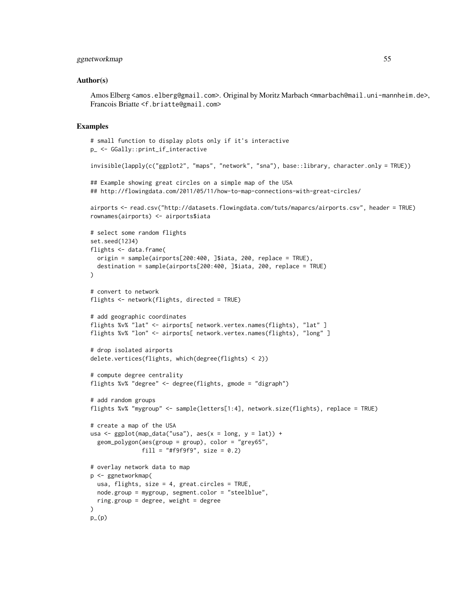#### ggnetworkmap 55

#### Author(s)

Amos Elberg <amos.elberg@gmail.com>. Original by Moritz Marbach <mmarbach@mail.uni-mannheim.de>, Francois Briatte <f.briatte@gmail.com>

```
# small function to display plots only if it's interactive
p_ <- GGally::print_if_interactive
invisible(lapply(c("ggplot2", "maps", "network", "sna"), base::library, character.only = TRUE))
## Example showing great circles on a simple map of the USA
## http://flowingdata.com/2011/05/11/how-to-map-connections-with-great-circles/
airports <- read.csv("http://datasets.flowingdata.com/tuts/maparcs/airports.csv", header = TRUE)
rownames(airports) <- airports$iata
# select some random flights
set.seed(1234)
flights <- data.frame(
 origin = sample(airports[200:400, ]$iata, 200, replace = TRUE),
 destination = sample(airports[200:400, ]$iata, 200, replace = TRUE)
\lambda# convert to network
flights <- network(flights, directed = TRUE)
# add geographic coordinates
flights %v% "lat" <- airports[ network.vertex.names(flights), "lat" ]
flights %v% "lon" <- airports[ network.vertex.names(flights), "long" ]
# drop isolated airports
delete.vertices(flights, which(degree(flights) < 2))
# compute degree centrality
flights %v% "degree" <- degree(flights, gmode = "digraph")
# add random groups
flights %v% "mygroup" <- sample(letters[1:4], network.size(flights), replace = TRUE)
# create a map of the USA
usa <- ggplot(map_data("usa"), aes(x = long, y = lat)) +
 geom_polygon(aes(group = group), color = "grey65",
               fill = "#f9f9f9", size = 0.2)
# overlay network data to map
p <- ggnetworkmap(
 usa, flights, size = 4, great.circles = TRUE,
 node.group = mygroup, segment.color = "steelblue",
 ring.group = degree, weight = degree
\lambdap_{-}(p)
```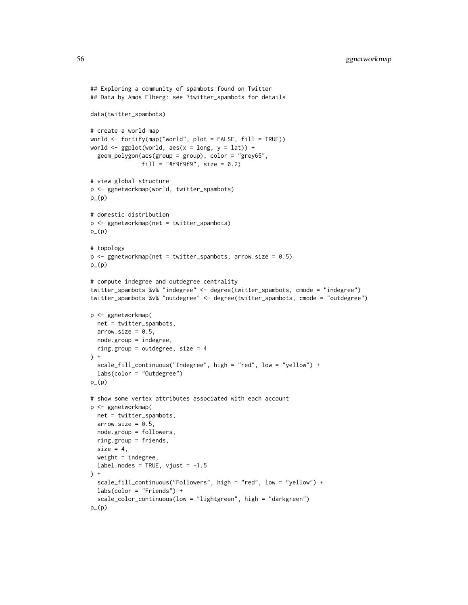```
## Exploring a community of spambots found on Twitter
## Data by Amos Elberg: see ?twitter_spambots for details
data(twitter_spambots)
# create a world map
world <- fortify(map("world", plot = FALSE, fill = TRUE))
world \leq ggplot(world, aes(x = long, y = lat)) +
  geom_polygon(aes(group = group), color = "grey65",
               fill = "#f9f9f9", size = 0.2)# view global structure
p <- ggnetworkmap(world, twitter_spambots)
p_-(p)# domestic distribution
p <- ggnetworkmap(net = twitter_spambots)
p_{-}(p)# topology
p \leq - ggnetworkmap(net = twitter_spambots, arrow.size = 0.5)
p_{-}(p)# compute indegree and outdegree centrality
twitter_spambots %v% "indegree" <- degree(twitter_spambots, cmode = "indegree")
twitter_spambots %v% "outdegree" <- degree(twitter_spambots, cmode = "outdegree")
p <- ggnetworkmap(
 net = twitter_spambots,
  arrow.size = 0.5,
 node.group = indegree,
  ring.group = outdegree, size = 4
) +scale_fill_continuous("Indegree", high = "red", low = "yellow") +
  labs(color = "Outdegree")
p_-(p)# show some vertex attributes associated with each account
p <- ggnetworkmap(
 net = twitter_spambots,
  arrow.size = 0.5,
 node.group = followers,
  ring.group = friends,
  size = 4,
  weight = indegree,
  label.nodes = TRUE, vjust = -1.5) +scale_fill_continuous("Followers", high = "red", low = "yellow") +
  labs(color = "Friends") +
  scale_color_continuous(low = "lightgreen", high = "darkgreen")
p_{-}(p)
```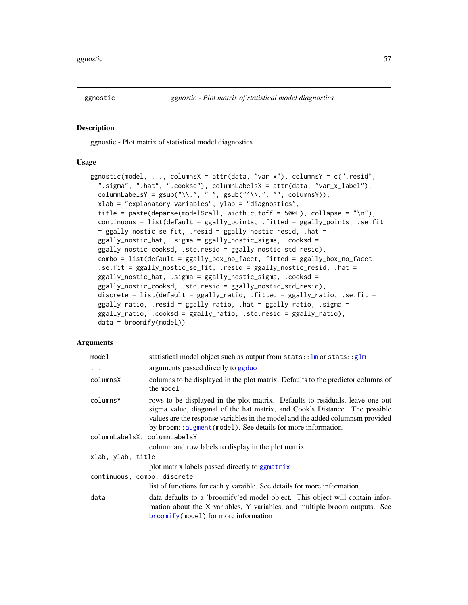#### Description

ggnostic - Plot matrix of statistical model diagnostics

## Usage

```
ggnostic(model, ..., columnsX = attr(data, "var_x"), columnsY = c(".resid",
  ".sigma", ".hat", ".cooksd"), columnLabelsX = attr(data, "var_x_label"),
  columnLabelsY = gsub("\\'.", " ", gsub("\\'.", " ", columns')),xlab = "explanatory variables", ylab = "diagnostics",
  title = paste(deparse(model$call, width.cutoff = 500L), collapse = "\n"),
  continuous = list(default = ggally_points, .fitted = ggally_points, .se.fit
  = ggally_nostic_se_fit, .resid = ggally_nostic_resid, .hat =
 ggally_nostic_hat, .sigma = ggally_nostic_sigma, .cooksd =
  ggally_nostic_cooksd, .std.resid = ggally_nostic_std_resid),
  combo = list(default = ggally_box_no_facet, fitted = ggally_box_no_facet,
  .se.fit = ggally_nostic_se_fit, .resid = ggally_nostic_resid, .hat =
  ggally_nostic_hat, .sigma = ggally_nostic_sigma, .cooksd =
  ggally_nostic_cooksd, .std.resid = ggally_nostic_std_resid),
  discrete = list(default = ggally_ratio, .fitted = ggally_ratio, .se.fit =
  ggally_ratio, .resid = ggally_ratio, .hat = ggally_ratio, .sigma =
  ggally_ratio, .cooksd = ggally_ratio, .std.resid = ggally_ratio),
  data = brownify(model))
```

| model                        | statistical model object such as output from $stats::lm$ or $stats::glm$                                                                                                                                                                                                                                      |
|------------------------------|---------------------------------------------------------------------------------------------------------------------------------------------------------------------------------------------------------------------------------------------------------------------------------------------------------------|
| $\ddots$                     | arguments passed directly to ggduo                                                                                                                                                                                                                                                                            |
| columnsX                     | columns to be displayed in the plot matrix. Defaults to the predictor columns of<br>the model                                                                                                                                                                                                                 |
| columnsY                     | rows to be displayed in the plot matrix. Defaults to residuals, leave one out<br>sigma value, diagonal of the hat matrix, and Cook's Distance. The possible<br>values are the response variables in the model and the added columns provided<br>by broom:: augment (model). See details for more information. |
| columnLabelsX, columnLabelsY |                                                                                                                                                                                                                                                                                                               |
|                              | column and row labels to display in the plot matrix                                                                                                                                                                                                                                                           |
| xlab, ylab, title            |                                                                                                                                                                                                                                                                                                               |
|                              | plot matrix labels passed directly to ggmatrix                                                                                                                                                                                                                                                                |
| continuous, combo, discrete  |                                                                                                                                                                                                                                                                                                               |
|                              | list of functions for each y varaible. See details for more information.                                                                                                                                                                                                                                      |
| data                         | data defaults to a 'broomify'ed model object. This object will contain infor-<br>mation about the X variables, Y variables, and multiple broom outputs. See<br>broomify(model) for more information                                                                                                           |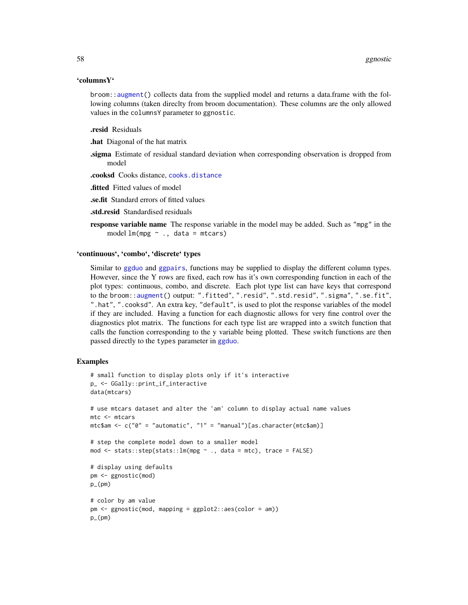## 'columnsY'

broom:[:augment\(](#page-0-0)) collects data from the supplied model and returns a data.frame with the following columns (taken direclty from broom documentation). These columns are the only allowed values in the columnsY parameter to ggnostic.

#### .resid Residuals

.hat Diagonal of the hat matrix

.sigma Estimate of residual standard deviation when corresponding observation is dropped from model

.cooksd Cooks distance, [cooks.distance](#page-0-0)

.fitted Fitted values of model

.se.fit Standard errors of fitted values

- .std.resid Standardised residuals
- **response variable name** The response variable in the model may be added. Such as "mpg" in the model  $lm(mpg \sim .$ , data = mtcars)

## 'continuous', 'combo', 'discrete' types

Similar to [ggduo](#page-34-0) and [ggpairs](#page-58-0), functions may be supplied to display the different column types. However, since the Y rows are fixed, each row has it's own corresponding function in each of the plot types: continuous, combo, and discrete. Each plot type list can have keys that correspond to the broom:[:augment\(](#page-0-0)) output: ".fitted", ".resid", ".std.resid", ".sigma", ".se.fit", ".hat", ".cooksd". An extra key, "default", is used to plot the response variables of the model if they are included. Having a function for each diagnostic allows for very fine control over the diagnostics plot matrix. The functions for each type list are wrapped into a switch function that calls the function corresponding to the y variable being plotted. These switch functions are then passed directly to the types parameter in [ggduo](#page-34-0).

```
# small function to display plots only if it's interactive
p_ <- GGally::print_if_interactive
data(mtcars)
# use mtcars dataset and alter the 'am' column to display actual name values
mtc <- mtcars
mtc$am <- c("0" = "automatic", "1" = "manual")[as.character(mtc$am)]
# step the complete model down to a smaller model
mod \le - stats::step(stats::lm(mpg \sim ., data = mtc), trace = FALSE)
# display using defaults
pm <- ggnostic(mod)
p_(pm)
# color by am value
pm <- ggnostic(mod, mapping = ggplot2::aes(color = am))
p_(pm)
```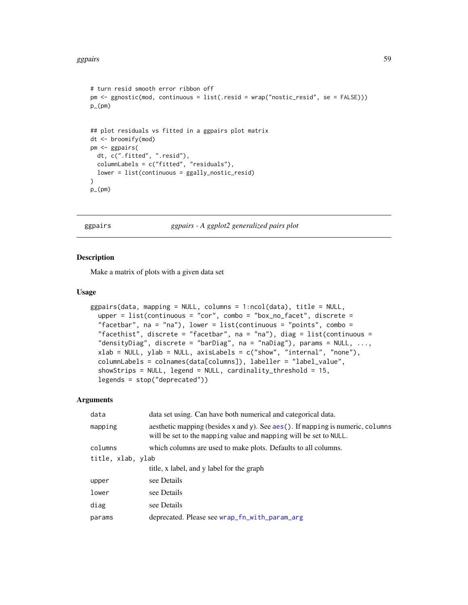```
# turn resid smooth error ribbon off
pm <- ggnostic(mod, continuous = list(.resid = wrap("nostic_resid", se = FALSE)))
p_-(pm)## plot residuals vs fitted in a ggpairs plot matrix
dt <- broomify(mod)
pm <- ggpairs(
  dt, c(".fitted", ".resid"),
  columnLabels = c("fitted", "residuals"),
  lower = list(continuous = ggally_nostic_resid)
)
p_-(pm)
```
<span id="page-58-0"></span>ggpairs *ggpairs - A ggplot2 generalized pairs plot*

#### **Description**

Make a matrix of plots with a given data set

## Usage

```
ggpairs(data, mapping = NULL, columns = 1:ncol(data), title = NULL,
  upper = list(continuous = "cor", comb = "box-no_facet", discrete ="facetbar", na = "na"), lower = list(continuous = "points", combo =
  "facethist", discrete = "facetbar", na = "na"), diag = list(continuous =
  "densityDiag", discrete = "barDiag", na = "naDiag"), params = NULL, ...,
  xlab = NULL, ylab = NULL, axisLabels = c("show", "internal", "none"),columnLabels = colnames(data[columns]), labeller = "label_value",
  showStrips = NULL, legend = NULL, cardinality_threshold = 15,
  legends = stop("deprecated"))
```

| data              | data set using. Can have both numerical and categorical data.                                                                                        |  |
|-------------------|------------------------------------------------------------------------------------------------------------------------------------------------------|--|
| mapping           | aesthetic mapping (besides x and y). See aes (). If mapping is numeric, columns<br>will be set to the mapping value and mapping will be set to NULL. |  |
| columns           | which columns are used to make plots. Defaults to all columns.                                                                                       |  |
| title, xlab, ylab |                                                                                                                                                      |  |
|                   | title, x label, and y label for the graph                                                                                                            |  |
| upper             | see Details                                                                                                                                          |  |
| lower             | see Details                                                                                                                                          |  |
| diag              | see Details                                                                                                                                          |  |
| params            | deprecated. Please see wrap_fn_with_param_arg                                                                                                        |  |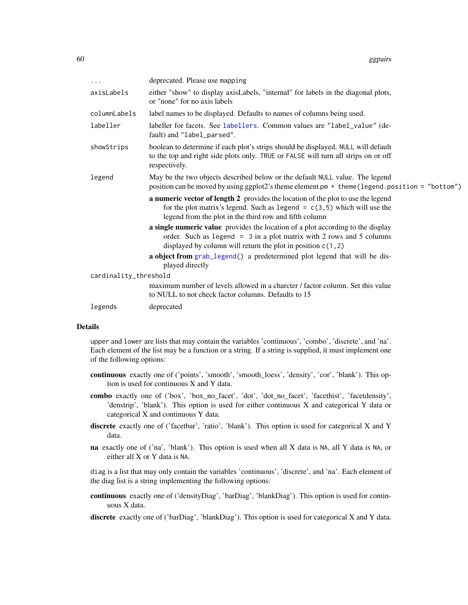| .                     | deprecated. Please use mapping                                                                                                                                                                                              |
|-----------------------|-----------------------------------------------------------------------------------------------------------------------------------------------------------------------------------------------------------------------------|
| axisLabels            | either "show" to display axisLabels, "internal" for labels in the diagonal plots,<br>or "none" for no axis labels                                                                                                           |
| columnLabels          | label names to be displayed. Defaults to names of columns being used.                                                                                                                                                       |
| labeller              | labeller for facets. See labellers. Common values are "label_value" (de-<br>fault) and "label_parsed".                                                                                                                      |
| showStrips            | boolean to determine if each plot's strips should be displayed. NULL will default<br>to the top and right side plots only. TRUE or FALSE will turn all strips on or off<br>respectively.                                    |
| legend                | May be the two objects described below or the default NULL value. The legend<br>position can be moved by using ggplot2's theme element pm + theme (legend.position = "bottom")                                              |
|                       | a numeric vector of length 2 provides the location of the plot to use the legend<br>for the plot matrix's legend. Such as legend = $c(3,5)$ which will use the<br>legend from the plot in the third row and fifth column    |
|                       | a single numeric value provides the location of a plot according to the display<br>order. Such as legend = $3$ in a plot matrix with 2 rows and 5 columns<br>displayed by column will return the plot in position $c(1, 2)$ |
|                       | a object from grab_legend() a predetermined plot legend that will be dis-<br>played directly                                                                                                                                |
| cardinality_threshold |                                                                                                                                                                                                                             |
|                       | maximum number of levels allowed in a charcter / factor column. Set this value<br>to NULL to not check factor columns. Defaults to 15                                                                                       |
| legends               | deprecated                                                                                                                                                                                                                  |

## Details

upper and lower are lists that may contain the variables 'continuous', 'combo', 'discrete', and 'na'. Each element of the list may be a function or a string. If a string is supplied, it must implement one of the following options:

- continuous exactly one of ('points', 'smooth', 'smooth\_loess', 'density', 'cor', 'blank'). This option is used for continuous X and Y data.
- combo exactly one of ('box', 'box\_no\_facet', 'dot', 'dot\_no\_facet', 'facethist', 'facetdensity', 'denstrip', 'blank'). This option is used for either continuous X and categorical Y data or categorical X and continuous Y data.
- discrete exactly one of ('facetbar', 'ratio', 'blank'). This option is used for categorical X and Y data.
- na exactly one of ('na', 'blank'). This option is used when all X data is NA, all Y data is NA, or either all X or Y data is NA.

diag is a list that may only contain the variables 'continuous', 'discrete', and 'na'. Each element of the diag list is a string implementing the following options:

continuous exactly one of ('densityDiag', 'barDiag', 'blankDiag'). This option is used for continuous X data.

discrete exactly one of ('barDiag', 'blankDiag'). This option is used for categorical X and Y data.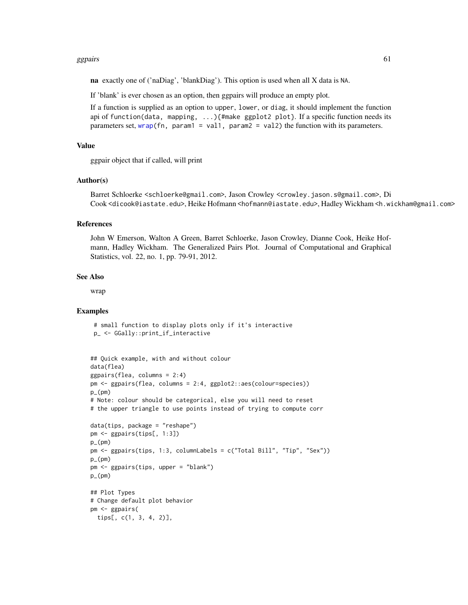#### ggpairs 61

na exactly one of ('naDiag', 'blankDiag'). This option is used when all X data is NA.

If 'blank' is ever chosen as an option, then ggpairs will produce an empty plot.

If a function is supplied as an option to upper, lower, or diag, it should implement the function api of function(data, mapping, ...){#make ggplot2 plot}. If a specific function needs its parameters set, [wrap\(](#page-83-0)fn, param1 = val1, param2 = val2) the function with its parameters.

#### Value

ggpair object that if called, will print

## Author(s)

Barret Schloerke <schloerke@gmail.com>, Jason Crowley <crowley.jason.s@gmail.com>, Di Cook <dicook@iastate.edu>, Heike Hofmann <hofmann@iastate.edu>, Hadley Wickham <h.wickham@gmail.com>

#### References

John W Emerson, Walton A Green, Barret Schloerke, Jason Crowley, Dianne Cook, Heike Hofmann, Hadley Wickham. The Generalized Pairs Plot. Journal of Computational and Graphical Statistics, vol. 22, no. 1, pp. 79-91, 2012.

## See Also

wrap

#### Examples

# small function to display plots only if it's interactive p\_ <- GGally::print\_if\_interactive

```
## Quick example, with and without colour
data(flea)
ggpairs(flea, columns = 2:4)
pm <- ggpairs(flea, columns = 2:4, ggplot2::aes(colour=species))
p_{-}(pm)# Note: colour should be categorical, else you will need to reset
# the upper triangle to use points instead of trying to compute corr
data(tips, package = "reshape")
pm <- ggpairs(tips[, 1:3])
p_{-}(pm)pm <- ggpairs(tips, 1:3, columnLabels = c("Total Bill", "Tip", "Sex"))
p_{(pm)}pm <- ggpairs(tips, upper = "blank")
p_{-}(pm)## Plot Types
# Change default plot behavior
pm <- ggpairs(
 tips[, c(1, 3, 4, 2)],
```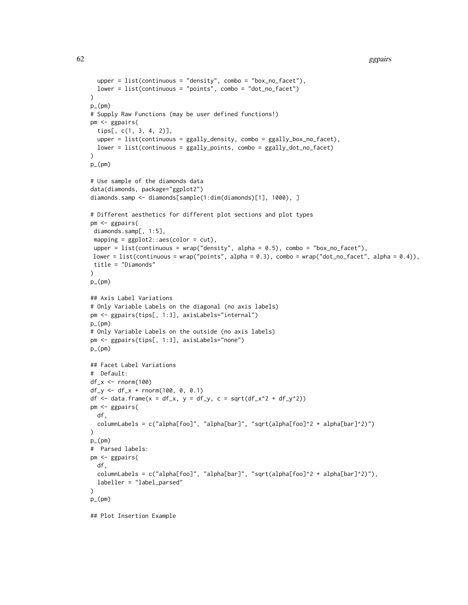```
upper = list(continuous = "density", comb = "box.no_facet"),lower = list(continuous = "points", combo = "dot_no_facet")
)
p_{-}(pm)# Supply Raw Functions (may be user defined functions!)
pm <- ggpairs(
 tips[, c(1, 3, 4, 2)],
  upper = list(continuous = ggally_density, combo = ggally_box_no_facet),
  lower = list(continuous = ggally_points, combo = ggally_dot_no_facet)
\lambdap_{(pm)}# Use sample of the diamonds data
data(diamonds, package="ggplot2")
diamonds.samp <- diamonds[sample(1:dim(diamonds)[1], 1000), ]
# Different aesthetics for different plot sections and plot types
pm <- ggpairs(
diamonds.samp[, 1:5],
 mapping = ggplot2::aes(color = cut),
 upper = list(continuous = wrap("density", alpha = 0.5), combo = "box_no_facet"),
lower = list(continuous = wrap("points", alpha = 0.3), combo = wrap("dot_no_facet", alpha = 0.4)),
title = "Diamonds"
\mathcal{L}p_{-}(pm)## Axis Label Variations
# Only Variable Labels on the diagonal (no axis labels)
pm <- ggpairs(tips[, 1:3], axisLabels="internal")
p_(pm)
# Only Variable Labels on the outside (no axis labels)
pm <- ggpairs(tips[, 1:3], axisLabels="none")
p_{-}(pm)## Facet Label Variations
# Default:
df_x <- rnorm(100)
df_y \leq df_x + \text{norm}(100, 0, 0.1)df \le data.frame(x = df_x, y = df_y, c = sqrt(df_x^2 + df_y^2))
pm <- ggpairs(
  df,
  columnLabels = c("alpha[foo]", "alpha[bar]", "sqrt(alpha[foo]^2 + alpha[bar]^2)")
)
p_{-}(pm)# Parsed labels:
pm <- ggpairs(
  df,
  columnLabels = c("alpha[foo]", "alpha[bar]", "sqrt(alpha[foo]^2 + alpha[bar]^2)"),
  labeller = "label_parsed"
\lambdap_(pm)
```
## Plot Insertion Example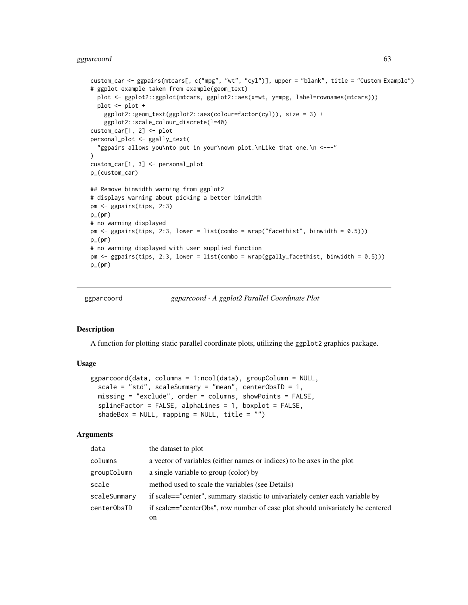# ggparcoord 63

```
custom_car <- ggpairs(mtcars[, c("mpg", "wt", "cyl")], upper = "blank", title = "Custom Example")
# ggplot example taken from example(geom_text)
  plot <- ggplot2::ggplot(mtcars, ggplot2::aes(x=wt, y=mpg, label=rownames(mtcars)))
  plot <- plot +
    ggplot2::geom_text(ggplot2::aes(colour=factor(cyl)), size = 3) +
    ggplot2::scale_colour_discrete(l=40)
custom_car[1, 2] <- plot
personal_plot <- ggally_text(
  "ggpairs allows you\nto put in your\nown plot.\nLike that one.\n <---"
\lambdacustom_car[1, 3] <- personal_plot
p_(custom_car)
## Remove binwidth warning from ggplot2
# displays warning about picking a better binwidth
pm <- ggpairs(tips, 2:3)
p_(pm)
# no warning displayed
pm \leq ggpairs(tips, 2:3, lower = list(combo = wrap("facethist", binwidth = 0.5)))
p_{-}(pm)# no warning displayed with user supplied function
pm \leq ggpairs(tips, 2:3, lower = list(combo = wrap(ggally_facethist, binwidth = 0.5)))
p_(pm)
```
ggparcoord *ggparcoord - A ggplot2 Parallel Coordinate Plot*

#### **Description**

A function for plotting static parallel coordinate plots, utilizing the ggplot2 graphics package.

## Usage

```
ggparcoord(data, columns = 1:ncol(data), groupColumn = NULL,
 scale = "std", scaleSummary = "mean", centerObsID = 1,
 missing = "exclude", order = columns, showPoints = FALSE,
 split = F</math>shadeBox = NULL, mapping = NULL, title = "")
```

| data         | the dataset to plot                                                            |
|--------------|--------------------------------------------------------------------------------|
| columns      | a vector of variables (either names or indices) to be axes in the plot         |
| groupColumn  | a single variable to group (color) by                                          |
| scale        | method used to scale the variables (see Details)                               |
| scaleSummary | if scale=="center", summary statistic to univariately center each variable by  |
| centerObsID  | if scale=="centerObs", row number of case plot should univariately be centered |
|              | on                                                                             |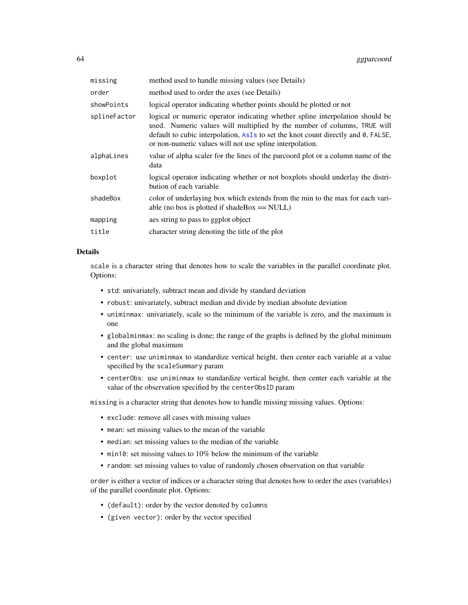| missing      | method used to handle missing values (see Details)                                                                                                                                                                                                                                                         |
|--------------|------------------------------------------------------------------------------------------------------------------------------------------------------------------------------------------------------------------------------------------------------------------------------------------------------------|
| order        | method used to order the axes (see Details)                                                                                                                                                                                                                                                                |
| showPoints   | logical operator indicating whether points should be plotted or not                                                                                                                                                                                                                                        |
| splineFactor | logical or numeric operator indicating whether spline interpolation should be<br>used. Numeric values will multiplied by the number of columns, TRUE will<br>default to cubic interpolation, AsIs to set the knot count directly and 0, FALSE,<br>or non-numeric values will not use spline interpolation. |
| alphaLines   | value of alpha scaler for the lines of the parcoord plot or a column name of the<br>data                                                                                                                                                                                                                   |
| boxplot      | logical operator indicating whether or not boxplots should underlay the distri-<br>bution of each variable                                                                                                                                                                                                 |
| shadeBox     | color of underlaying box which extends from the min to the max for each vari-<br>able (no box is plotted if shadeBox $==$ NULL)                                                                                                                                                                            |
| mapping      | aes string to pass to ggplot object                                                                                                                                                                                                                                                                        |
| title        | character string denoting the title of the plot                                                                                                                                                                                                                                                            |

#### Details

scale is a character string that denotes how to scale the variables in the parallel coordinate plot. Options:

- std: univariately, subtract mean and divide by standard deviation
- robust: univariately, subtract median and divide by median absolute deviation
- uniminmax: univariately, scale so the minimum of the variable is zero, and the maximum is one
- globalminmax: no scaling is done; the range of the graphs is defined by the global minimum and the global maximum
- center: use uniminmax to standardize vertical height, then center each variable at a value specified by the scaleSummary param
- centerObs: use uniminmax to standardize vertical height, then center each variable at the value of the observation specified by the centerObsID param

missing is a character string that denotes how to handle missing missing values. Options:

- exclude: remove all cases with missing values
- mean: set missing values to the mean of the variable
- median: set missing values to the median of the variable
- min10: set missing values to 10% below the minimum of the variable
- random: set missing values to value of randomly chosen observation on that variable

order is either a vector of indices or a character string that denotes how to order the axes (variables) of the parallel coordinate plot. Options:

- (default): order by the vector denoted by columns
- (given vector): order by the vector specified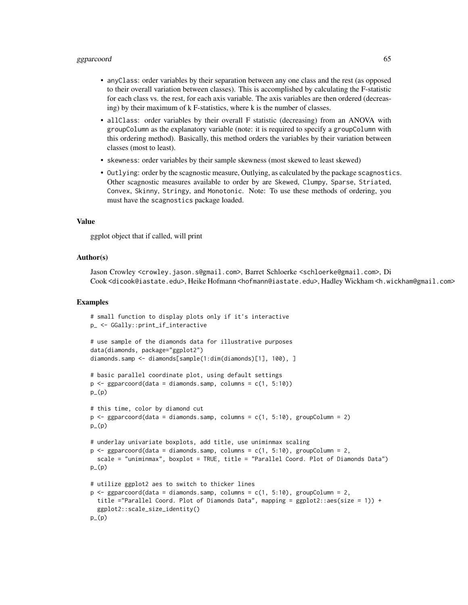## ggparcoord 65

- anyClass: order variables by their separation between any one class and the rest (as opposed to their overall variation between classes). This is accomplished by calculating the F-statistic for each class vs. the rest, for each axis variable. The axis variables are then ordered (decreasing) by their maximum of k F-statistics, where k is the number of classes.
- allClass: order variables by their overall F statistic (decreasing) from an ANOVA with groupColumn as the explanatory variable (note: it is required to specify a groupColumn with this ordering method). Basically, this method orders the variables by their variation between classes (most to least).
- skewness: order variables by their sample skewness (most skewed to least skewed)
- Outlying: order by the scagnostic measure, Outlying, as calculated by the package scagnostics. Other scagnostic measures available to order by are Skewed, Clumpy, Sparse, Striated, Convex, Skinny, Stringy, and Monotonic. Note: To use these methods of ordering, you must have the scagnostics package loaded.

#### Value

ggplot object that if called, will print

#### Author(s)

Jason Crowley <crowley.jason.s@gmail.com>, Barret Schloerke <schloerke@gmail.com>, Di Cook <dicook@iastate.edu>, Heike Hofmann <hofmann@iastate.edu>, Hadley Wickham <h.wickham@gmail.com>

```
# small function to display plots only if it's interactive
p_ <- GGally::print_if_interactive
# use sample of the diamonds data for illustrative purposes
data(diamonds, package="ggplot2")
diamonds.samp <- diamonds[sample(1:dim(diamonds)[1], 100), ]
# basic parallel coordinate plot, using default settings
p \leq - ggparcoord(data = diamonds.samp, columns = c(1, 5:10))
p_-(p)# this time, color by diamond cut
p \leq - ggparcoord(data = diamonds.samp, columns = c(1, 5:10), groupColumn = 2)
p_-(p)# underlay univariate boxplots, add title, use uniminmax scaling
p \leq - ggparcoord(data = diamonds.samp, columns = c(1, 5:10), groupColumn = 2,
 scale = "uniminmax", boxplot = TRUE, title = "Parallel Coord. Plot of Diamonds Data")
p_{-}(p)# utilize ggplot2 aes to switch to thicker lines
p \leq - ggparcoord(data = diamonds.samp, columns = c(1, 5:10), groupColumn = 2,
 title ="Parallel Coord. Plot of Diamonds Data", mapping = ggplot2::aes(size = 1)) +
 ggplot2::scale_size_identity()
p_-(p)
```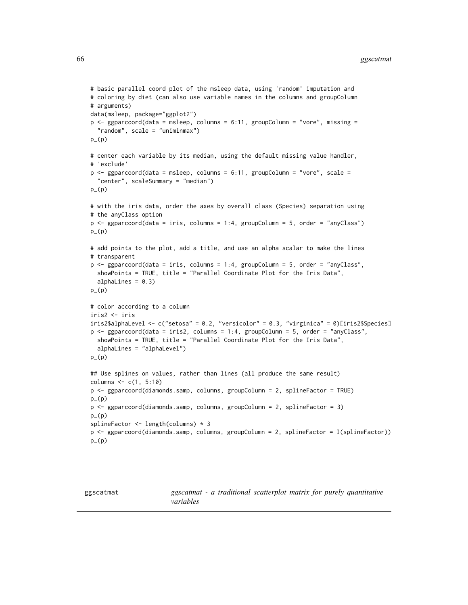```
# basic parallel coord plot of the msleep data, using 'random' imputation and
# coloring by diet (can also use variable names in the columns and groupColumn
# arguments)
data(msleep, package="ggplot2")
p \leq - ggparcoord(data = msleep, columns = 6:11, groupColumn = "vore", missing =
  "random", scale = "uniminmax")
p_{-}(p)# center each variable by its median, using the default missing value handler,
# 'exclude'
p <- ggparcoord(data = msleep, columns = 6:11, groupColumn = "vore", scale =
  "center", scaleSummary = "median")
p_-(p)# with the iris data, order the axes by overall class (Species) separation using
# the anyClass option
p <- ggparcoord(data = iris, columns = 1:4, groupColumn = 5, order = "anyClass")
p_-(p)# add points to the plot, add a title, and use an alpha scalar to make the lines
# transparent
p <- ggparcoord(data = iris, columns = 1:4, groupColumn = 5, order = "anyClass",
  showPoints = TRUE, title = "Parallel Coordinate Plot for the Iris Data",
  alphaLines = 0.3)
p_{-}(p)# color according to a column
iris2 <- iris
iris2$alphaLevel <- c("setosa" = 0.2, "versicolor" = 0.3, "virginica" = 0)[iris2$Species]
p <- ggparcoord(data = iris2, columns = 1:4, groupColumn = 5, order = "anyClass",
  showPoints = TRUE, title = "Parallel Coordinate Plot for the Iris Data",
  alphaLines = "alphaLevel")
p_(p)
## Use splines on values, rather than lines (all produce the same result)
columns <- c(1, 5:10)
p <- ggparcoord(diamonds.samp, columns, groupColumn = 2, splineFactor = TRUE)
p_{-}(p)p <- ggparcoord(diamonds.samp, columns, groupColumn = 2, splineFactor = 3)
p_{-}(p)splineFactor <- length(columns) * 3
p <- ggparcoord(diamonds.samp, columns, groupColumn = 2, splineFactor = I(splineFactor))
p_{-}(p)
```
ggscatmat *ggscatmat - a traditional scatterplot matrix for purely quantitative variables*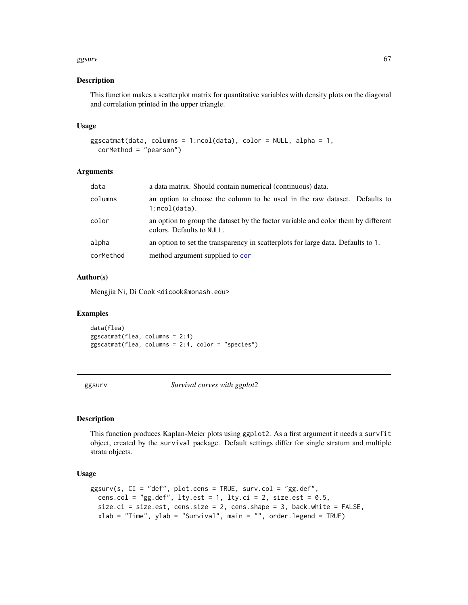#### ggsurv $67$

#### Description

This function makes a scatterplot matrix for quantitative variables with density plots on the diagonal and correlation printed in the upper triangle.

#### Usage

```
ggscatmat(data, columns = 1:ncol(data), color = NULL, alpha = 1,corMethod = "pearson")
```
## Arguments

| data      | a data matrix. Should contain numerical (continuous) data.                                                     |
|-----------|----------------------------------------------------------------------------------------------------------------|
| columns   | an option to choose the column to be used in the raw dataset. Defaults to<br>$1:ncol(data)$ .                  |
| color     | an option to group the dataset by the factor variable and color them by different<br>colors. Defaults to NULL. |
| alpha     | an option to set the transparency in scatterplots for large data. Defaults to 1.                               |
| corMethod | method argument supplied to cor                                                                                |

# Author(s)

Mengjia Ni, Di Cook <dicook@monash.edu>

#### Examples

```
data(flea)
ggscatmat(flea, columns = 2:4)
ggscatmat(flea, columns = 2:4, color = "species")
```
ggsurv *Survival curves with ggplot2*

#### Description

This function produces Kaplan-Meier plots using ggplot2. As a first argument it needs a survfit object, created by the survival package. Default settings differ for single stratum and multiple strata objects.

## Usage

```
ggsurv(s, CI = "def", plot.cens = TRUE, surv.col = "gg.def",cens.col = "gg.def", lty.est = 1, lty.ci = 2, size.est = 0.5,
  size.ci = size.est, cens.size = 2, cens.shape = 3, back.white = FALSE,
  xlab = "Time", ylab = "Survival", main = "", order.legend = TRUE)
```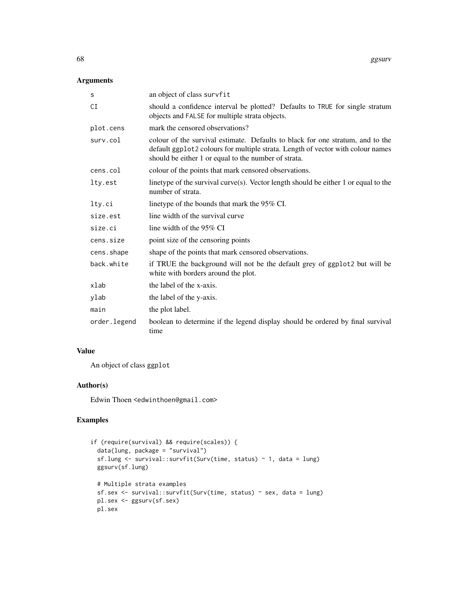# Arguments

| s            | an object of class survfit                                                                                                                                                                                                |
|--------------|---------------------------------------------------------------------------------------------------------------------------------------------------------------------------------------------------------------------------|
| СI           | should a confidence interval be plotted? Defaults to TRUE for single stratum<br>objects and FALSE for multiple strata objects.                                                                                            |
| plot.cens    | mark the censored observations?                                                                                                                                                                                           |
| surv.col     | colour of the survival estimate. Defaults to black for one stratum, and to the<br>default ggplot2 colours for multiple strata. Length of vector with colour names<br>should be either 1 or equal to the number of strata. |
| cens.col     | colour of the points that mark censored observations.                                                                                                                                                                     |
| lty.est      | linetype of the survival curve $(s)$ . Vector length should be either 1 or equal to the<br>number of strata.                                                                                                              |
| lty.ci       | linetype of the bounds that mark the 95% CI.                                                                                                                                                                              |
| size.est     | line width of the survival curve                                                                                                                                                                                          |
| size.ci      | line width of the 95% CI                                                                                                                                                                                                  |
| cens.size    | point size of the censoring points                                                                                                                                                                                        |
| cens.shape   | shape of the points that mark censored observations.                                                                                                                                                                      |
| back.white   | if TRUE the background will not be the default grey of ggplot2 but will be<br>white with borders around the plot.                                                                                                         |
| xlab         | the label of the x-axis.                                                                                                                                                                                                  |
| ylab         | the label of the y-axis.                                                                                                                                                                                                  |
| main         | the plot label.                                                                                                                                                                                                           |
| order.legend | boolean to determine if the legend display should be ordered by final survival<br>time                                                                                                                                    |

## Value

An object of class ggplot

# Author(s)

Edwin Thoen <edwinthoen@gmail.com>

```
if (require(survival) && require(scales)) {
  data(lung, package = "survival")
  sf.lung <- survival::survfit(Surv(time, status) ~ 1, data = lung)
  ggsurv(sf.lung)
  # Multiple strata examples
  sf.sex <- survival::survfit(Surv(time, status) ~ sex, data = lung)
  pl.sex <- ggsurv(sf.sex)
  pl.sex
```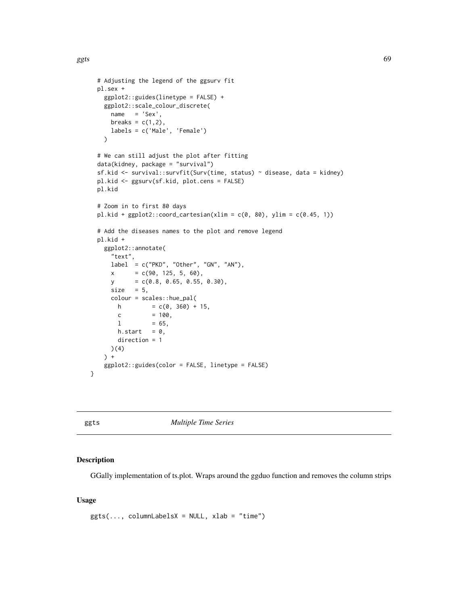```
# Adjusting the legend of the ggsurv fit
 pl.sex +
   ggplot2::guides(linetype = FALSE) +
   ggplot2::scale_colour_discrete(
     name = 'Sex',breaks = c(1,2),
     labels = c('Male', 'Female')
   )
 # We can still adjust the plot after fitting
 data(kidney, package = "survival")
 sf.kid <- survival::survfit(Surv(time, status) ~ disease, data = kidney)
 pl.kid <- ggsurv(sf.kid, plot.cens = FALSE)
 pl.kid
 # Zoom in to first 80 days
 pl.kid + ggplot2::coord\_cartesian(xlim = c(0, 80), ylim = c(0.45, 1))# Add the diseases names to the plot and remove legend
 pl.kid +
   ggplot2::annotate(
     "text",
     label = c("PKD", "Other", "GN", "AN"),
     x = c(90, 125, 5, 60),
     y = c(0.8, 0.65, 0.55, 0.30),size = 5,
     colour = scales::hue_pal(
       h = c(0, 360) + 15,
       c = 100,1 = 65,
       h.start = 0,direction = 1
     )(4)
   ) +ggplot2::guides(color = FALSE, linetype = FALSE)
}
```
ggts *Multiple Time Series*

## Description

GGally implementation of ts.plot. Wraps around the ggduo function and removes the column strips

#### Usage

```
gpts(\ldots, columnLabelsX = NULL, xlab = "time")
```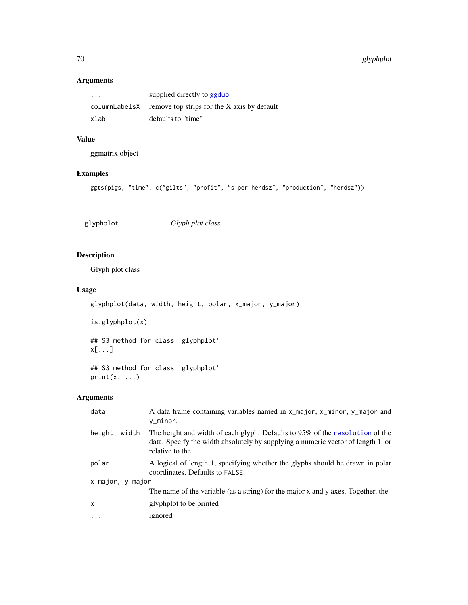# Arguments

| $\cdot\cdot\cdot$ | supplied directly to ggduo                                |
|-------------------|-----------------------------------------------------------|
|                   | columnLabelsX remove top strips for the X axis by default |
| xlab              | defaults to "time"                                        |

# Value

ggmatrix object

# Examples

ggts(pigs, "time", c("gilts", "profit", "s\_per\_herdsz", "production", "herdsz"))

glyphplot *Glyph plot class*

# Description

Glyph plot class

# Usage

glyphplot(data, width, height, polar, x\_major, y\_major)

is.glyphplot(x)

## S3 method for class 'glyphplot' x[...]

## S3 method for class 'glyphplot'  $print(x, \ldots)$ 

| data             | A data frame containing variables named in x_major, x_minor, y_major and<br>y_minor.                                                                                                |
|------------------|-------------------------------------------------------------------------------------------------------------------------------------------------------------------------------------|
| height, width    | The height and width of each glyph. Defaults to 95% of the resolution of the<br>data. Specify the width absolutely by supplying a numeric vector of length 1, or<br>relative to the |
| polar            | A logical of length 1, specifying whether the glyphs should be drawn in polar<br>coordinates. Defaults to FALSE.                                                                    |
| x_major, y_major |                                                                                                                                                                                     |
|                  | The name of the variable (as a string) for the major x and y axes. Together, the                                                                                                    |
| $\mathsf{x}$     | glyphplot to be printed                                                                                                                                                             |
|                  | ignored                                                                                                                                                                             |
|                  |                                                                                                                                                                                     |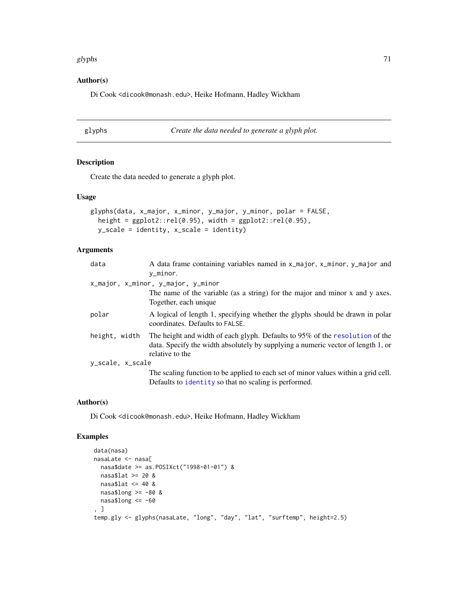#### glyphs  $\hspace{1.6cm}$  71

# Author(s)

Di Cook <dicook@monash.edu>, Heike Hofmann, Hadley Wickham

glyphs *Create the data needed to generate a glyph plot.*

## Description

Create the data needed to generate a glyph plot.

## Usage

```
glyphs(data, x_major, x_minor, y_major, y_minor, polar = FALSE,
 height = ggplot2::rel(0.95), width = ggplot2::rel(0.95),
 y_scale = identity, x_scale = identity)
```
# Arguments

| data             | A data frame containing variables named in x_major, x_minor, y_major and                                                                                                            |
|------------------|-------------------------------------------------------------------------------------------------------------------------------------------------------------------------------------|
|                  | y_minor.                                                                                                                                                                            |
|                  | x_major, x_minor, y_major, y_minor                                                                                                                                                  |
|                  | The name of the variable (as a string) for the major and minor x and y axes.<br>Together, each unique                                                                               |
| polar            | A logical of length 1, specifying whether the glyphs should be drawn in polar<br>coordinates. Defaults to FALSE.                                                                    |
| height, width    | The height and width of each glyph. Defaults to 95% of the resolution of the<br>data. Specify the width absolutely by supplying a numeric vector of length 1, or<br>relative to the |
| y_scale, x_scale |                                                                                                                                                                                     |
|                  | The scaling function to be applied to each set of minor values within a grid cell.<br>Defaults to identity so that no scaling is performed.                                         |

## Author(s)

Di Cook <dicook@monash.edu>, Heike Hofmann, Hadley Wickham

```
data(nasa)
nasaLate <- nasa[
 nasa$date >= as.POSIXct("1998-01-01") &
 nasa$lat >= 20 &
 nasa$lat \leq 40 &
 nasa$long >= -80 &
 nasa$long <= -60
, ]
temp.gly <- glyphs(nasaLate, "long", "day", "lat", "surftemp", height=2.5)
```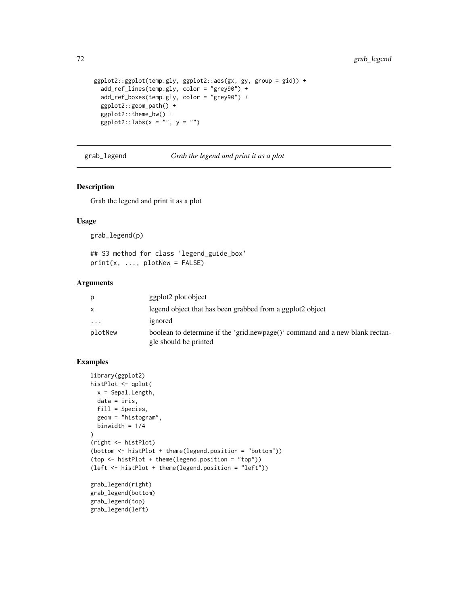```
ggplot2::ggplot(temp.gly, ggplot2::aes(gx, gy, group = gid)) +
  add_ref_lines(temp.gly, color = "grey90") +
  add_ref_boxes(temp.gly, color = "grey90") +
 ggplot2::geom_path() +
  ggplot2::theme_bw() +
  ggplot2::labs(x = "", y = "")
```
<span id="page-71-0"></span>grab\_legend *Grab the legend and print it as a plot*

## Description

Grab the legend and print it as a plot

### Usage

grab\_legend(p)

## S3 method for class 'legend\_guide\_box' print(x, ..., plotNew = FALSE)

## Arguments

| p            | ggplot2 plot object                                                                                   |
|--------------|-------------------------------------------------------------------------------------------------------|
| $\mathsf{x}$ | legend object that has been grabbed from a ggplot2 object                                             |
| $\cdots$     | ignored                                                                                               |
| plotNew      | boolean to determine if the 'grid.newpage()' command and a new blank rectan-<br>gle should be printed |

```
library(ggplot2)
histPlot <- qplot(
  x = Sepal.Length,
  data = iris,
 fill = Species,
  geom = "histogram",
  binwidth = 1/4
\lambda(right <- histPlot)
(bottom <- histPlot + theme(legend.position = "bottom"))
(top <- histPlot + theme(legend.position = "top"))
(left <- histPlot + theme(legend.position = "left"))
grab_legend(right)
grab_legend(bottom)
grab_legend(top)
grab_legend(left)
```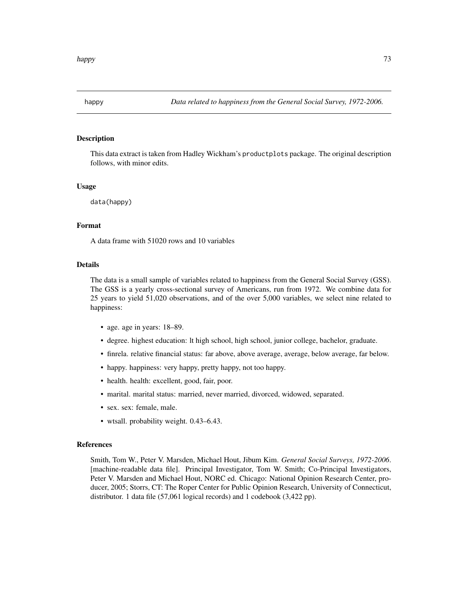<span id="page-72-0"></span>

This data extract is taken from Hadley Wickham's productplots package. The original description follows, with minor edits.

#### Usage

data(happy)

#### Format

A data frame with 51020 rows and 10 variables

# Details

The data is a small sample of variables related to happiness from the General Social Survey (GSS). The GSS is a yearly cross-sectional survey of Americans, run from 1972. We combine data for 25 years to yield 51,020 observations, and of the over 5,000 variables, we select nine related to happiness:

- age. age in years: 18–89.
- degree. highest education: lt high school, high school, junior college, bachelor, graduate.
- finrela. relative financial status: far above, above average, average, below average, far below.
- happy. happiness: very happy, pretty happy, not too happy.
- health. health: excellent, good, fair, poor.
- marital. marital status: married, never married, divorced, widowed, separated.
- sex. sex: female, male.
- wtsall. probability weight. 0.43–6.43.

#### References

Smith, Tom W., Peter V. Marsden, Michael Hout, Jibum Kim. *General Social Surveys, 1972-2006*. [machine-readable data file]. Principal Investigator, Tom W. Smith; Co-Principal Investigators, Peter V. Marsden and Michael Hout, NORC ed. Chicago: National Opinion Research Center, producer, 2005; Storrs, CT: The Roper Center for Public Opinion Research, University of Connecticut, distributor. 1 data file (57,061 logical records) and 1 codebook (3,422 pp).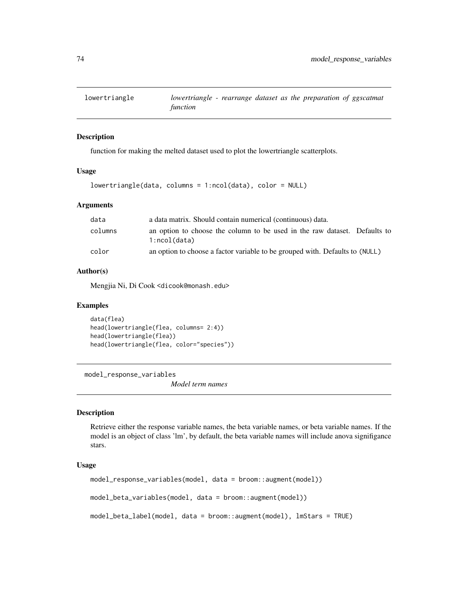<span id="page-73-0"></span>

function for making the melted dataset used to plot the lowertriangle scatterplots.

#### Usage

```
lowertriangle(data, columns = 1:ncol(data), color = NULL)
```
#### Arguments

| data    | a data matrix. Should contain numerical (continuous) data.                                |
|---------|-------------------------------------------------------------------------------------------|
| columns | an option to choose the column to be used in the raw dataset. Defaults to<br>1:ncol(data) |
| color   | an option to choose a factor variable to be grouped with. Defaults to (NULL)              |

#### Author(s)

Mengjia Ni, Di Cook <dicook@monash.edu>

#### Examples

```
data(flea)
head(lowertriangle(flea, columns= 2:4))
head(lowertriangle(flea))
head(lowertriangle(flea, color="species"))
```
model\_response\_variables

*Model term names*

#### Description

Retrieve either the response variable names, the beta variable names, or beta variable names. If the model is an object of class 'lm', by default, the beta variable names will include anova signifigance stars.

#### Usage

```
model_response_variables(model, data = broom::augment(model))
model_beta_variables(model, data = broom::augment(model))
model_beta_label(model, data = broom::augment(model), lmStars = TRUE)
```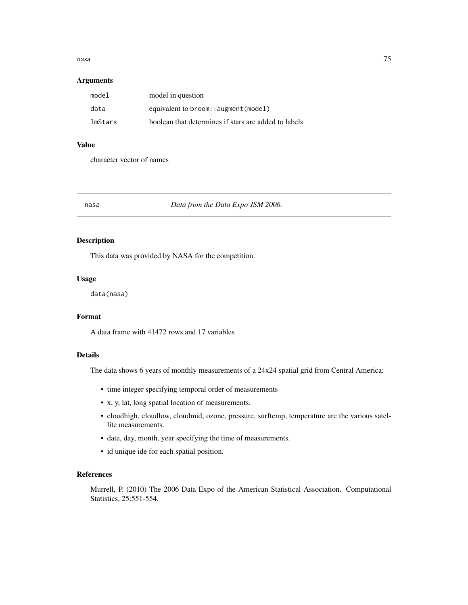#### <span id="page-74-0"></span>nasa **1988** - 1988 - 1988 - 1988 - 1988 - 1988 - 1988 - 1988 - 1988 - 1988 - 1988 - 1988 - 1988 - 1988 - 1988 - 1

# Arguments

| model   | model in question                                    |
|---------|------------------------------------------------------|
| data    | equivalent to broom:: augment (model)                |
| lmStars | boolean that determines if stars are added to labels |

#### Value

character vector of names

nasa *Data from the Data Expo JSM 2006.*

# Description

This data was provided by NASA for the competition.

# Usage

data(nasa)

#### Format

A data frame with 41472 rows and 17 variables

# Details

The data shows 6 years of monthly measurements of a 24x24 spatial grid from Central America:

- time integer specifying temporal order of measurements
- x, y, lat, long spatial location of measurements.
- cloudhigh, cloudlow, cloudmid, ozone, pressure, surftemp, temperature are the various satellite measurements.
- date, day, month, year specifying the time of measurements.
- id unique ide for each spatial position.

# References

Murrell, P. (2010) The 2006 Data Expo of the American Statistical Association. Computational Statistics, 25:551-554.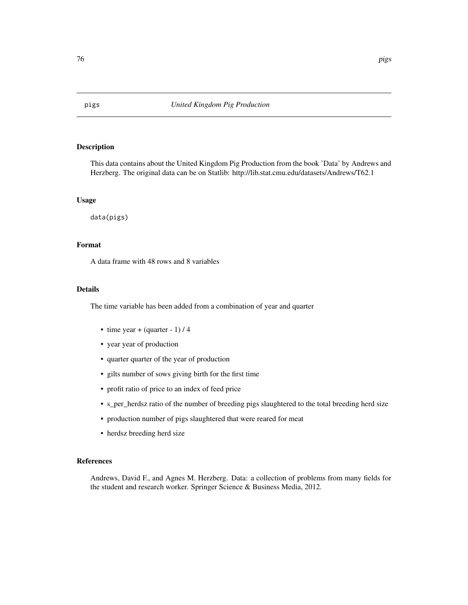This data contains about the United Kingdom Pig Production from the book 'Data' by Andrews and Herzberg. The original data can be on Statlib: http://lib.stat.cmu.edu/datasets/Andrews/T62.1

#### Usage

data(pigs)

# Format

A data frame with 48 rows and 8 variables

# Details

The time variable has been added from a combination of year and quarter

- time year + (quarter 1)  $/$  4
- year year of production
- quarter quarter of the year of production
- gilts number of sows giving birth for the first time
- profit ratio of price to an index of feed price
- s\_per\_herdsz ratio of the number of breeding pigs slaughtered to the total breeding herd size
- production number of pigs slaughtered that were reared for meat
- herdsz breeding herd size

#### References

Andrews, David F., and Agnes M. Herzberg. Data: a collection of problems from many fields for the student and research worker. Springer Science & Business Media, 2012.

<span id="page-75-0"></span>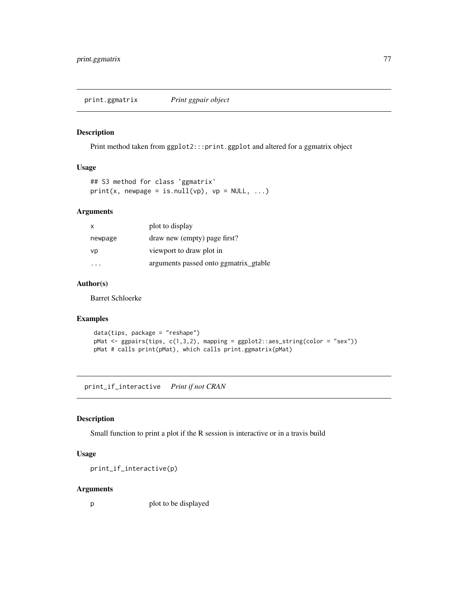<span id="page-76-0"></span>print.ggmatrix *Print ggpair object*

# Description

Print method taken from ggplot2:::print.ggplot and altered for a ggmatrix object

# Usage

```
## S3 method for class 'ggmatrix'
print(x, newpage = is.null(vp), vp = NULL, ...)
```
#### Arguments

| X       | plot to display                       |
|---------|---------------------------------------|
| newpage | draw new (empty) page first?          |
| vp      | viewport to draw plot in              |
|         | arguments passed onto ggmatrix_gtable |

# Author(s)

Barret Schloerke

# Examples

```
data(tips, package = "reshape")
pMat <- ggpairs(tips, c(1,3,2), mapping = ggplot2::aes_string(color = "sex"))
pMat # calls print(pMat), which calls print.ggmatrix(pMat)
```
print\_if\_interactive *Print if not CRAN*

#### Description

Small function to print a plot if the R session is interactive or in a travis build

# Usage

print\_if\_interactive(p)

#### Arguments

p plot to be displayed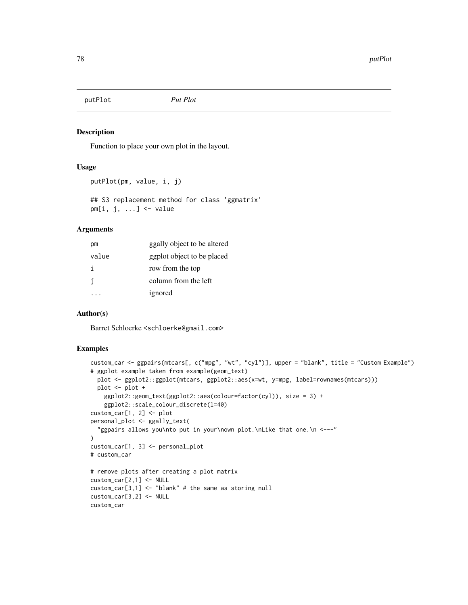<span id="page-77-0"></span>putPlot *Put Plot*

#### Description

Function to place your own plot in the layout.

#### Usage

```
putPlot(pm, value, i, j)
```
## S3 replacement method for class 'ggmatrix'  $pm[i, j, ...]$  <- value

#### Arguments

| рm           | ggally object to be altered |
|--------------|-----------------------------|
| value        | ggplot object to be placed  |
| i.           | row from the top            |
| $\mathbf{1}$ | column from the left        |
|              | ignored                     |

#### Author(s)

Barret Schloerke <schloerke@gmail.com>

```
custom_car <- ggpairs(mtcars[, c("mpg", "wt", "cyl")], upper = "blank", title = "Custom Example")
# ggplot example taken from example(geom_text)
  plot <- ggplot2::ggplot(mtcars, ggplot2::aes(x=wt, y=mpg, label=rownames(mtcars)))
  plot <- plot +
   ggplot2::geom_text(ggplot2::aes(colour=factor(cyl)), size = 3) +
    ggplot2::scale_colour_discrete(l=40)
custom_car[1, 2] <- plot
personal_plot <- ggally_text(
  "ggpairs allows you\nto put in your\nown plot.\nLike that one.\n <---"
\lambdacustom_car[1, 3] <- personal_plot
# custom_car
# remove plots after creating a plot matrix
custom_car[2,1] <- NULL
custom_car[3,1] <- "blank" # the same as storing null
custom_car[3,2] <- NULL
custom_car
```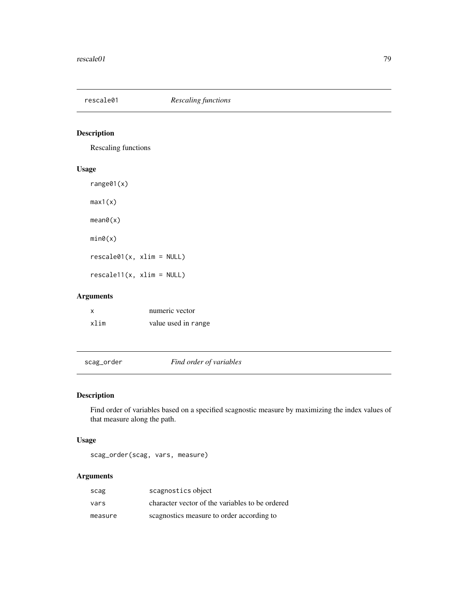<span id="page-78-0"></span>

Rescaling functions

# Usage

range01(x)

max1(x)

mean0(x)

min0(x)

rescale01(x, xlim = NULL)

rescale11(x, xlim = NULL)

# Arguments

| x    | numeric vector      |
|------|---------------------|
| xlim | value used in range |

scag\_order *Find order of variables*

# Description

Find order of variables based on a specified scagnostic measure by maximizing the index values of that measure along the path.

# Usage

scag\_order(scag, vars, measure)

# Arguments

| scag    | scagnostics object                              |
|---------|-------------------------------------------------|
| vars    | character vector of the variables to be ordered |
| measure | scagnostics measure to order according to       |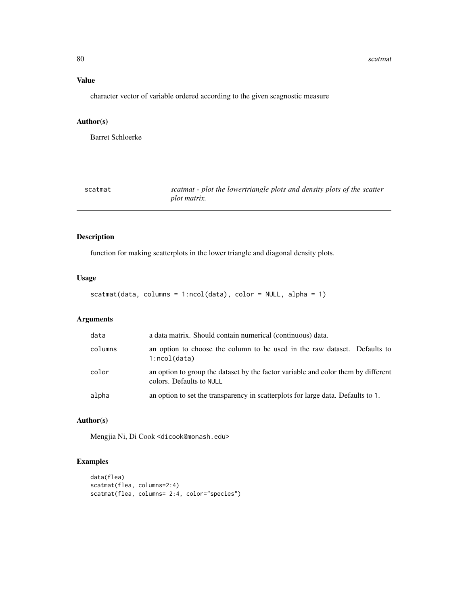#### <span id="page-79-0"></span>80 scatmatus and the set of the set of the set of the set of the set of the set of the set of the set of the set of the set of the set of the set of the set of the set of the set of the set of the set of the set of the set

# Value

character vector of variable ordered according to the given scagnostic measure

# Author(s)

Barret Schloerke

| scatmat | scatmat - plot the lowertriangle plots and density plots of the scatter |
|---------|-------------------------------------------------------------------------|
|         | plot matrix.                                                            |

# Description

function for making scatterplots in the lower triangle and diagonal density plots.

# Usage

```
scatmat(data, columns = 1:ncol(data), color = NULL, alpha = 1)
```
# Arguments

| data    | a data matrix. Should contain numerical (continuous) data.                                                    |
|---------|---------------------------------------------------------------------------------------------------------------|
| columns | an option to choose the column to be used in the raw dataset. Defaults to<br>1:ncol(data)                     |
| color   | an option to group the dataset by the factor variable and color them by different<br>colors. Defaults to NULL |
| alpha   | an option to set the transparency in scatterplots for large data. Defaults to 1.                              |

# Author(s)

Mengjia Ni, Di Cook <dicook@monash.edu>

```
data(flea)
scatmat(flea, columns=2:4)
scatmat(flea, columns= 2:4, color="species")
```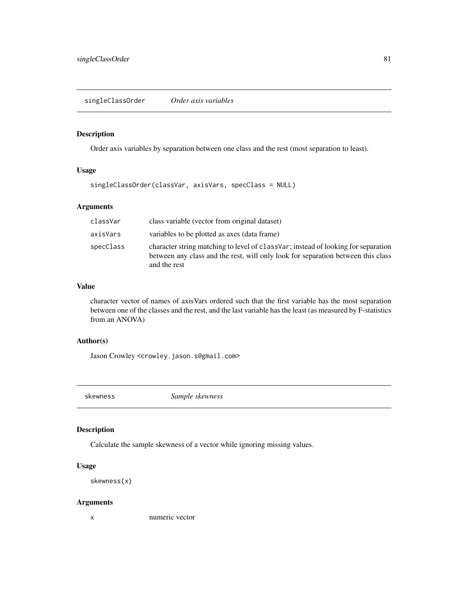<span id="page-80-0"></span>Order axis variables by separation between one class and the rest (most separation to least).

# Usage

singleClassOrder(classVar, axisVars, specClass = NULL)

# Arguments

| classVar  | class variable (vector from original dataset)                                                                                                                                          |
|-----------|----------------------------------------------------------------------------------------------------------------------------------------------------------------------------------------|
| axisVars  | variables to be plotted as axes (data frame)                                                                                                                                           |
| specClass | character string matching to level of class Var; instead of looking for separation<br>between any class and the rest, will only look for separation between this class<br>and the rest |

# Value

character vector of names of axisVars ordered such that the first variable has the most separation between one of the classes and the rest, and the last variable has the least (as measured by F-statistics from an ANOVA)

# Author(s)

Jason Crowley <crowley.jason.s@gmail.com>

skewness *Sample skewness*

#### Description

Calculate the sample skewness of a vector while ignoring missing values.

# Usage

```
skewness(x)
```
#### Arguments

x numeric vector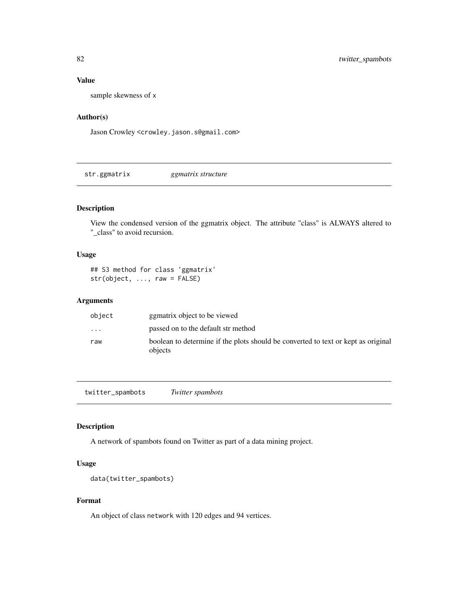# Value

sample skewness of x

# Author(s)

Jason Crowley <crowley.jason.s@gmail.com>

str.ggmatrix *ggmatrix structure*

# Description

View the condensed version of the ggmatrix object. The attribute "class" is ALWAYS altered to "\_class" to avoid recursion.

# Usage

## S3 method for class 'ggmatrix' str(object, ..., raw = FALSE)

#### Arguments

| object                  | ggmatrix object to be viewed                                                                 |
|-------------------------|----------------------------------------------------------------------------------------------|
| $\cdot$ $\cdot$ $\cdot$ | passed on to the default str method                                                          |
| raw                     | boolean to determine if the plots should be converted to text or kept as original<br>objects |

twitter\_spambots *Twitter spambots*

# Description

A network of spambots found on Twitter as part of a data mining project.

# Usage

```
data(twitter_spambots)
```
# Format

An object of class network with 120 edges and 94 vertices.

<span id="page-81-0"></span>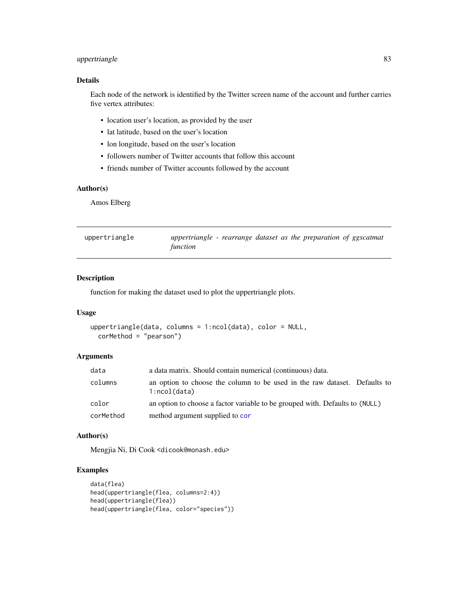# <span id="page-82-0"></span>uppertriangle 83

# Details

Each node of the network is identified by the Twitter screen name of the account and further carries five vertex attributes:

- location user's location, as provided by the user
- lat latitude, based on the user's location
- lon longitude, based on the user's location
- followers number of Twitter accounts that follow this account
- friends number of Twitter accounts followed by the account

# Author(s)

Amos Elberg

| uppertriangle | uppertriangle - rearrange dataset as the preparation of ggscatmat |  |  |  |  |
|---------------|-------------------------------------------------------------------|--|--|--|--|
|               | function                                                          |  |  |  |  |

# Description

function for making the dataset used to plot the uppertriangle plots.

#### Usage

```
uppertriangle(data, columns = 1:ncol(data), color = NULL,
  corMethod = "pearson")
```
#### Arguments

| data      | a data matrix. Should contain numerical (continuous) data.                                |
|-----------|-------------------------------------------------------------------------------------------|
| columns   | an option to choose the column to be used in the raw dataset. Defaults to<br>1:ncol(data) |
| color     | an option to choose a factor variable to be grouped with. Defaults to (NULL)              |
| corMethod | method argument supplied to cor                                                           |

#### Author(s)

Mengjia Ni, Di Cook <dicook@monash.edu>

```
data(flea)
head(uppertriangle(flea, columns=2:4))
head(uppertriangle(flea))
head(uppertriangle(flea, color="species"))
```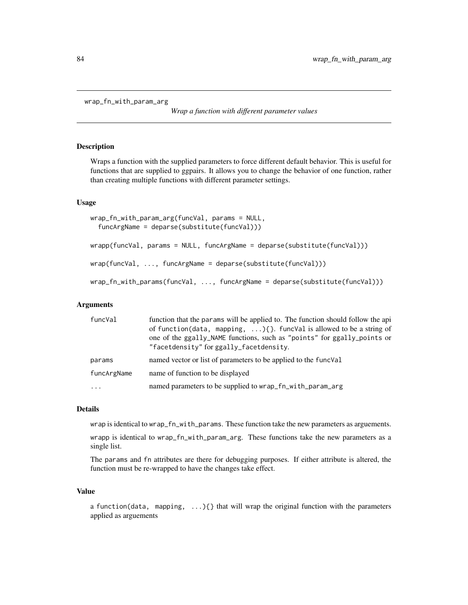```
wrap_fn_with_param_arg
```
*Wrap a function with different parameter values*

# **Description**

Wraps a function with the supplied parameters to force different default behavior. This is useful for functions that are supplied to ggpairs. It allows you to change the behavior of one function, rather than creating multiple functions with different parameter settings.

#### Usage

```
wrap_fn_with_param_arg(funcVal, params = NULL,
  funcArgName = deparse(substitute(funcVal)))
wrapp(funcVal, params = NULL, funcArgName = deparse(substitute(funcVal)))
wrap(funcVal, ..., funcArgName = deparse(substitute(funcVal)))
wrap_fn_with_params(funcVal, ..., funcArgName = deparse(substitute(funcVal)))
```
# Arguments

| funcVal             | function that the params will be applied to. The function should follow the api<br>of function(data, mapping, ) $\{\}$ . funcVal is allowed to be a string of<br>one of the ggally_NAME functions, such as "points" for ggally_points or<br>"facetdensity" for ggally_facetdensity. |
|---------------------|-------------------------------------------------------------------------------------------------------------------------------------------------------------------------------------------------------------------------------------------------------------------------------------|
| params              | named vector or list of parameters to be applied to the functor-                                                                                                                                                                                                                    |
| funcArgName         | name of function to be displayed                                                                                                                                                                                                                                                    |
| $\cdot \cdot \cdot$ | named parameters to be supplied to wrap_fn_with_param_arg                                                                                                                                                                                                                           |

# Details

wrap is identical to wrap\_fn\_with\_params. These function take the new parameters as arguements.

wrapp is identical to wrap\_fn\_with\_param\_arg. These functions take the new parameters as a single list.

The params and fn attributes are there for debugging purposes. If either attribute is altered, the function must be re-wrapped to have the changes take effect.

## Value

a function(data, mapping,  $\ldots$ ){} that will wrap the original function with the parameters applied as arguements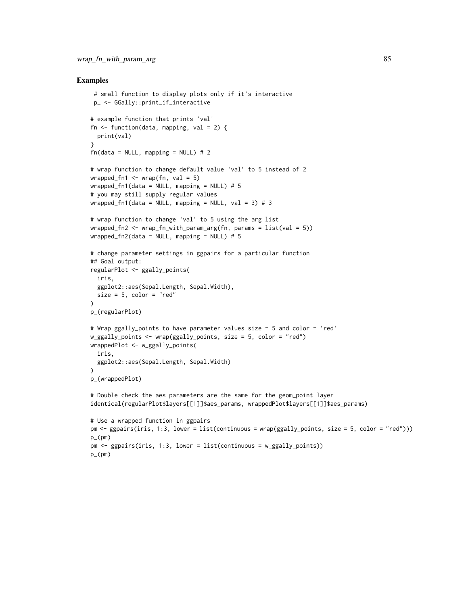```
# small function to display plots only if it's interactive
p_ <- GGally::print_if_interactive
# example function that prints 'val'
fn \le- function(data, mapping, val = 2) {
 print(val)
}
fn(data = NULL, mapping = NULL) # 2# wrap function to change default value 'val' to 5 instead of 2
wrapped_fn1 <- wrap(fn, val = 5)
wrapped_fn1(data = NULL, mapping = NULL) # 5
# you may still supply regular values
wrapped_fn1(data = NULL, mapping = NULL, val = 3) # 3
# wrap function to change 'val' to 5 using the arg list
wrapped_fn2 <- wrap_fn_with_param_arg(fn, params = list(val = 5))
wrapped_fn2(data = NULL, mapping = NULL) # 5# change parameter settings in ggpairs for a particular function
## Goal output:
regularPlot <- ggally_points(
 iris,
 ggplot2::aes(Sepal.Length, Sepal.Width),
 size = 5, color = "red"
\lambdap_(regularPlot)
# Wrap ggally_points to have parameter values size = 5 and color = 'red'
w_ggally_points <- wrap(ggally_points, size = 5, color = "red")
wrappedPlot <- w_ggally_points(
 iris,
 ggplot2::aes(Sepal.Length, Sepal.Width)
\lambdap_(wrappedPlot)
# Double check the aes parameters are the same for the geom_point layer
identical(regularPlot$layers[[1]]$aes_params, wrappedPlot$layers[[1]]$aes_params)
# Use a wrapped function in ggpairs
pm <- ggpairs(iris, 1:3, lower = list(continuous = wrap(ggally_points, size = 5, color = "red")))
p_{-}(pm)pm <- ggpairs(iris, 1:3, lower = list(continuous = w_ggally_points))
p_{-}(pm)
```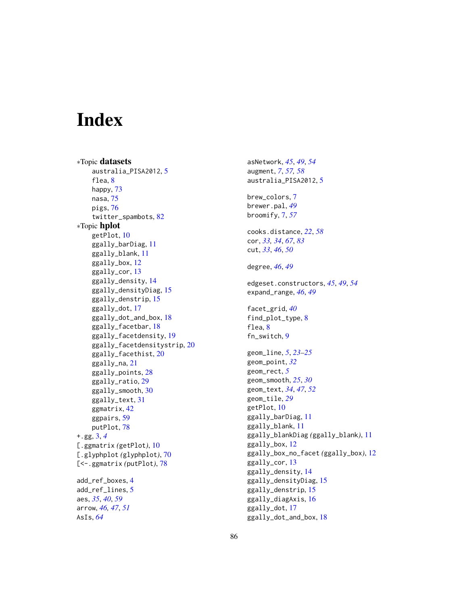# **Index**

∗Topic datasets australia\_PISA2012, [5](#page-4-0) flea, [8](#page-7-0) happy, [73](#page-72-0) nasa, [75](#page-74-0) pigs, [76](#page-75-0) twitter\_spambots, [82](#page-81-0) ∗Topic hplot getPlot, [10](#page-9-0) ggally\_barDiag, [11](#page-10-0) ggally\_blank, [11](#page-10-0) ggally\_box, [12](#page-11-0) ggally\_cor, [13](#page-12-0) ggally\_density, [14](#page-13-0) ggally\_densityDiag, [15](#page-14-0) ggally\_denstrip, [15](#page-14-0) ggally\_dot, [17](#page-16-0) ggally\_dot\_and\_box, [18](#page-17-0) ggally\_facetbar, [18](#page-17-0) ggally\_facetdensity, [19](#page-18-0) ggally\_facetdensitystrip, [20](#page-19-0) ggally\_facethist, [20](#page-19-0) ggally\_na, [21](#page-20-0) ggally\_points, [28](#page-27-0) ggally\_ratio, [29](#page-28-0) ggally\_smooth, [30](#page-29-0) ggally\_text, [31](#page-30-0) ggmatrix, [42](#page-41-0) ggpairs, [59](#page-58-0) putPlot, [78](#page-77-0) +.gg, [3,](#page-2-0) *[4](#page-3-0)* [.ggmatrix *(*getPlot*)*, [10](#page-9-0) [.glyphplot *(*glyphplot*)*, [70](#page-69-0) [<-.ggmatrix *(*putPlot*)*, [78](#page-77-0) add\_ref\_boxes, [4](#page-3-0) add\_ref\_lines, [5](#page-4-0) aes, *[35](#page-34-0)*, *[40](#page-39-0)*, *[59](#page-58-0)* arrow, *[46,](#page-45-0) [47](#page-46-0)*, *[51](#page-50-0)*

AsIs, *[64](#page-63-0)*

asNetwork, *[45](#page-44-0)*, *[49](#page-48-0)*, *[54](#page-53-0)* augment, *[7](#page-6-0)*, *[57,](#page-56-0) [58](#page-57-0)* australia\_PISA2012, [5](#page-4-0) brew\_colors, [7](#page-6-0) brewer.pal, *[49](#page-48-0)* broomify, [7,](#page-6-0) *[57](#page-56-0)* cooks.distance, *[22](#page-21-0)*, *[58](#page-57-0)* cor, *[33,](#page-32-0) [34](#page-33-0)*, *[67](#page-66-0)*, *[83](#page-82-0)* cut, *[33](#page-32-0)*, *[46](#page-45-0)*, *[50](#page-49-0)* degree, *[46](#page-45-0)*, *[49](#page-48-0)* edgeset.constructors, *[45](#page-44-0)*, *[49](#page-48-0)*, *[54](#page-53-0)* expand\_range, *[46](#page-45-0)*, *[49](#page-48-0)* facet\_grid, *[40](#page-39-0)* find\_plot\_type, [8](#page-7-0) flea, [8](#page-7-0) fn\_switch, [9](#page-8-0) geom\_line, *[5](#page-4-0)*, *[23](#page-22-0)[–25](#page-24-0)* geom\_point, *[32](#page-31-0)* geom\_rect, *[5](#page-4-0)* geom\_smooth, *[25](#page-24-0)*, *[30](#page-29-0)* geom\_text, *[34](#page-33-0)*, *[47](#page-46-0)*, *[52](#page-51-0)* geom\_tile, *[29](#page-28-0)* getPlot, [10](#page-9-0) ggally\_barDiag, [11](#page-10-0) ggally\_blank, [11](#page-10-0) ggally\_blankDiag *(*ggally\_blank*)*, [11](#page-10-0) ggally\_box, [12](#page-11-0) ggally\_box\_no\_facet *(*ggally\_box*)*, [12](#page-11-0) ggally\_cor, [13](#page-12-0) ggally\_density, [14](#page-13-0) ggally\_densityDiag, [15](#page-14-0) ggally\_denstrip, [15](#page-14-0) ggally\_diagAxis, [16](#page-15-0) ggally\_dot, [17](#page-16-0) ggally\_dot\_and\_box, [18](#page-17-0)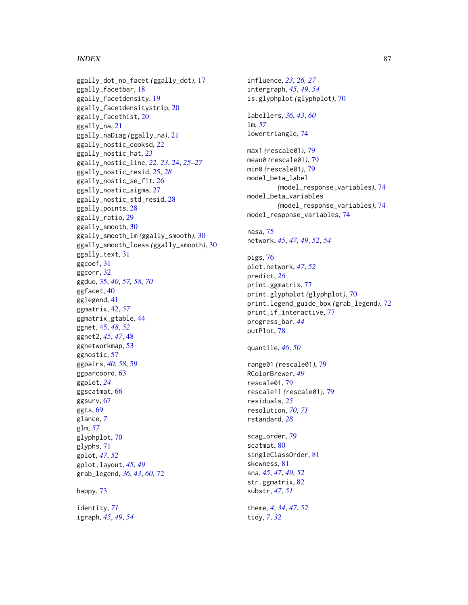#### INDEX  $87$

ggally\_dot\_no\_facet *(*ggally\_dot*)*, [17](#page-16-0) ggally\_facetbar, [18](#page-17-0) ggally\_facetdensity, [19](#page-18-0) ggally\_facetdensitystrip, [20](#page-19-0) ggally\_facethist, [20](#page-19-0) ggally\_na, [21](#page-20-0) ggally\_naDiag *(*ggally\_na*)*, [21](#page-20-0) ggally\_nostic\_cooksd, [22](#page-21-0) ggally\_nostic\_hat, [23](#page-22-0) ggally\_nostic\_line, *[22,](#page-21-0) [23](#page-22-0)*, [24,](#page-23-0) *[25–](#page-24-0)[27](#page-26-0)* ggally\_nostic\_resid, [25,](#page-24-0) *[28](#page-27-0)* ggally\_nostic\_se\_fit, [26](#page-25-0) ggally\_nostic\_sigma, [27](#page-26-0) ggally\_nostic\_std\_resid, [28](#page-27-0) ggally\_points, [28](#page-27-0) ggally\_ratio, [29](#page-28-0) ggally\_smooth, [30](#page-29-0) ggally\_smooth\_lm *(*ggally\_smooth*)*, [30](#page-29-0) ggally\_smooth\_loess *(*ggally\_smooth*)*, [30](#page-29-0) ggally\_text, [31](#page-30-0) ggcoef, [31](#page-30-0) ggcorr, [32](#page-31-0) ggduo, [35,](#page-34-0) *[40](#page-39-0)*, *[57,](#page-56-0) [58](#page-57-0)*, *[70](#page-69-0)* ggfacet, [40](#page-39-0) gglegend, [41](#page-40-0) ggmatrix, [42,](#page-41-0) *[57](#page-56-0)* ggmatrix\_gtable, [44](#page-43-0) ggnet, [45,](#page-44-0) *[48](#page-47-0)*, *[52](#page-51-0)* ggnet2, *[45](#page-44-0)*, *[47](#page-46-0)*, [48](#page-47-0) ggnetworkmap, [53](#page-52-0) ggnostic, [57](#page-56-0) ggpairs, *[40](#page-39-0)*, *[58](#page-57-0)*, [59](#page-58-0) ggparcoord, [63](#page-62-0) ggplot, *[24](#page-23-0)* ggscatmat, [66](#page-65-0) ggsurv, [67](#page-66-0) ggts, [69](#page-68-0) glance, *[7](#page-6-0)* glm, *[57](#page-56-0)* glyphplot, [70](#page-69-0) glyphs, [71](#page-70-0) gplot, *[47](#page-46-0)*, *[52](#page-51-0)* gplot.layout, *[45](#page-44-0)*, *[49](#page-48-0)* grab\_legend, *[36](#page-35-0)*, *[43](#page-42-0)*, *[60](#page-59-0)*, [72](#page-71-0) happy, [73](#page-72-0) identity, *[71](#page-70-0)*

igraph, *[45](#page-44-0)*, *[49](#page-48-0)*, *[54](#page-53-0)*

intergraph, *[45](#page-44-0)*, *[49](#page-48-0)*, *[54](#page-53-0)* is.glyphplot *(*glyphplot*)*, [70](#page-69-0) labellers, *[36](#page-35-0)*, *[43](#page-42-0)*, *[60](#page-59-0)* lm, *[57](#page-56-0)* lowertriangle, [74](#page-73-0) max1 *(*rescale01*)*, [79](#page-78-0) mean0 *(*rescale01*)*, [79](#page-78-0) min0 *(*rescale01*)*, [79](#page-78-0) model\_beta\_label *(*model\_response\_variables*)*, [74](#page-73-0) model\_beta\_variables *(*model\_response\_variables*)*, [74](#page-73-0) model\_response\_variables, [74](#page-73-0) nasa, [75](#page-74-0) network, *[45](#page-44-0)*, *[47](#page-46-0)*, *[49](#page-48-0)*, *[52](#page-51-0)*, *[54](#page-53-0)*

influence, *[23](#page-22-0)*, *[26,](#page-25-0) [27](#page-26-0)*

pigs, [76](#page-75-0) plot.network, *[47](#page-46-0)*, *[52](#page-51-0)* predict, *[26](#page-25-0)* print.ggmatrix, [77](#page-76-0) print.glyphplot *(*glyphplot*)*, [70](#page-69-0) print.legend\_guide\_box *(*grab\_legend*)*, [72](#page-71-0) print\_if\_interactive, [77](#page-76-0) progress\_bar, *[44](#page-43-0)* putPlot, [78](#page-77-0)

quantile, *[46](#page-45-0)*, *[50](#page-49-0)*

range01 *(*rescale01*)*, [79](#page-78-0) RColorBrewer, *[49](#page-48-0)* rescale01, [79](#page-78-0) rescale11 *(*rescale01*)*, [79](#page-78-0) residuals, *[25](#page-24-0)* resolution, *[70,](#page-69-0) [71](#page-70-0)* rstandard, *[28](#page-27-0)*

scag\_order, [79](#page-78-0) scatmat, [80](#page-79-0) singleClassOrder, [81](#page-80-0) skewness, [81](#page-80-0) sna, *[45](#page-44-0)*, *[47](#page-46-0)*, *[49](#page-48-0)*, *[52](#page-51-0)* str.ggmatrix, [82](#page-81-0) substr, *[47](#page-46-0)*, *[51](#page-50-0)*

theme, *[4](#page-3-0)*, *[34](#page-33-0)*, *[47](#page-46-0)*, *[52](#page-51-0)* tidy, *[7](#page-6-0)*, *[32](#page-31-0)*